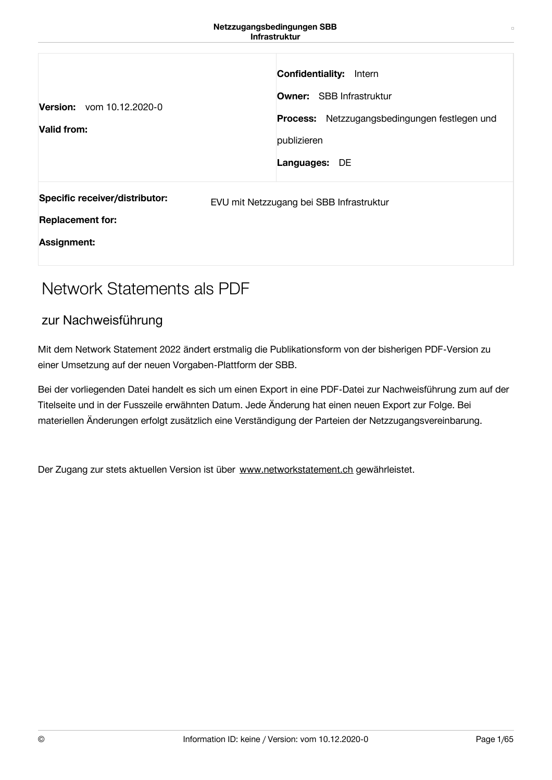| Version: vom 10.12.2020-0<br>Valid from:                                        | <b>Confidentiality:</b><br>Intern<br><b>Owner:</b> SBB Infrastruktur<br>Process: Netzzugangsbedingungen festlegen und<br>publizieren<br>Languages: DE |
|---------------------------------------------------------------------------------|-------------------------------------------------------------------------------------------------------------------------------------------------------|
| Specific receiver/distributor:<br><b>Replacement for:</b><br><b>Assignment:</b> | EVU mit Netzzugang bei SBB Infrastruktur                                                                                                              |

# Network Statements als PDF

# zur Nachweisführung

Mit dem Network Statement 2022 ändert erstmalig die Publikationsform von der bisherigen PDF-Version zu einer Umsetzung auf der neuen Vorgaben-Plattform der SBB.

Bei der vorliegenden Datei handelt es sich um einen Export in eine PDF-Datei zur Nachweisführung zum auf der Titelseite und in der Fusszeile erwähnten Datum. Jede Änderung hat einen neuen Export zur Folge. Bei materiellen Änderungen erfolgt zusätzlich eine Verständigung der Parteien der Netzzugangsvereinbarung.

Der Zugang zur stets aktuellen Version ist über [www.networkstatement.ch](http://www.networkstatement.ch) gewährleistet.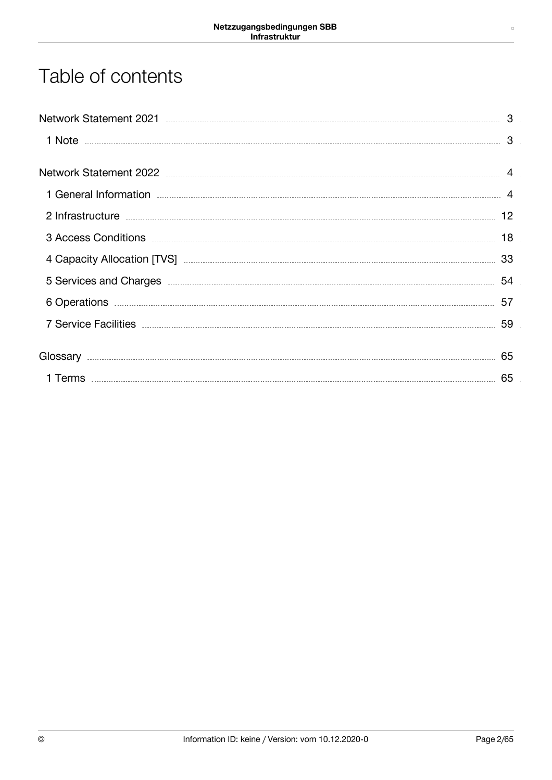# Table of contents

|                                                                                                                                                                                                                                      | 3  |
|--------------------------------------------------------------------------------------------------------------------------------------------------------------------------------------------------------------------------------------|----|
| Network Statement 2022 <b>Manual According to the Contract Office</b> Statement Contract and Technical Contract Office                                                                                                               |    |
| 1 General Information <b>Manual According to the Contract of According According to the According According According According According According According According According According According According According Accord</b> |    |
|                                                                                                                                                                                                                                      |    |
| 3 Access Conditions <b>Executes</b> 18                                                                                                                                                                                               |    |
|                                                                                                                                                                                                                                      |    |
| 54 Services and Charges <b>Election Charges</b>                                                                                                                                                                                      |    |
| 6 Operations <b>contract to the contract of the contract of the contract of the contract of the contract of the contract of the contract of the contract of the contract of the contract of the contract of the contract of the </b> | 57 |
|                                                                                                                                                                                                                                      | 59 |
|                                                                                                                                                                                                                                      | 65 |
|                                                                                                                                                                                                                                      | 65 |

 $\Box$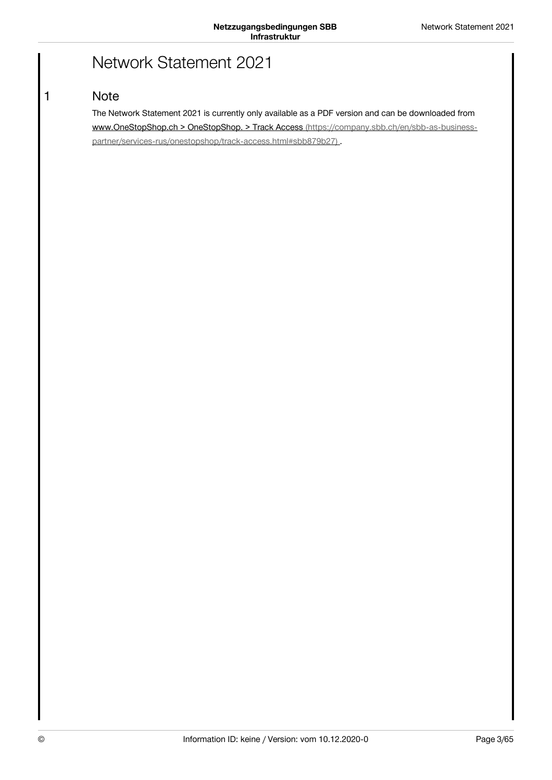# Network Statement 2021

# **Note**

<span id="page-2-1"></span><span id="page-2-0"></span>1

The Network Statement 2021 is currently only available as a PDF version and can be downloaded from www.OneStopShop.ch > OneStopShop. > Track Access (https://company.sbb.ch/en/sbb-as-business[partner/services-rus/onestopshop/track-access.html#sbb879b27\)](https://company.sbb.ch/en/sbb-as-business-partner/services-rus/onestopshop/track-access.html#sbb879b27).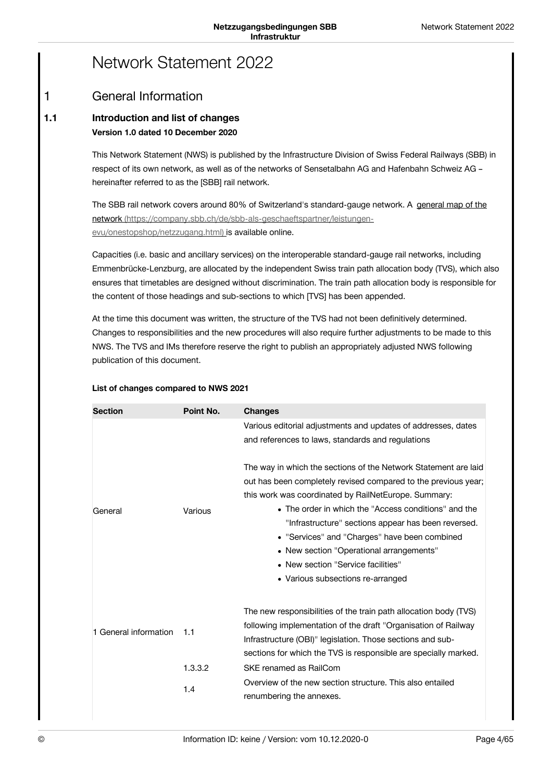# Network Statement 2022

### <span id="page-3-1"></span><span id="page-3-0"></span>General Information 1

### **Introduction and list of changes Version 1.0 dated 10 December 2020 1.1**

This Network Statement (NWS) is published by the Infrastructure Division of Swiss Federal Railways (SBB) in respect of its own network, as well as of the networks of Sensetalbahn AG and Hafenbahn Schweiz AG – hereinafter referred to as the [SBB] rail network.

The SBB rail network covers around 80% of Switzerland's standard-gauge network. A general map of the network [\(https://company.sbb.ch/de/sbb-als-geschaeftspartner/leistungen](https://company.sbb.ch/de/sbb-als-geschaeftspartner/leistungen-evu/onestopshop/netzzugang.html)evu/onestopshop/netzzugang.html) is available online.

Capacities (i.e. basic and ancillary services) on the interoperable standard-gauge rail networks, including Emmenbrücke-Lenzburg, are allocated by the independent Swiss train path allocation body (TVS), which also ensures that timetables are designed without discrimination. The train path allocation body is responsible for the content of those headings and sub-sections to which [TVS] has been appended.

At the time this document was written, the structure of the TVS had not been definitively determined. Changes to responsibilities and the new procedures will also require further adjustments to be made to this NWS. The TVS and IMs therefore reserve the right to publish an appropriately adjusted NWS following publication of this document.

| List of changes compared to NWS 2021 |  |
|--------------------------------------|--|
|--------------------------------------|--|

| <b>Section</b>        | Point No. | <b>Changes</b>                                                   |
|-----------------------|-----------|------------------------------------------------------------------|
|                       |           | Various editorial adjustments and updates of addresses, dates    |
|                       |           | and references to laws, standards and regulations                |
|                       |           | The way in which the sections of the Network Statement are laid  |
|                       |           | out has been completely revised compared to the previous year;   |
|                       |           | this work was coordinated by RailNetEurope. Summary:             |
| General               | Various   | • The order in which the "Access conditions" and the             |
|                       |           | "Infrastructure" sections appear has been reversed.              |
|                       |           | • "Services" and "Charges" have been combined                    |
|                       |           | • New section "Operational arrangements"                         |
|                       |           | • New section "Service facilities"                               |
|                       |           | • Various subsections re-arranged                                |
|                       |           | The new responsibilities of the train path allocation body (TVS) |
| 1 General information | 1.1       | following implementation of the draft "Organisation of Railway   |
|                       |           | Infrastructure (OBI)" legislation. Those sections and sub-       |
|                       |           | sections for which the TVS is responsible are specially marked.  |
|                       | 1.3.3.2   | SKE renamed as RailCom                                           |
|                       | 1.4       | Overview of the new section structure. This also entailed        |
|                       |           | renumbering the annexes.                                         |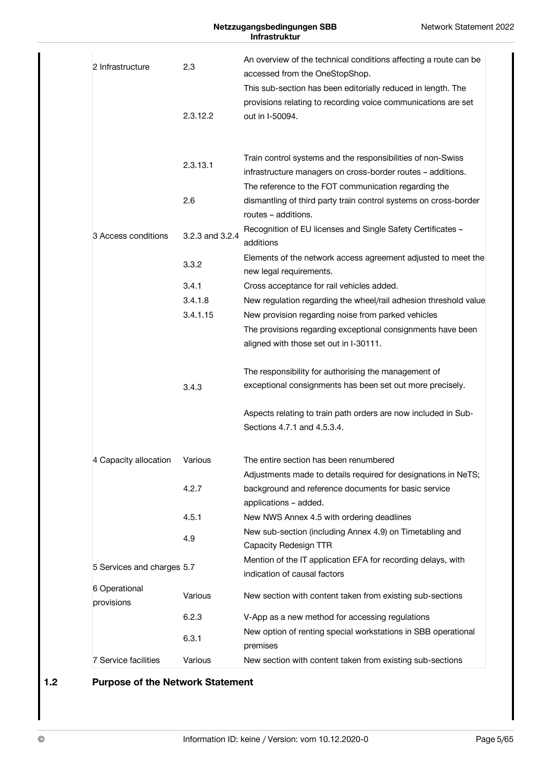## **Netzzugangsbedingungen SBB Infrastruktur**

| 2 Infrastructure           | 2.3             | An overview of the technical conditions affecting a route can be<br>accessed from the OneStopShop.<br>This sub-section has been editorially reduced in length. The |
|----------------------------|-----------------|--------------------------------------------------------------------------------------------------------------------------------------------------------------------|
|                            | 2.3.12.2        | provisions relating to recording voice communications are set<br>out in I-50094.                                                                                   |
|                            | 2.3.13.1        | Train control systems and the responsibilities of non-Swiss<br>infrastructure managers on cross-border routes - additions.                                         |
|                            | 2.6             | The reference to the FOT communication regarding the<br>dismantling of third party train control systems on cross-border<br>routes - additions.                    |
| 3 Access conditions        | 3.2.3 and 3.2.4 | Recognition of EU licenses and Single Safety Certificates -<br>additions                                                                                           |
|                            | 3.3.2           | Elements of the network access agreement adjusted to meet the<br>new legal requirements.                                                                           |
|                            | 3.4.1           | Cross acceptance for rail vehicles added.                                                                                                                          |
|                            | 3.4.1.8         | New regulation regarding the wheel/rail adhesion threshold value                                                                                                   |
|                            | 3.4.1.15        | New provision regarding noise from parked vehicles                                                                                                                 |
|                            |                 | The provisions regarding exceptional consignments have been                                                                                                        |
|                            |                 | aligned with those set out in I-30111.                                                                                                                             |
|                            |                 | The responsibility for authorising the management of                                                                                                               |
|                            | 3.4.3           | exceptional consignments has been set out more precisely.                                                                                                          |
|                            |                 | Aspects relating to train path orders are now included in Sub-<br>Sections 4.7.1 and 4.5.3.4.                                                                      |
| 4 Capacity allocation      | Various         | The entire section has been renumbered                                                                                                                             |
|                            |                 | Adjustments made to details required for designations in NeTS;                                                                                                     |
|                            | 4.2.7           | background and reference documents for basic service<br>applications - added.                                                                                      |
|                            | 4.5.1           | New NWS Annex 4.5 with ordering deadlines                                                                                                                          |
|                            | 4.9             | New sub-section (including Annex 4.9) on Timetabling and<br>Capacity Redesign TTR                                                                                  |
| 5 Services and charges 5.7 |                 | Mention of the IT application EFA for recording delays, with                                                                                                       |
|                            |                 | indication of causal factors                                                                                                                                       |
| 6 Operational              | Various         | New section with content taken from existing sub-sections                                                                                                          |
| provisions                 | 6.2.3           |                                                                                                                                                                    |
|                            |                 | V-App as a new method for accessing regulations                                                                                                                    |
|                            | 6.3.1           | New option of renting special workstations in SBB operational<br>premises                                                                                          |
| 7 Service facilities       | Various         | New section with content taken from existing sub-sections                                                                                                          |

# **1.2 Purpose of the Network Statement**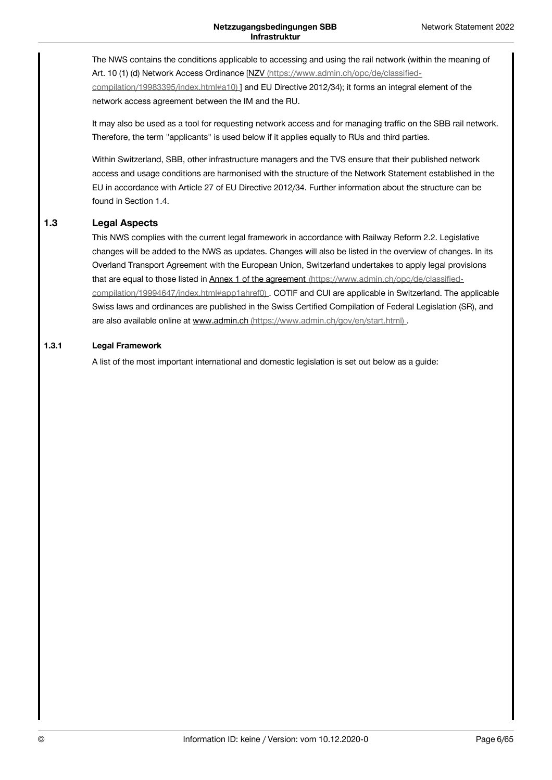The NWS contains the conditions applicable to accessing and using the rail network (within the meaning of Art. 10 (1) (d) Network Access Ordinance [NZV [\(https://www.admin.ch/opc/de/classified](https://www.admin.ch/opc/de/classified-compilation/19983395/index.html#a10)compilation/19983395/index.html#a10) ] and EU Directive 2012/34); it forms an integral element of the network access agreement between the IM and the RU.

It may also be used as a tool for requesting network access and for managing traffic on the SBB rail network. Therefore, the term "applicants" is used below if it applies equally to RUs and third parties.

Within Switzerland, SBB, other infrastructure managers and the TVS ensure that their published network access and usage conditions are harmonised with the structure of the Network Statement established in the EU in accordance with Article 27 of EU Directive 2012/34. Further information about the structure can be found in Section 1.4.

#### **Legal Aspects 1.3**

This NWS complies with the current legal framework in accordance with Railway Reform 2.2. Legislative changes will be added to the NWS as updates. Changes will also be listed in the overview of changes. In its Overland Transport Agreement with the European Union, Switzerland undertakes to apply legal provisions that are equal to those listed in Annex 1 of the agreement (https://www.admin.ch/opc/de/classified[compilation/19994647/index.html#app1ahref0\)](https://www.admin.ch/opc/de/classified-compilation/19994647/index.html#app1ahref0) . COTIF and CUI are applicable in Switzerland. The applicable Swiss laws and ordinances are published in the Swiss Certified Compilation of Federal Legislation (SR), and are also available online at www.admin.ch [\(https://www.admin.ch/gov/en/start.html\)](https://www.admin.ch/gov/en/start.html) .

#### **Legal Framework 1.3.1**

A list of the most important international and domestic legislation is set out below as a guide: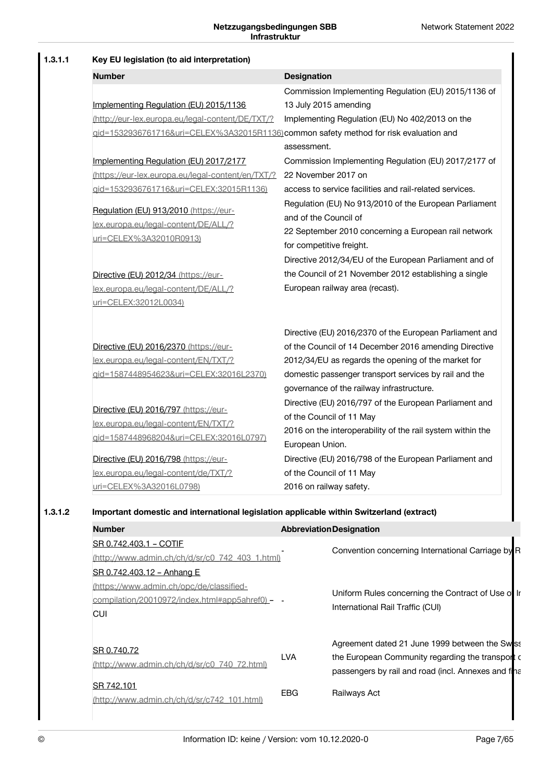| Key EU legislation (to aid interpretation)                                               |                                                                 |
|------------------------------------------------------------------------------------------|-----------------------------------------------------------------|
| <b>Number</b>                                                                            | <b>Designation</b>                                              |
|                                                                                          | Commission Implementing Regulation (EU) 2015/1136 of            |
| Implementing Regulation (EU) 2015/1136                                                   | 13 July 2015 amending                                           |
| (http://eur-lex.europa.eu/legal-content/DE/TXT/?                                         | Implementing Regulation (EU) No 402/2013 on the                 |
| gid=1532936761716&uri=CELEX%3A32015R1136)common safety method for risk evaluation and    |                                                                 |
|                                                                                          | assessment.                                                     |
| Implementing Regulation (EU) 2017/2177                                                   | Commission Implementing Regulation (EU) 2017/2177 of            |
| (https://eur-lex.europa.eu/legal-content/en/TXT/?                                        | 22 November 2017 on                                             |
| gid=1532936761716&uri=CELEX:32015R1136)                                                  | access to service facilities and rail-related services.         |
|                                                                                          | Regulation (EU) No 913/2010 of the European Parliament          |
| Regulation (EU) 913/2010 (https://eur-<br>lex.europa.eu/legal-content/DE/ALL/?           | and of the Council of                                           |
|                                                                                          | 22 September 2010 concerning a European rail network            |
| uri=CELEX%3A32010R0913)                                                                  | for competitive freight.                                        |
|                                                                                          | Directive 2012/34/EU of the European Parliament and of          |
| Directive (EU) 2012/34 (https://eur-                                                     | the Council of 21 November 2012 establishing a single           |
| lex.europa.eu/legal-content/DE/ALL/?                                                     | European railway area (recast).                                 |
| uri=CELEX:32012L0034)                                                                    |                                                                 |
|                                                                                          | Directive (EU) 2016/2370 of the European Parliament and         |
| Directive (EU) 2016/2370 (https://eur-                                                   | of the Council of 14 December 2016 amending Directive           |
| lex.europa.eu/legal-content/EN/TXT/?                                                     | 2012/34/EU as regards the opening of the market for             |
| qid=1587448954623&uri=CELEX:32016L2370)                                                  | domestic passenger transport services by rail and the           |
|                                                                                          | governance of the railway infrastructure.                       |
|                                                                                          | Directive (EU) 2016/797 of the European Parliament and          |
| Directive (EU) 2016/797 (https://eur-                                                    | of the Council of 11 May                                        |
| lex.europa.eu/legal-content/EN/TXT/?                                                     | 2016 on the interoperability of the rail system within the      |
| qid=1587448968204&uri=CELEX:32016L0797)                                                  | European Union.                                                 |
| Directive (EU) 2016/798 (https://eur-                                                    | Directive (EU) 2016/798 of the European Parliament and          |
| lex.europa.eu/legal-content/de/TXT/?                                                     | of the Council of 11 May                                        |
| uri=CELEX%3A32016L0798)                                                                  | 2016 on railway safety.                                         |
| Important domestic and international legislation applicable within Switzerland (extract) |                                                                 |
| <b>Number</b>                                                                            | <b>Abbreviation Designation</b>                                 |
| SR 0.742.403.1 - COTIF                                                                   |                                                                 |
| (http://www.admin.ch/ch/d/sr/c0_742_403_1.html)                                          | Convention concerning International Carriage by R               |
| SR 0.742.403.12 - Anhang E                                                               |                                                                 |
| (https://www.admin.ch/opc/de/classified-                                                 |                                                                 |
| compilation/20010972/index.html#app5ahref0) -                                            | Uniform Rules concerning the Contract of Use of Ir              |
| <b>CUI</b>                                                                               | International Rail Traffic (CUI)                                |
|                                                                                          | Agreement dated 21 June 1999 between the Swss                   |
| SR 0.740.72                                                                              | <b>LVA</b><br>the European Community regarding the transport of |
| (http://www.admin.ch/ch/d/sr/c0_740_72.html)                                             | passengers by rail and road (incl. Annexes and final            |

EBG Railways Act

SR 742.101

[\(http://www.admin.ch/ch/d/sr/c742\\_101.html\)](http://www.admin.ch/ch/d/sr/c742_101.html)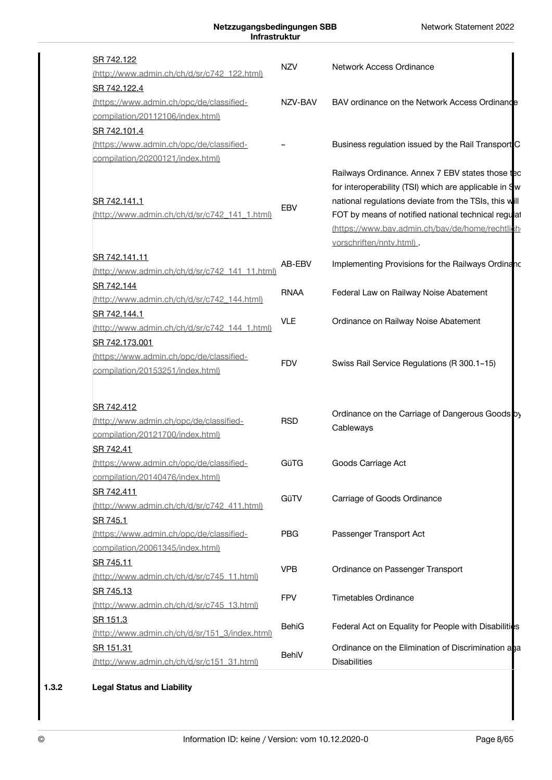| SR 742.122<br>(http://www.admin.ch/ch/d/sr/c742_122.html)                                      | <b>NZV</b>   | Network Access Ordinance                                                                                                                                                                                                                                                                                 |
|------------------------------------------------------------------------------------------------|--------------|----------------------------------------------------------------------------------------------------------------------------------------------------------------------------------------------------------------------------------------------------------------------------------------------------------|
| SR 742.122.4<br>(https://www.admin.ch/opc/de/classified-<br>compilation/20112106/index.html)   | NZV-BAV      | BAV ordinance on the Network Access Ordinance                                                                                                                                                                                                                                                            |
| SR 742.101.4<br>(https://www.admin.ch/opc/de/classified-<br>compilation/20200121/index.html)   |              | Business regulation issued by the Rail Transport C                                                                                                                                                                                                                                                       |
| SR 742.141.1<br>(http://www.admin.ch/ch/d/sr/c742_141_1.html)                                  | <b>EBV</b>   | Railways Ordinance. Annex 7 EBV states those tec<br>for interoperability (TSI) which are applicable in Sw<br>national regulations deviate from the TSIs, this will<br>FOT by means of notified national technical regulat<br>(https://www.bav.admin.ch/bav/de/home/rechtlich<br>vorschriften/nntv.html). |
| SR 742.141.11<br>(http://www.admin.ch/ch/d/sr/c742_141_11.html)                                | AB-EBV       | Implementing Provisions for the Railways Ordinanc                                                                                                                                                                                                                                                        |
| SR 742.144<br>(http://www.admin.ch/ch/d/sr/c742_144.html)                                      | <b>RNAA</b>  | Federal Law on Railway Noise Abatement                                                                                                                                                                                                                                                                   |
| SR 742.144.1<br>(http://www.admin.ch/ch/d/sr/c742_144_1.html)                                  | <b>VLE</b>   | Ordinance on Railway Noise Abatement                                                                                                                                                                                                                                                                     |
| SR 742.173.001<br>(https://www.admin.ch/opc/de/classified-<br>compilation/20153251/index.html) | <b>FDV</b>   | Swiss Rail Service Regulations (R 300.1-15)                                                                                                                                                                                                                                                              |
| SR 742.412<br>(http://www.admin.ch/opc/de/classified-<br>compilation/20121700/index.html)      | <b>RSD</b>   | Ordinance on the Carriage of Dangerous Goods by<br>Cableways                                                                                                                                                                                                                                             |
| SR 742.41<br>(https://www.admin.ch/opc/de/classified-<br>compilation/20140476/index.html)      | GüTG         | Goods Carriage Act                                                                                                                                                                                                                                                                                       |
| SR 742.411<br>(http://www.admin.ch/ch/d/sr/c742 411.html)                                      | GüTV         | Carriage of Goods Ordinance                                                                                                                                                                                                                                                                              |
| SR 745.1<br>(https://www.admin.ch/opc/de/classified-<br>compilation/20061345/index.html)       | <b>PBG</b>   | Passenger Transport Act                                                                                                                                                                                                                                                                                  |
| SR 745.11<br>(http://www.admin.ch/ch/d/sr/c745_11.html)                                        | <b>VPB</b>   | Ordinance on Passenger Transport                                                                                                                                                                                                                                                                         |
| SR 745.13<br>(http://www.admin.ch/ch/d/sr/c745_13.html)                                        | <b>FPV</b>   | <b>Timetables Ordinance</b>                                                                                                                                                                                                                                                                              |
| SR 151.3<br>(http://www.admin.ch/ch/d/sr/151_3/index.html)                                     | <b>BehiG</b> | Federal Act on Equality for People with Disabilities                                                                                                                                                                                                                                                     |
| SR 151.31<br>(http://www.admin.ch/ch/d/sr/c151_31.html)                                        | BehiV        | Ordinance on the Elimination of Discrimination ana<br><b>Disabilities</b>                                                                                                                                                                                                                                |
|                                                                                                |              |                                                                                                                                                                                                                                                                                                          |

# **1.3.2 Legal Status and Liability**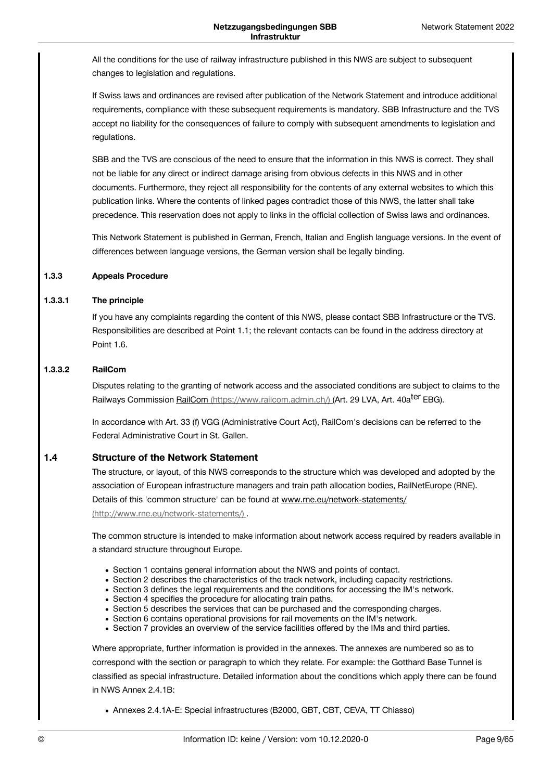All the conditions for the use of railway infrastructure published in this NWS are subject to subsequent changes to legislation and regulations.

If Swiss laws and ordinances are revised after publication of the Network Statement and introduce additional requirements, compliance with these subsequent requirements is mandatory. SBB Infrastructure and the TVS accept no liability for the consequences of failure to comply with subsequent amendments to legislation and regulations.

SBB and the TVS are conscious of the need to ensure that the information in this NWS is correct. They shall not be liable for any direct or indirect damage arising from obvious defects in this NWS and in other documents. Furthermore, they reject all responsibility for the contents of any external websites to which this publication links. Where the contents of linked pages contradict those of this NWS, the latter shall take precedence. This reservation does not apply to links in the official collection of Swiss laws and ordinances.

This Network Statement is published in German, French, Italian and English language versions. In the event of differences between language versions, the German version shall be legally binding.

#### **Appeals Procedure 1.3.3**

#### **The principle 1.3.3.1**

If you have any complaints regarding the content of this NWS, please contact SBB Infrastructure or the TVS. Responsibilities are described at Point 1.1; the relevant contacts can be found in the address directory at Point 1.6.

#### **RailCom 1.3.3.2**

Disputes relating to the granting of network access and the associated conditions are subject to claims to the Railways Commission <u>RailCom [\(https://www.railcom.admin.ch/\)](https://www.railcom.admin.ch/) (</u>Art. 29 LVA, Art. 40a<sup>ter</sup> EBG).

In accordance with Art. 33 (f) VGG (Administrative Court Act), RailCom's decisions can be referred to the Federal Administrative Court in St. Gallen.

#### **Structure of the Network Statement 1.4**

The structure, or layout, of this NWS corresponds to the structure which was developed and adopted by the association of European infrastructure managers and train path allocation bodies, RailNetEurope (RNE). Details of this 'common structure' can be found at www.rne.eu/network-statements/ [\(http://www.rne.eu/network-statements/\)](http://www.rne.eu/network-statements/) .

The common structure is intended to make information about network access required by readers available in a standard structure throughout Europe.

- Section 1 contains general information about the NWS and points of contact.
- Section 2 describes the characteristics of the track network, including capacity restrictions.
- Section 3 defines the legal requirements and the conditions for accessing the IM's network.
- Section 4 specifies the procedure for allocating train paths.
- Section 5 describes the services that can be purchased and the corresponding charges.
- Section 6 contains operational provisions for rail movements on the IM's network.
- Section 7 provides an overview of the service facilities offered by the IMs and third parties.

Where appropriate, further information is provided in the annexes. The annexes are numbered so as to correspond with the section or paragraph to which they relate. For example: the Gotthard Base Tunnel is classified as special infrastructure. Detailed information about the conditions which apply there can be found in NWS Annex 2.4.1B:

Annexes 2.4.1A-E: Special infrastructures (B2000, GBT, CBT, CEVA, TT Chiasso)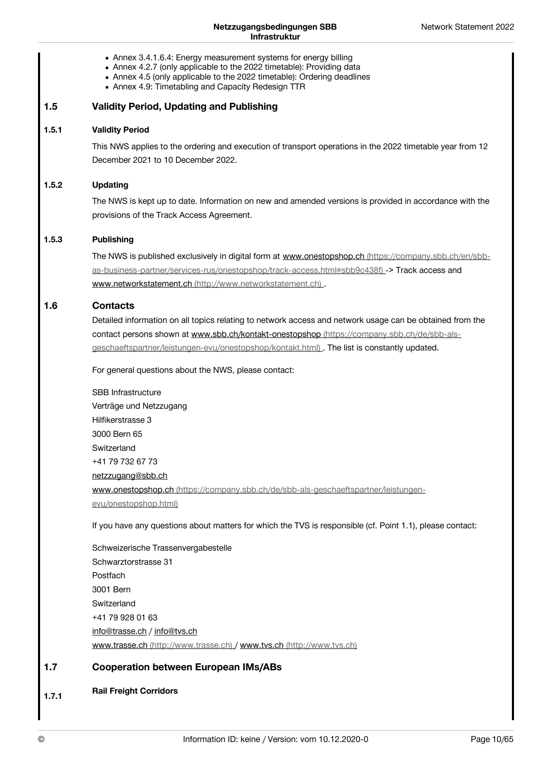- Annex 3.4.1.6.4: Energy measurement systems for energy billing
- Annex 4.2.7 (only applicable to the 2022 timetable): Providing data
- Annex 4.5 (only applicable to the 2022 timetable): Ordering deadlines
- Annex 4.9: Timetabling and Capacity Redesign TTR

#### **Validity Period, Updating and Publishing 1.5**

#### **Validity Period 1.5.1**

This NWS applies to the ordering and execution of transport operations in the 2022 timetable year from 12 December 2021 to 10 December 2022.

#### **Updating 1.5.2**

The NWS is kept up to date. Information on new and amended versions is provided in accordance with the provisions of the Track Access Agreement.

#### **Publishing 1.5.3**

The NWS is published exclusively in digital form at www.onestopshop.ch (https://company.sbb.ch/en/sbb[as-business-partner/services-rus/onestopshop/track-access.html#sbb9c438f\)](https://company.sbb.ch/en/sbb-as-business-partner/services-rus/onestopshop/track-access.html#sbb9c438f) -> Track access and www.networkstatement.ch [\(http://www.networkstatement.ch\)](http://www.networkstatement.ch) .

#### **Contacts 1.6**

Detailed information on all topics relating to network access and network usage can be obtained from the contact persons shown at www.sbb.ch/kontakt-onestopshop (https://company.sbb.ch/de/sbb-als[geschaeftspartner/leistungen-evu/onestopshop/kontakt.html\)](https://company.sbb.ch/de/sbb-als-geschaeftspartner/leistungen-evu/onestopshop/kontakt.html) . The list is constantly updated.

For general questions about the NWS, please contact:

SBB Infrastructure Verträge und Netzzugang Hilfikerstrasse 3 3000 Bern 65 **Switzerland** +41 79 732 67 73 [netzzugang@sbb.ch](javascript:linkDecryptEmail() www.onestopshop.ch [\(https://company.sbb.ch/de/sbb-als-geschaeftspartner/leistungen](https://company.sbb.ch/de/sbb-als-geschaeftspartner/leistungen-evu/onestopshop.html)evu/onestopshop.html)

If you have any questions about matters for which the TVS is responsible (cf. Point 1.1), please contact:

Schweizerische Trassenvergabestelle Schwarztorstrasse 31 Postfach 3001 Bern **Switzerland** +41 79 928 01 63 [info@trasse.ch](javascript:linkDecryptEmail() / [info@tvs.ch](javascript:linkDecryptEmail() www.trasse.ch [\(http://www.trasse.ch\)](http://www.trasse.ch) / www.tvs.ch [\(http://www.tvs.ch\)](http://www.tvs.ch)

#### **Cooperation between European IMs/ABs 1.7**

**Rail Freight Corridors 1.7.1**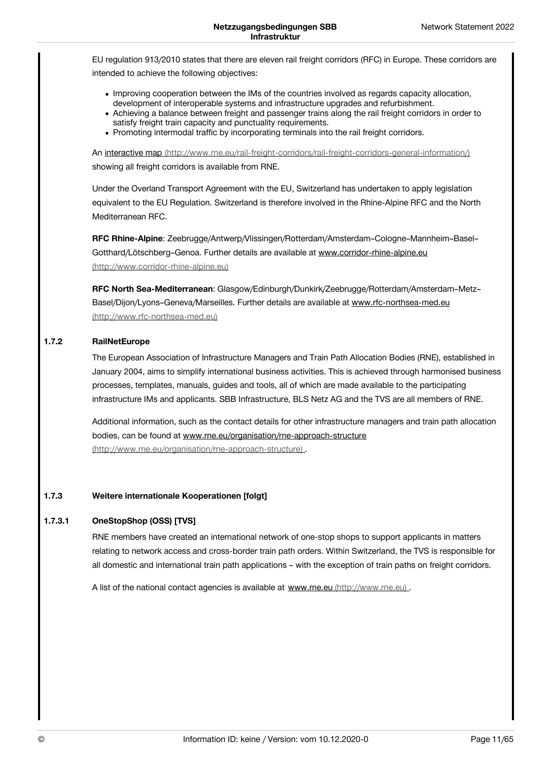EU regulation 913/2010 states that there are eleven rail freight corridors (RFC) in Europe. These corridors are intended to achieve the following objectives:

- Improving cooperation between the IMs of the countries involved as regards capacity allocation, development of interoperable systems and infrastructure upgrades and refurbishment.
- Achieving a balance between freight and passenger trains along the rail freight corridors in order to satisfy freight train capacity and punctuality requirements.
- Promoting intermodal traffic by incorporating terminals into the rail freight corridors.

An interactive map [\(http://www.rne.eu/rail-freight-corridors/rail-freight-corridors-general-information/\)](http://www.rne.eu/rail-freight-corridors/rail-freight-corridors-general-information/) showing all freight corridors is available from RNE.

Under the Overland Transport Agreement with the EU, Switzerland has undertaken to apply legislation equivalent to the EU Regulation. Switzerland is therefore involved in the Rhine-Alpine RFC and the North Mediterranean RFC.

**RFC Rhine-Alpine**: Zeebrugge/Antwerp/Vlissingen/Rotterdam/Amsterdam–Cologne–Mannheim–Basel– Gotthard/Lötschberg–Genoa. Further details are available at www.corridor-rhine-alpine.eu [\(http://www.corridor-rhine-alpine.eu\)](http://www.corridor-rhine-alpine.eu)

**RFC North Sea-Mediterranean**: Glasgow/Edinburgh/Dunkirk/Zeebrugge/Rotterdam/Amsterdam–Metz– [Basel/Dijon/Lyons–Geneva/Marseilles.](http://www.rfc-northsea-med.eu) Further details are available at www.rfc-northsea-med.eu (http://www.rfc-northsea-med.eu)

#### **RailNetEurope 1.7.2**

The European Association of Infrastructure Managers and Train Path Allocation Bodies (RNE), established in January 2004, aims to simplify international business activities. This is achieved through harmonised business processes, templates, manuals, guides and tools, all of which are made available to the participating infrastructure IMs and applicants. SBB Infrastructure, BLS Netz AG and the TVS are all members of RNE.

Additional information, such as the contact details for other infrastructure managers and train path allocation bodies, can be found at www.rne.eu/organisation/rne-approach-structure [\(http://www.rne.eu/organisation/rne-approach-structure\)](http://www.rne.eu/organisation/rne-approach-structure) .

#### **Weitere internationale Kooperationen [folgt] 1.7.3**

#### **OneStopShop (OSS) [TVS] 1.7.3.1**

RNE members have created an international network of one-stop shops to support applicants in matters relating to network access and cross-border train path orders. Within Switzerland, the TVS is responsible for all domestic and international train path applications – with the exception of train paths on freight corridors.

A list of the national contact agencies is available at www.rne.eu [\(http://www.rne.eu\)](http://www.rne.eu) .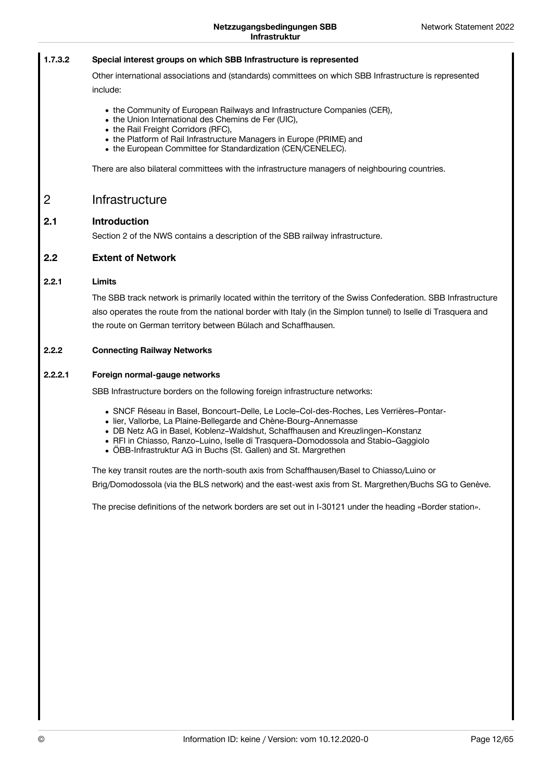#### **Special interest groups on which SBB Infrastructure is represented 1.7.3.2**

Other international associations and (standards) committees on which SBB Infrastructure is represented include:

- the Community of European Railways and Infrastructure Companies (CER),
- the Union International des Chemins de Fer (UIC),
- the Rail Freight Corridors (RFC),
- the Platform of Rail Infrastructure Managers in Europe (PRIME) and
- the European Committee for Standardization (CEN/CENELEC).

There are also bilateral committees with the infrastructure managers of neighbouring countries.

### <span id="page-11-0"></span>Infrastructure 2

#### **Introduction 2.1**

Section 2 of the NWS contains a description of the SBB railway infrastructure.

#### **Extent of Network 2.2**

#### **Limits 2.2.1**

The SBB track network is primarily located within the territory of the Swiss Confederation. SBB Infrastructure also operates the route from the national border with Italy (in the Simplon tunnel) to Iselle di Trasquera and the route on German territory between Bülach and Schaffhausen.

#### **Connecting Railway Networks 2.2.2**

#### **Foreign normal-gauge networks 2.2.2.1**

SBB Infrastructure borders on the following foreign infrastructure networks:

- SNCF Réseau in Basel, Boncourt–Delle, Le Locle–Col-des-Roches, Les Verrières–Pontar-
- lier, Vallorbe, La Plaine-Bellegarde and Chène-Bourg–Annemasse
- DB Netz AG in Basel, Koblenz–Waldshut, Schaffhausen and Kreuzlingen–Konstanz
- RFI in Chiasso, Ranzo–Luino, Iselle di Trasquera–Domodossola and Stabio–Gaggiolo
- ÖBB-Infrastruktur AG in Buchs (St. Gallen) and St. Margrethen

The key transit routes are the north-south axis from Schaffhausen/Basel to Chiasso/Luino or Brig/Domodossola (via the BLS network) and the east-west axis from St. Margrethen/Buchs SG to Genève.

The precise definitions of the network borders are set out in I-30121 under the heading «Border station».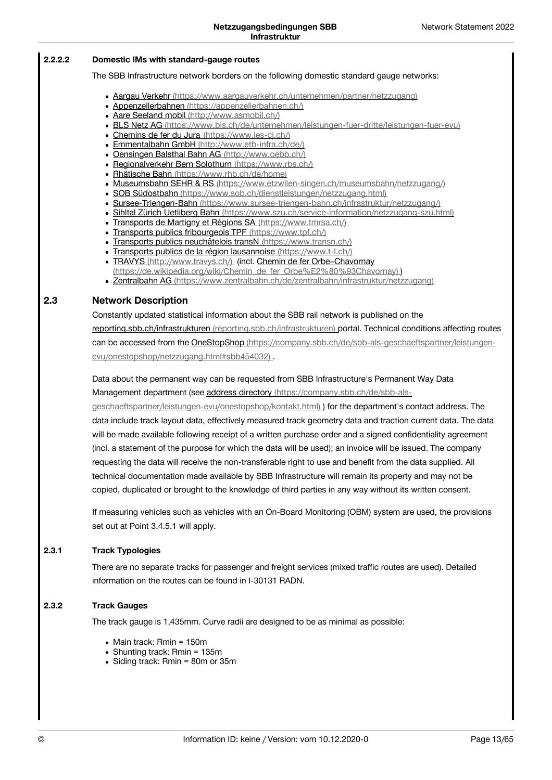#### **Domestic IMs with standard-gauge routes 2.2.2.2**

### The SBB Infrastructure network borders on the following domestic standard gauge networks:

- Aargau Verkehr [\(https://www.aargauverkehr.ch/unternehmen/partner/netzzugang\)](https://www.aargauverkehr.ch/unternehmen/partner/netzzugang)
- Appenzellerbahnen [\(https://appenzellerbahnen.ch/\)](https://appenzellerbahnen.ch/)
- Aare Seeland mobil [\(http://www.asmobil.ch/\)](http://www.asmobil.ch/)
- BLS Netz AG [\(https://www.bls.ch/de/unternehmen/leistungen-fuer-dritte/leistungen-fuer-evu\)](https://www.bls.ch/de/unternehmen/leistungen-fuer-dritte/leistungen-fuer-evu)
- Chemins de fer du Jura [\(https://www.les-cj.ch/\)](https://www.les-cj.ch/)
- Emmentalbahn GmbH [\(http://www.etb-infra.ch/de/\)](http://www.etb-infra.ch/de/)
- Oensingen Balsthal Bahn AG [\(http://www.oebb.ch/\)](http://www.oebb.ch/)
- Regionalverkehr Bern Solothurn [\(https://www.rbs.ch/\)](https://www.rbs.ch/)
- Rhätische Bahn [\(https://www.rhb.ch/de/home\)](https://www.rhb.ch/de/home)
- Museumsbahn SEHR & RS [\(https://www.etzwilen-singen.ch/museumsbahn/netzzugang/\)](https://www.etzwilen-singen.ch/museumsbahn/netzzugang/)
- SOB Südostbahn [\(https://www.sob.ch/dienstleistungen/netzzugang.html\)](https://www.sob.ch/dienstleistungen/netzzugang.html)
- Sursee-Triengen-Bahn [\(https://www.sursee-triengen-bahn.ch/infrastruktur/netzzugang/\)](https://www.sursee-triengen-bahn.ch/infrastruktur/netzzugang/)
- Sihltal Zürich Uetliberg Bahn [\(https://www.szu.ch/service-information/netzzugang-szu.html\)](https://www.szu.ch/service-information/netzzugang-szu.html)
- Transports de Martigny et Régions SA [\(https://www.tmrsa.ch/\)](https://www.tmrsa.ch/)
- Transports publics fribourgeois TPF [\(https://www.tpf.ch/\)](https://www.tpf.ch/)
- Transports publics neuchâtelois transN [\(https://www.transn.ch/\)](https://www.transn.ch/)
- Transports publics de la région lausannoise [\(https://www.t-l.ch/\)](https://www.t-l.ch/)
- TRAVYS [\(http://www.travys.ch/\)](http://www.travys.ch/) (incl. Chemin de fer Orbe-Chavornay [\(https://de.wikipedia.org/wiki/Chemin\\_de\\_fer\\_Orbe%E2%80%93Chavornay\)](https://de.wikipedia.org/wiki/Chemin_de_fer_Orbe%25E2%2580%2593Chavornay) )
- Zentralbahn AG [\(https://www.zentralbahn.ch/de/zentralbahn/infrastruktur/netzzugang\)](https://www.zentralbahn.ch/de/zentralbahn/infrastruktur/netzzugang)

#### **Network Description 2.3**

Constantly updated statistical information about the SBB rail network is published on the reporting.sbb.ch/infrastrukturen [\(reporting.sbb.ch/infrastrukturen\)](https://vorgaben.sbb.ch/reporting.sbb.ch/infrastrukturen) portal. Technical conditions affecting routes can be accessed from the OneStopShop [\(https://company.sbb.ch/de/sbb-als-geschaeftspartner/leistungen](https://company.sbb.ch/de/sbb-als-geschaeftspartner/leistungen-evu/onestopshop/netzzugang.html#sbb454032)evu/onestopshop/netzzugang.html#sbb454032) .

Data about the permanent way can be requested from SBB Infrastructure's Permanent Way Data Management department (see address directory (https://company.sbb.ch/de/sbb-als-

[geschaeftspartner/leistungen-evu/onestopshop/kontakt.html\)](https://company.sbb.ch/de/sbb-als-geschaeftspartner/leistungen-evu/onestopshop/kontakt.html) ) for the department's contact address. The data include track layout data, effectively measured track geometry data and traction current data. The data will be made available following receipt of a written purchase order and a signed confidentiality agreement (incl. a statement of the purpose for which the data will be used); an invoice will be issued. The company requesting the data will receive the non-transferable right to use and benefit from the data supplied. All technical documentation made available by SBB Infrastructure will remain its property and may not be copied, duplicated or brought to the knowledge of third parties in any way without its written consent.

If measuring vehicles such as vehicles with an On-Board Monitoring (OBM) system are used, the provisions set out at Point 3.4.5.1 will apply.

#### **Track Typologies 2.3.1**

There are no separate tracks for passenger and freight services (mixed traffic routes are used). Detailed information on the routes can be found in I-30131 RADN.

#### **Track Gauges 2.3.2**

The track gauge is 1,435mm. Curve radii are designed to be as minimal as possible:

- Main track: Rmin = 150m
- Shunting track: Rmin = 135m
- Siding track: Rmin = 80m or 35m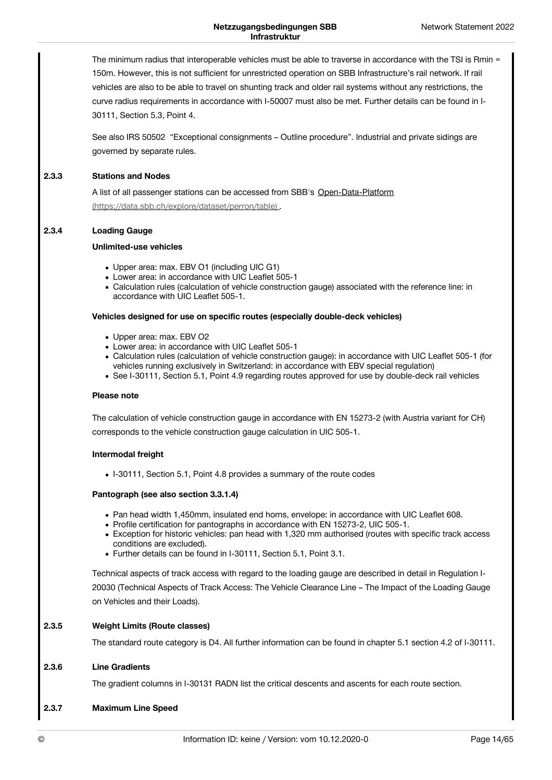The minimum radius that interoperable vehicles must be able to traverse in accordance with the TSI is Rmin = 150m. However, this is not sufficient for unrestricted operation on SBB Infrastructure's rail network. If rail vehicles are also to be able to travel on shunting track and older rail systems without any restrictions, the curve radius requirements in accordance with I-50007 must also be met. Further details can be found in I-30111, Section 5.3, Point 4.

See also IRS 50502 "Exceptional consignments – Outline procedure". Industrial and private sidings are governed by separate rules.

#### **Stations and Nodes 2.3.3**

A list of all passenger stations can be accessed from SBB's Open-Data-Platform [\(https://data.sbb.ch/explore/dataset/perron/table\)](https://data.sbb.ch/explore/dataset/perron/table) .

#### **Loading Gauge 2.3.4**

### **Unlimited-use vehicles**

- Upper area: max. EBV O1 (including UIC G1)
- Lower area: in accordance with UIC Leaflet 505-1
- Calculation rules (calculation of vehicle construction gauge) associated with the reference line: in accordance with UIC Leaflet 505-1.

### **Vehicles designed for use on specific routes (especially double-deck vehicles)**

- Upper area: max. EBV O2
- Lower area: in accordance with UIC Leaflet 505-1
- Calculation rules (calculation of vehicle construction gauge): in accordance with UIC Leaflet 505-1 (for vehicles running exclusively in Switzerland: in accordance with EBV special regulation)
- See I-30111, Section 5.1, Point 4.9 regarding routes approved for use by double-deck rail vehicles

### **Please note**

The calculation of vehicle construction gauge in accordance with EN 15273-2 (with Austria variant for CH) corresponds to the vehicle construction gauge calculation in UIC 505-1.

### **Intermodal freight**

• I-30111, Section 5.1, Point 4.8 provides a summary of the route codes

### **Pantograph (see also section 3.3.1.4)**

- Pan head width 1,450mm, insulated end horns, envelope: in accordance with UIC Leaflet 608.
- Profile certification for pantographs in accordance with EN 15273-2, UIC 505-1.
- Exception for historic vehicles: pan head with 1,320 mm authorised (routes with specific track access conditions are excluded).
- Further details can be found in I-30111, Section 5.1, Point 3.1.

Technical aspects of track access with regard to the loading gauge are described in detail in Regulation I-20030 (Technical Aspects of Track Access: The Vehicle Clearance Line – The Impact of the Loading Gauge on Vehicles and their Loads).

#### **Weight Limits (Route classes) 2.3.5**

The standard route category is D4. All further information can be found in chapter 5.1 section 4.2 of I-30111.

#### **Line Gradients 2.3.6**

The gradient columns in I-30131 RADN list the critical descents and ascents for each route section.

#### **Maximum Line Speed 2.3.7**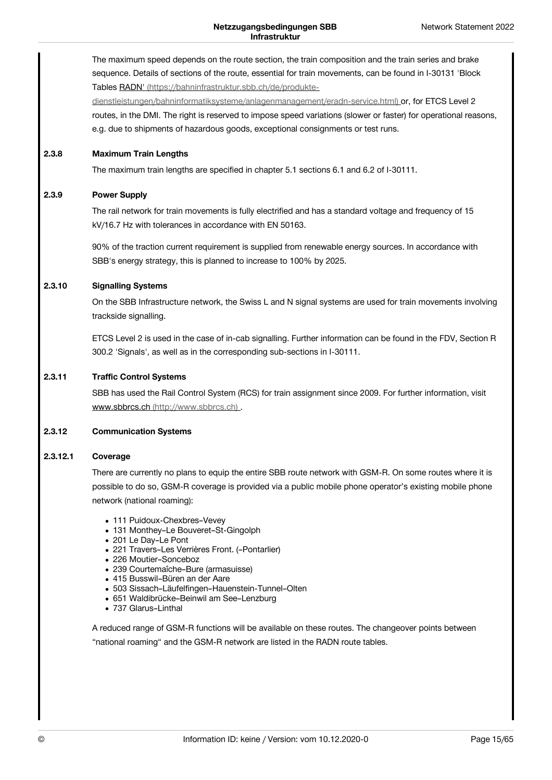The maximum speed depends on the route section, the train composition and the train series and brake sequence. Details of sections of the route, essential for train movements, can be found in I-30131 'Block Tables RADN' (https://bahninfrastruktur.sbb.ch/de/produkte[dienstleistungen/bahninformatiksysteme/anlagenmanagement/eradn-service.html\)](https://bahninfrastruktur.sbb.ch/de/produkte-dienstleistungen/bahninformatiksysteme/anlagenmanagement/eradn-service.html) or, for ETCS Level 2 routes, in the DMI. The right is reserved to impose speed variations (slower or faster) for operational reasons, e.g. due to shipments of hazardous goods, exceptional consignments or test runs. **Maximum Train Lengths** The maximum train lengths are specified in chapter 5.1 sections 6.1 and 6.2 of I-30111. **Power Supply** The rail network for train movements is fully electrified and has a standard voltage and frequency of 15 kV/16.7 Hz with tolerances in accordance with EN 50163. 90% ofthe traction current requirement is supplied from renewable energy sources. In accordance with SBB's energy strategy, this is planned to increase to 100% by 2025. **Signalling Systems** On the SBB Infrastructure network, the Swiss L and N signal systems are used for train movements involving trackside signalling. ETCS Level 2 is used in the case of in-cab signalling. Further information can be found in the FDV, Section R 300.2 'Signals', as well as in the corresponding sub-sections in I-30111. **Traffic Control Systems** SBB has used the Rail Control System (RCS) for train assignment since 2009. For further information, visit www.sbbrcs.ch [\(http://www.sbbrcs.ch\)](http://www.sbbrcs.ch) . **Communication Systems Coverage** There are currently no plans to equip the entire SBB route network with GSM-R. On some routes where it is possible to do so, GSM-R coverage is provided via a public mobile phone operator's existing mobile phone network (national roaming): • 111 Puidoux-Chexbres-Vevey • 131 Monthey-Le Bouveret-St-Gingolph 201 Le Day–Le Pont 221 Travers–Les Verrières Front. (–Pontarlier) 226 Moutier–Sonceboz 239 Courtemaîche–Bure (armasuisse) 415 Busswil–Büren an der Aare 503 Sissach–Läufelfingen–Hauenstein-Tunnel–Olten 651 Waldibrücke–Beinwil am See–Lenzburg **2.3.8 2.3.9 2.3.10 2.3.11 2.3.12 2.3.12.1**

737 Glarus–Linthal

A reduced range of GSM-R functions will be available on these routes. The changeover points between "national roaming" and the GSM-R network are listed in the RADN route tables.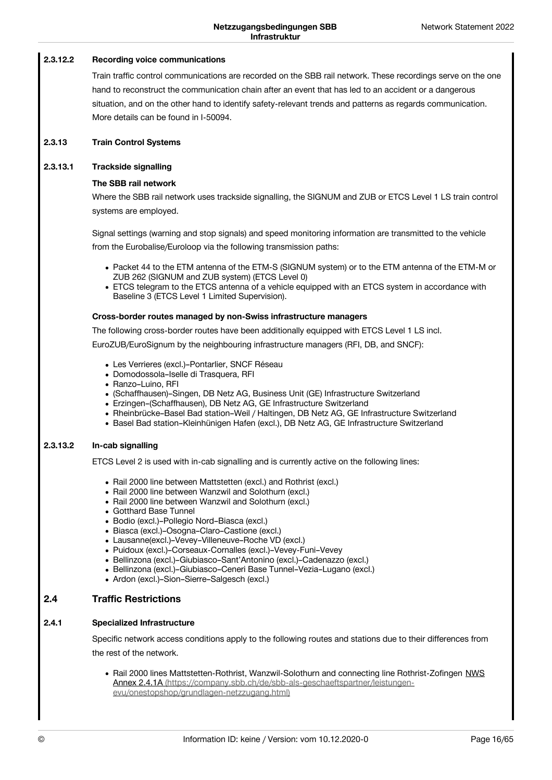#### **Recording voice communications 2.3.12.2**

Train traffic control communications are recorded on the SBB rail network. These recordings serve on the one hand to reconstruct the communication chain after an event that has led to an accident or a dangerous situation, and on the other hand to identify safety-relevant trends and patterns as regards communication. More details can be found in I-50094.

#### **Train Control Systems 2.3.13**

#### **Trackside signalling 2.3.13.1**

### **The SBB rail network**

Where the SBB rail network uses trackside signalling, the SIGNUM and ZUB or ETCS Level 1 LS train control systems are employed.

Signal settings (warning and stop signals) and speed monitoring information are transmitted to the vehicle from the Eurobalise/Euroloop via the following transmission paths:

- Packet 44 to the ETM antenna of the ETM-S (SIGNUM system) or to the ETM antenna of the ETM-M or ZUB 262 (SIGNUM and ZUB system) (ETCS Level 0)
- ETCS telegram to the ETCS antenna of a vehicle equipped with an ETCS system in accordance with Baseline 3 (ETCS Level 1 Limited Supervision).

### **Cross-border routes managed by non-Swiss infrastructure managers**

The following cross-border routes have been additionally equipped with ETCS Level 1 LS incl.

EuroZUB/EuroSignum by the neighbouring infrastructure managers (RFI, DB, and SNCF):

- Les Verrieres (excl.)–Pontarlier, SNCF Réseau
- Domodossola–Iselle di Trasquera, RFI
- Ranzo-Luino, RFI
- (Schaffhausen)–Singen, DB Netz AG, Business Unit (GE) Infrastructure Switzerland
- Erzingen–(Schaffhausen), DB Netz AG, GE Infrastructure Switzerland
- Rheinbrücke–Basel Bad station–Weil / Haltingen, DB Netz AG, GE Infrastructure Switzerland
- Basel Bad station–Kleinhünigen Hafen (excl.), DB Netz AG, GE Infrastructure Switzerland

#### **In-cab signalling 2.3.13.2**

ETCS Level 2 is used with in-cab signalling and is currently active on the following lines:

- Rail 2000 line between Mattstetten (excl.) and Rothrist (excl.)
- Rail 2000 line between Wanzwil and Solothurn (excl.)
- Rail 2000 line between Wanzwil and Solothurn (excl.)
- Gotthard Base Tunnel
- Bodio (excl.)–Pollegio Nord–Biasca (excl.)
- Biasca (excl.)–Osogna–Claro–Castione (excl.)
- Lausanne(excl.)–Vevey–Villeneuve–Roche VD (excl.)
- Puidoux (excl.)–Corseaux-Cornalles (excl.)–Vevey-Funi–Vevey
- Bellinzona (excl.)–Giubiasco–Sant'Antonino (excl.)–Cadenazzo (excl.)
- Bellinzona (excl.)–Giubiasco–Ceneri Base Tunnel–Vezia–Lugano (excl.)
- Ardon (excl.)-Sion-Sierre-Salgesch (excl.)

#### **Traffic Restrictions 2.4**

#### **Specialized Infrastructure 2.4.1**

Specific network access conditions apply to the following routes and stations due to their differences from the rest of the network.

• Rail 2000 lines Mattstetten-Rothrist, Wanzwil-Solothurn and connecting line Rothrist-Zofingen NWS Annex 2.4.1A [\(https://company.sbb.ch/de/sbb-als-geschaeftspartner/leistungen](https://company.sbb.ch/de/sbb-als-geschaeftspartner/leistungen-evu/onestopshop/grundlagen-netzzugang.html)evu/onestopshop/grundlagen-netzzugang.html)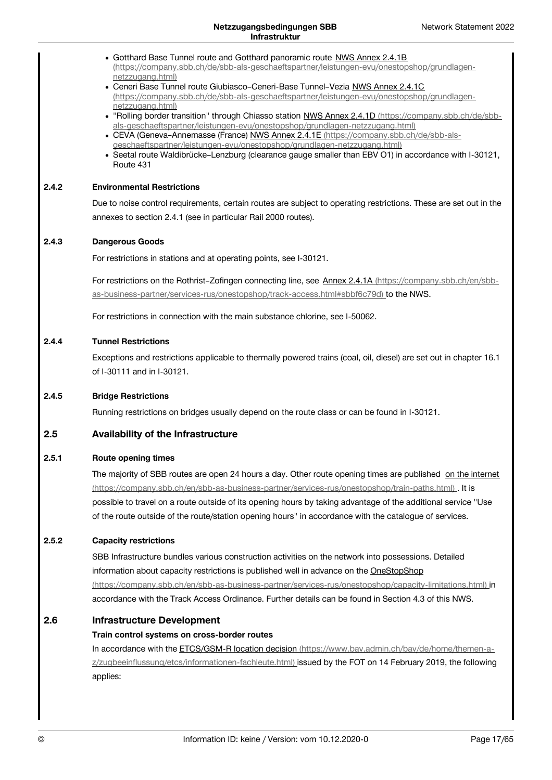|       | • Gotthard Base Tunnel route and Gotthard panoramic route NWS Annex 2.4.1B<br>(https://company.sbb.ch/de/sbb-als-geschaeftspartner/leistungen-evu/onestopshop/grundlagen-<br>netzzugang.html)<br>• Ceneri Base Tunnel route Giubiasco-Ceneri-Base Tunnel-Vezia NWS Annex 2.4.1C<br>(https://company.sbb.ch/de/sbb-als-geschaeftspartner/leistungen-evu/onestopshop/grundlagen-<br>netzzugang.html)<br>. "Rolling border transition" through Chiasso station NWS Annex 2.4.1D (https://company.sbb.ch/de/sbb-<br>als-geschaeftspartner/leistungen-evu/onestopshop/grundlagen-netzzugang.html)<br>• CEVA (Geneva-Annemasse (France) NWS Annex 2.4.1E (https://company.sbb.ch/de/sbb-als-<br>geschaeftspartner/leistungen-evu/onestopshop/grundlagen-netzzugang.html)<br>• Seetal route Waldibrücke-Lenzburg (clearance gauge smaller than EBV O1) in accordance with I-30121,<br>Route 431 |
|-------|------------------------------------------------------------------------------------------------------------------------------------------------------------------------------------------------------------------------------------------------------------------------------------------------------------------------------------------------------------------------------------------------------------------------------------------------------------------------------------------------------------------------------------------------------------------------------------------------------------------------------------------------------------------------------------------------------------------------------------------------------------------------------------------------------------------------------------------------------------------------------------------|
| 2.4.2 | <b>Environmental Restrictions</b>                                                                                                                                                                                                                                                                                                                                                                                                                                                                                                                                                                                                                                                                                                                                                                                                                                                        |
|       | Due to noise control requirements, certain routes are subject to operating restrictions. These are set out in the                                                                                                                                                                                                                                                                                                                                                                                                                                                                                                                                                                                                                                                                                                                                                                        |
|       | annexes to section 2.4.1 (see in particular Rail 2000 routes).                                                                                                                                                                                                                                                                                                                                                                                                                                                                                                                                                                                                                                                                                                                                                                                                                           |
| 2.4.3 | <b>Dangerous Goods</b>                                                                                                                                                                                                                                                                                                                                                                                                                                                                                                                                                                                                                                                                                                                                                                                                                                                                   |
|       | For restrictions in stations and at operating points, see I-30121.                                                                                                                                                                                                                                                                                                                                                                                                                                                                                                                                                                                                                                                                                                                                                                                                                       |
|       | For restrictions on the Rothrist-Zofingen connecting line, see Annex 2.4.1A (https://company.sbb.ch/en/sbb-                                                                                                                                                                                                                                                                                                                                                                                                                                                                                                                                                                                                                                                                                                                                                                              |
|       | as-business-partner/services-rus/onestopshop/track-access.html#sbbf6c79d) to the NWS.                                                                                                                                                                                                                                                                                                                                                                                                                                                                                                                                                                                                                                                                                                                                                                                                    |
|       | For restrictions in connection with the main substance chlorine, see I-50062.                                                                                                                                                                                                                                                                                                                                                                                                                                                                                                                                                                                                                                                                                                                                                                                                            |
| 2.4.4 | <b>Tunnel Restrictions</b>                                                                                                                                                                                                                                                                                                                                                                                                                                                                                                                                                                                                                                                                                                                                                                                                                                                               |
|       | Exceptions and restrictions applicable to thermally powered trains (coal, oil, diesel) are set out in chapter 16.1<br>of I-30111 and in I-30121.                                                                                                                                                                                                                                                                                                                                                                                                                                                                                                                                                                                                                                                                                                                                         |
| 2.4.5 | <b>Bridge Restrictions</b>                                                                                                                                                                                                                                                                                                                                                                                                                                                                                                                                                                                                                                                                                                                                                                                                                                                               |
|       | Running restrictions on bridges usually depend on the route class or can be found in I-30121.                                                                                                                                                                                                                                                                                                                                                                                                                                                                                                                                                                                                                                                                                                                                                                                            |
| 2.5   | <b>Availability of the Infrastructure</b>                                                                                                                                                                                                                                                                                                                                                                                                                                                                                                                                                                                                                                                                                                                                                                                                                                                |
| 2.5.1 | <b>Route opening times</b>                                                                                                                                                                                                                                                                                                                                                                                                                                                                                                                                                                                                                                                                                                                                                                                                                                                               |
|       | The majority of SBB routes are open 24 hours a day. Other route opening times are published on the internet                                                                                                                                                                                                                                                                                                                                                                                                                                                                                                                                                                                                                                                                                                                                                                              |
|       | (https://company.sbb.ch/en/sbb-as-business-partner/services-rus/onestopshop/train-paths.html). It is                                                                                                                                                                                                                                                                                                                                                                                                                                                                                                                                                                                                                                                                                                                                                                                     |
|       | possible to travel on a route outside of its opening hours by taking advantage of the additional service "Use                                                                                                                                                                                                                                                                                                                                                                                                                                                                                                                                                                                                                                                                                                                                                                            |
|       | of the route outside of the route/station opening hours" in accordance with the catalogue of services.                                                                                                                                                                                                                                                                                                                                                                                                                                                                                                                                                                                                                                                                                                                                                                                   |
| 2.5.2 | <b>Capacity restrictions</b>                                                                                                                                                                                                                                                                                                                                                                                                                                                                                                                                                                                                                                                                                                                                                                                                                                                             |
|       | SBB Infrastructure bundles various construction activities on the network into possessions. Detailed                                                                                                                                                                                                                                                                                                                                                                                                                                                                                                                                                                                                                                                                                                                                                                                     |
|       | information about capacity restrictions is published well in advance on the OneStopShop                                                                                                                                                                                                                                                                                                                                                                                                                                                                                                                                                                                                                                                                                                                                                                                                  |
|       | (https://company.sbb.ch/en/sbb-as-business-partner/services-rus/onestopshop/capacity-limitations.html) in<br>accordance with the Track Access Ordinance. Further details can be found in Section 4.3 of this NWS.                                                                                                                                                                                                                                                                                                                                                                                                                                                                                                                                                                                                                                                                        |
|       |                                                                                                                                                                                                                                                                                                                                                                                                                                                                                                                                                                                                                                                                                                                                                                                                                                                                                          |
| 2.6   | <b>Infrastructure Development</b>                                                                                                                                                                                                                                                                                                                                                                                                                                                                                                                                                                                                                                                                                                                                                                                                                                                        |
|       | Train control systems on cross-border routes                                                                                                                                                                                                                                                                                                                                                                                                                                                                                                                                                                                                                                                                                                                                                                                                                                             |
|       | In accordance with the ETCS/GSM-R location decision (https://www.bav.admin.ch/bav/de/home/themen-a-<br>z/zugbeeinflussung/etcs/informationen-fachleute.html) issued by the FOT on 14 February 2019, the following<br>applies:                                                                                                                                                                                                                                                                                                                                                                                                                                                                                                                                                                                                                                                            |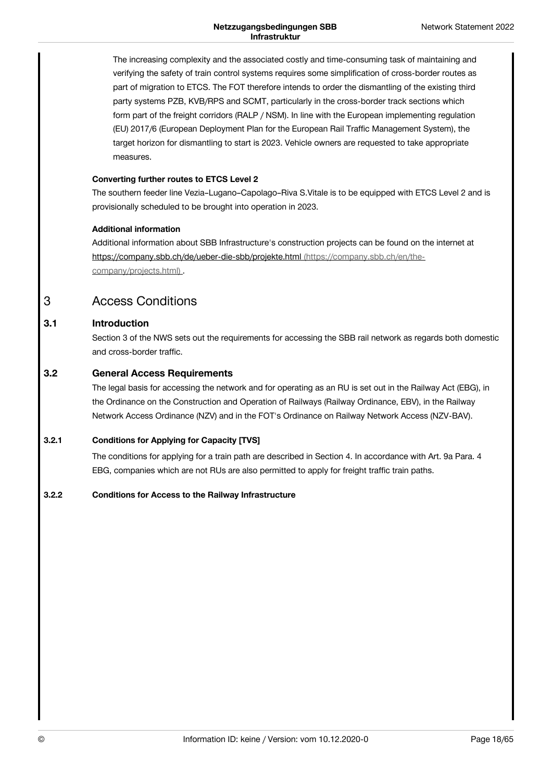The increasing complexity and the associated costly and time-consuming task of maintaining and verifying the safety of train control systems requires some simplification of cross-border routes as part of migration to ETCS. The FOT therefore intends to order the dismantling of the existing third party systems PZB, KVB/RPS and SCMT, particularly in the cross-border track sections which form part of the freight corridors (RALP / NSM). In line with the European implementing regulation (EU) 2017/6 (European Deployment Plan for the European Rail Traffic Management System), the target horizon for dismantling to start is 2023. Vehicle owners are requested to take appropriate measures.

## **Converting further routes to ETCS Level 2**

The southern feeder line Vezia–Lugano–Capolago–Riva S.Vitale is to be equipped with ETCS Level 2 and is provisionally scheduled to be brought into operation in 2023.

## **Additional information**

Additional information about SBB Infrastructure's construction projects can be found on the internet at [https://company.sbb.ch/de/ueber-die-sbb/projekte.html](https://company.sbb.ch/en/the-company/projects.html) (https://company.sbb.ch/en/thecompany/projects.html) .

### <span id="page-17-0"></span>Access Conditions 3

#### **Introduction 3.1**

Section 3 of the NWS sets out the requirements for accessing the SBB rail network as regards both domestic and cross-border traffic.

#### **General Access Requirements 3.2**

The legal basis for accessing the network and for operating as an RU is set out in the Railway Act (EBG), in the Ordinance on the Construction and Operation of Railways (Railway Ordinance, EBV), in the Railway Network Access Ordinance (NZV) and in the FOT's Ordinance on Railway Network Access (NZV-BAV).

#### **Conditions for Applying for Capacity [TVS] 3.2.1**

The conditions for applying for a train path are described in Section 4. In accordance with Art. 9a Para. 4 EBG, companies which are not RUs are also permitted to apply for freight traffic train paths.

#### **Conditions for Access to the Railway Infrastructure 3.2.2**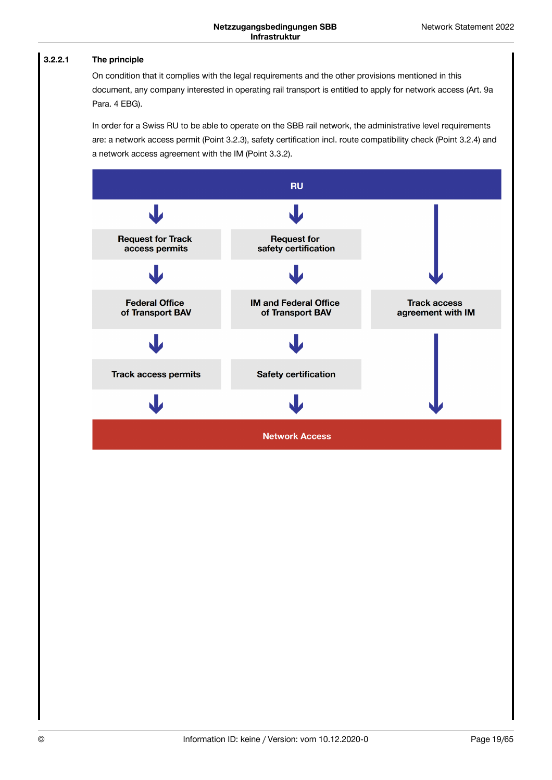#### **The principle 3.2.2.1**

On condition that it complies with the legal requirements and the other provisions mentioned in this document, any company interested in operating rail transport is entitled to apply for network access (Art. 9a Para. 4 EBG).

In order for a Swiss RU to be able to operate on the SBB rail network, the administrative level requirements are: a network access permit (Point 3.2.3), safety certification incl. route compatibility check (Point 3.2.4) and a network access agreement with the IM (Point 3.3.2).

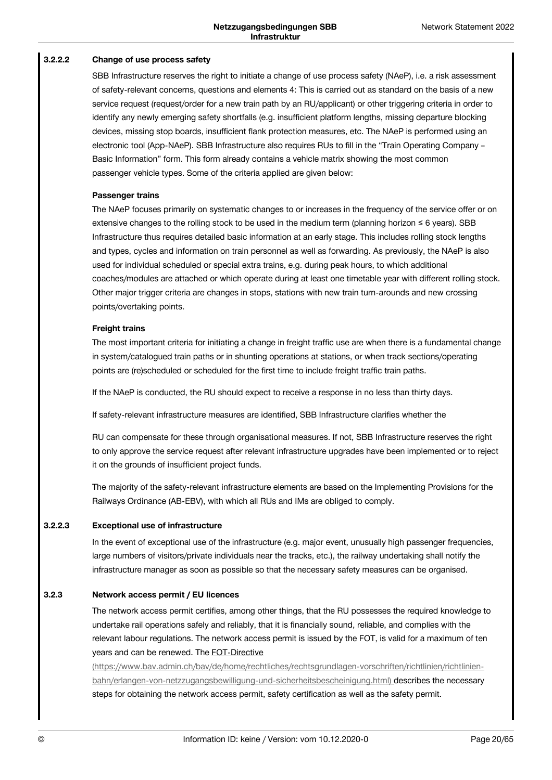#### **Change of use process safety 3.2.2.2**

SBB Infrastructure reserves the right to initiate a change of use process safety (NAeP), i.e. a risk assessment of safety-relevant concerns, questions and elements 4: This is carried out as standard on the basis of a new service request (request/order for a new train path by an RU/applicant) or other triggering criteria in order to identify any newly emerging safety shortfalls (e.g. insufficient platform lengths, missing departure blocking devices, missing stop boards, insufficient flank protection measures, etc. The NAeP is performed using an electronic tool (App-NAeP). SBB Infrastructure also requires RUs to fill in the "Train Operating Company – Basic Information" form. This form already contains a vehicle matrix showing the most common passenger vehicle types. Some of the criteria applied are given below:

### **Passenger trains**

The NAeP focuses primarily on systematic changes to or increases in the frequency of the service offer or on extensive changes to the rolling stock to be used in the medium term (planning horizon  $\leq 6$  years). SBB Infrastructure thus requires detailed basic information at an early stage. This includes rolling stock lengths and types, cycles and information on train personnel as well as forwarding. As previously, the NAeP is also used for individual scheduled or special extra trains, e.g. during peak hours, to which additional coaches/modules are attached or which operate during at least one timetable year with different rolling stock. Other major trigger criteria are changes in stops, stations with new train turn-arounds and new crossing points/overtaking points.

### **Freight trains**

The most important criteria for initiating a change in freight traffic use are when there is a fundamental change in system/catalogued train paths or in shunting operations at stations, or when track sections/operating points are (re)scheduled or scheduled for the first time to include freight traffic train paths.

If the NAeP is conducted, the RU should expect to receive a response in no less than thirty days.

If safety-relevant infrastructure measures are identified, SBB Infrastructure clarifies whether the

RU can compensate for these through organisational measures. If not, SBB Infrastructure reserves the right to only approve the service request after relevant infrastructure upgrades have been implemented or to reject it on the grounds of insufficient project funds.

The majority of the safety-relevant infrastructure elements are based on the Implementing Provisions for the Railways Ordinance (AB-EBV), with which all RUs and IMs are obliged to comply.

#### **Exceptional use of infrastructure 3.2.2.3**

In the event of exceptional use of the infrastructure (e.g. major event, unusually high passenger frequencies, large numbers of visitors/private individuals near the tracks, etc.), the railway undertaking shall notify the infrastructure manager as soon as possible so that the necessary safety measures can be organised.

#### **Network access permit / EU licences 3.2.3**

The network access permit certifies, among other things, that the RU possesses the required knowledge to undertake rail operations safely and reliably, that it is financially sound, reliable, and complies with the relevant labour regulations. The network access permit is issued by the FOT, is valid for a maximum of ten years and can be renewed. The FOT-Directive

[\(https://www.bav.admin.ch/bav/de/home/rechtliches/rechtsgrundlagen-vorschriften/richtlinien/richtlinien](https://www.bav.admin.ch/bav/de/home/rechtliches/rechtsgrundlagen-vorschriften/richtlinien/richtlinien-bahn/erlangen-von-netzzugangsbewilligung-und-sicherheitsbescheinigung.html)bahn/erlangen-von-netzzugangsbewilligung-und-sicherheitsbescheinigung.html) describes the necessary steps for obtaining the network access permit, safety certification as well as the safety permit.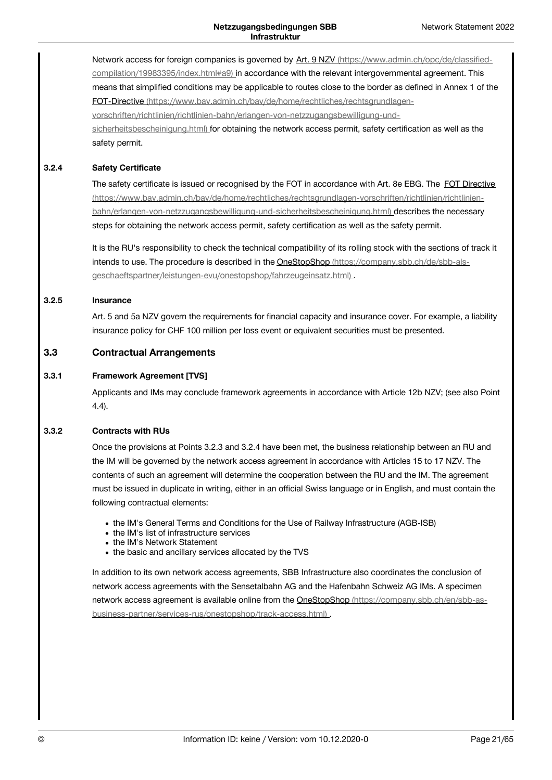Network access for foreign companies is governed by Art. 9 NZV [\(https://www.admin.ch/opc/de/classified](https://www.admin.ch/opc/de/classified-compilation/19983395/index.html#a9)compilation/19983395/index.html#a9) in accordance with the relevant intergovernmental agreement. This means that simplified conditions may be applicable to routes close to the border as defined in Annex 1 of the FOT-Directive (https://www.bav.admin.ch/bav/de/home/rechtliches/rechtsgrundlagen[vorschriften/richtlinien/richtlinien-bahn/erlangen-von-netzzugangsbewilligung-und](https://www.bav.admin.ch/bav/de/home/rechtliches/rechtsgrundlagen-vorschriften/richtlinien/richtlinien-bahn/erlangen-von-netzzugangsbewilligung-und-sicherheitsbescheinigung.html)sicherheitsbescheinigung.html) for obtaining the network access permit, safety certification as well as the safety permit.

#### **Safety Certificate 3.2.4**

The safety certificate is issued or recognised by the FOT in accordance with Art. 8e EBG. The FOT Directive [\(https://www.bav.admin.ch/bav/de/home/rechtliches/rechtsgrundlagen-vorschriften/richtlinien/richtlinien](https://www.bav.admin.ch/bav/de/home/rechtliches/rechtsgrundlagen-vorschriften/richtlinien/richtlinien-bahn/erlangen-von-netzzugangsbewilligung-und-sicherheitsbescheinigung.html)bahn/erlangen-von-netzzugangsbewilligung-und-sicherheitsbescheinigung.html) describes the necessary steps for obtaining the network access permit, safety certification as well as the safety permit.

It is the RU's responsibility to check the technical compatibility of its rolling stock with the sections of track it intends to use. The procedure is described in the OneStopShop (https://company.sbb.ch/de/sbb-als[geschaeftspartner/leistungen-evu/onestopshop/fahrzeugeinsatz.html\)](https://company.sbb.ch/de/sbb-als-geschaeftspartner/leistungen-evu/onestopshop/fahrzeugeinsatz.html) .

#### **Insurance 3.2.5**

Art. 5 and 5a NZV govern the requirements for financial capacity and insurance cover. For example, a liability insurance policy for CHF 100 million per loss event or equivalent securities must be presented.

#### **Contractual Arrangements 3.3**

#### **Framework Agreement [TVS] 3.3.1**

Applicants and IMs may conclude framework agreements in accordance with Article 12b NZV; (see also Point 4.4).

#### **Contracts with RUs 3.3.2**

Once the provisions at Points 3.2.3 and 3.2.4 have been met, the business relationship between an RU and the IM will be governed by the network access agreement in accordance with Articles 15 to 17 NZV. The contents of such an agreement will determine the cooperation between the RU and the IM. The agreement must be issued in duplicate in writing, either in an official Swiss language or in English, and must contain the following contractual elements:

- the IM's General Terms and Conditions for the Use of Railway Infrastructure (AGB-ISB)
- the IM's list of infrastructure services
- the IM's Network Statement
- the basic and ancillary services allocated by the TVS

In addition to its own network access agreements, SBB Infrastructure also coordinates the conclusion of network access agreements with the Sensetalbahn AG and the Hafenbahn Schweiz AG IMs. A specimen network access agreement is available online from the OneStopShop (https://company.sbb.ch/en/sbb-as[business-partner/services-rus/onestopshop/track-access.html\)](https://company.sbb.ch/en/sbb-as-business-partner/services-rus/onestopshop/track-access.html) .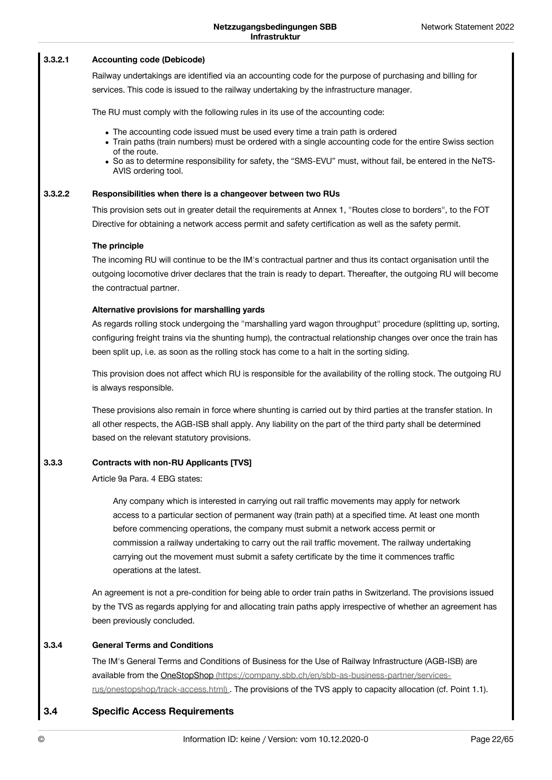#### **Accounting code (Debicode) 3.3.2.1**

Railway undertakings are identified via an accounting code for the purpose of purchasing and billing for services. This code is issued to the railway undertaking by the infrastructure manager.

The RU must comply with the following rules in its use of the accounting code:

- The accounting code issued must be used every time a train path is ordered
- Train paths (train numbers) must be ordered with a single accounting code for the entire Swiss section of the route.
- So as to determine responsibility for safety, the "SMS-EVU" must, without fail, be entered in the NeTS- AVIS ordering tool.

#### **Responsibilities when there is a changeover between two RUs 3.3.2.2**

This provision sets out in greater detail the requirements at Annex 1, "Routes close to borders", to the FOT Directive for obtaining a network access permit and safety certification as well as the safety permit.

### **The principle**

The incoming RU will continue to be the IM's contractual partner and thus its contact organisation until the outgoing locomotive driver declares that the train is ready to depart. Thereafter, the outgoing RU will become the contractual partner.

### **Alternative provisions for marshalling yards**

As regards rolling stock undergoing the "marshalling yard wagon throughput" procedure (splitting up, sorting, configuring freight trains via the shunting hump), the contractual relationship changes over once the train has been split up, i.e. as soon as the rolling stock has come to a halt in the sorting siding.

This provision does not affect which RU is responsible for the availability of the rolling stock. The outgoing RU is always responsible.

These provisions also remain in force where shunting is carried out by third parties at the transfer station. In all other respects, the AGB-ISB shall apply. Any liability on the part of the third party shall be determined based on the relevant statutory provisions.

#### **Contracts with non-RU Applicants [TVS] 3.3.3**

Article 9a Para. 4 EBG states:

Any company which is interested in carrying out rail traffic movements may apply for network access to a particular section of permanent way (train path) at a specified time. At least one month before commencing operations, the company must submit a network access permit or commission a railway undertaking to carry out the rail traffic movement. The railway undertaking carrying out the movement must submit a safety certificate by the time it commences traffic operations at the latest.

An agreement is not a pre-condition for being able to order train paths in Switzerland. The provisions issued by the TVS as regards applying for and allocating train paths apply irrespective of whether an agreement has been previously concluded.

#### **General Terms and Conditions 3.3.4**

The IM's General Terms and Conditions of Business for the Use of Railway Infrastructure (AGB-ISB) are available from the OneStopShop [\(https://company.sbb.ch/en/sbb-as-business-partner/services](https://company.sbb.ch/en/sbb-as-business-partner/services-rus/onestopshop/track-access.html)rus/onestopshop/track-access.html) . The provisions of the TVS apply to capacity allocation (cf. Point 1.1).

#### **Specific Access Requirements 3.4**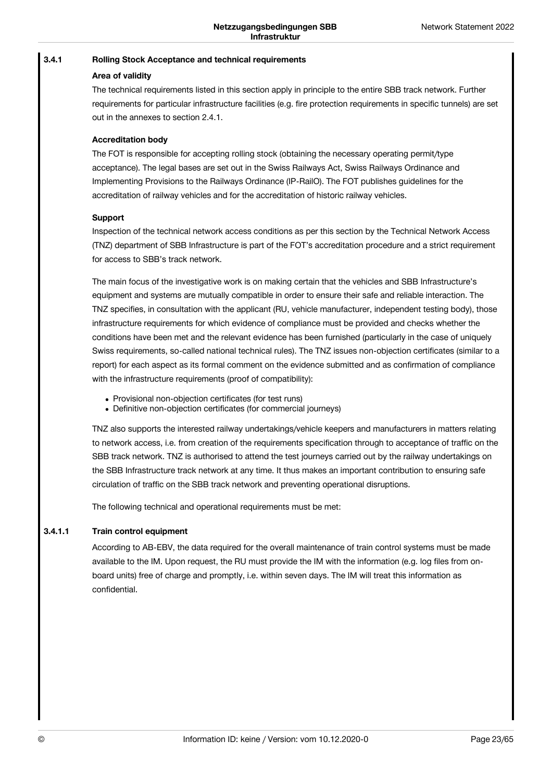#### **Rolling Stock Acceptance and technical requirements 3.4.1**

## **Area of validity**

The technical requirements listed in this section apply in principle to the entire SBB track network. Further requirements for particular infrastructure facilities (e.g. fire protection requirements in specific tunnels) are set out in the annexes to section 2.4.1.

## **Accreditation body**

The FOT is responsible for accepting rolling stock (obtaining the necessary operating permit/type acceptance). The legal bases are set out in the Swiss Railways Act, Swiss Railways Ordinance and Implementing Provisions to the Railways Ordinance (IP-RailO). The FOT publishes guidelines for the accreditation of railway vehicles and for the accreditation of historic railway vehicles.

## **Support**

Inspection of the technical network access conditions as per this section by the Technical Network Access (TNZ) department of SBB Infrastructure is part of the FOT's accreditation procedure and a strict requirement for access to SBB's track network.

The main focus of the investigative work is on making certain that the vehicles and SBB Infrastructure's equipment and systems are mutually compatible in order to ensure their safe and reliable interaction. The TNZ specifies, in consultation with the applicant (RU, vehicle manufacturer, independent testing body), those infrastructure requirements for which evidence of compliance must be provided and checks whether the conditions have been met and the relevant evidence has been furnished (particularly in the case of uniquely Swiss requirements, so-called national technical rules). The TNZ issues non-objection certificates (similar to a report) for each aspect as its formal comment on the evidence submitted and as confirmation of compliance with the infrastructure requirements (proof of compatibility):

- Provisional non-objection certificates (for test runs)
- Definitive non-objection certificates (for commercial journeys)

TNZ also supports the interested railway undertakings/vehicle keepers and manufacturers in matters relating to network access, i.e. from creation of the requirements specification through to acceptance of traffic on the SBB track network. TNZ is authorised to attend the test journeys carried out by the railway undertakings on the SBB Infrastructure track network at any time. It thus makes an important contribution to ensuring safe circulation of traffic on the SBB track network and preventing operational disruptions.

The following technical and operational requirements must be met:

#### **Train control equipment 3.4.1.1**

According to AB-EBV, the data required for the overall maintenance of train control systems must be made available to the IM. Upon request, the RU must provide the IM with the information (e.g. log files from onboard units) free of charge and promptly, i.e. within seven days. The IM will treat this information as confidential.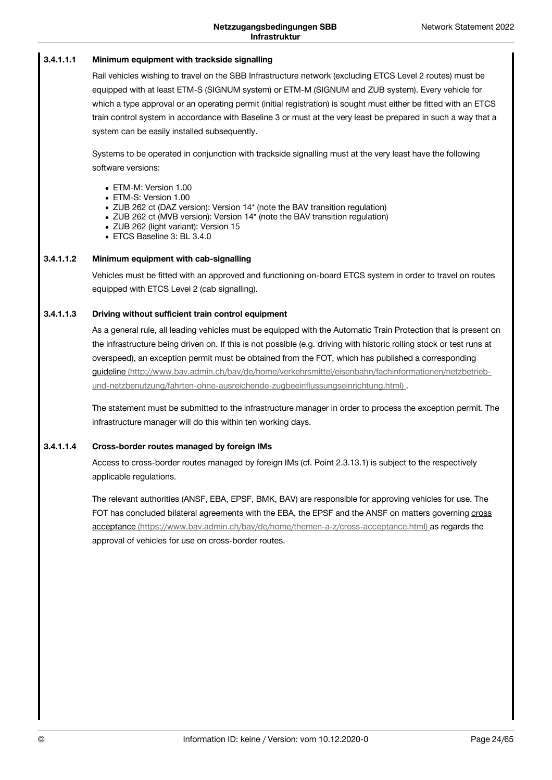#### **Minimum equipment with trackside signalling 3.4.1.1.1**

Rail vehicles wishing to travel on the SBB Infrastructure network (excluding ETCS Level 2 routes) must be equipped with at least ETM-S (SIGNUM system) or ETM-M (SIGNUM and ZUB system). Every vehicle for which a type approval or an operating permit (initial registration) is sought must either be fitted with an ETCS train control system in accordance with Baseline 3 or must at the very least be prepared in such a way that a system can be easily installed subsequently.

Systems to be operated in conjunction with trackside signalling must at the very least have the following software versions:

- ETM-M: Version 1.00
- ETM-S: Version 1.00
- ZUB 262 ct (DAZ version): Version 14\* (note the BAV transition regulation)
- ZUB 262 ct (MVB version): Version 14\* (note the BAV transition regulation)
- ZUB 262 (light variant): Version 15
- ETCS Baseline 3: BL 3.4.0

#### **Minimum equipment with cab-signalling 3.4.1.1.2**

Vehicles must be fitted with an approved and functioning on-board ETCS system in order to travel on routes equipped with ETCS Level 2 (cab signalling).

#### **Driving without sufficient train control equipment 3.4.1.1.3**

As a general rule, all leading vehicles must be equipped with the Automatic Train Protection that is present on the infrastructure being driven on. If this is not possible (e.g. driving with historic rolling stock or test runs at overspeed), an exception permit must be obtained from the FOT, which has published a corresponding guideline [\(http://www.bav.admin.ch/bav/de/home/verkehrsmittel/eisenbahn/fachinformationen/netzbetrieb](http://www.bav.admin.ch/bav/de/home/verkehrsmittel/eisenbahn/fachinformationen/netzbetrieb-und-netzbenutzung/fahrten-ohne-ausreichende-zugbeeinflussungseinrichtung.html)und-netzbenutzung/fahrten-ohne-ausreichende-zugbeeinflussungseinrichtung.html).

The statement must be submitted to the infrastructure manager in order to process the exception permit. The infrastructure manager will do this within ten working days.

#### **Cross-border routes managed by foreign IMs 3.4.1.1.4**

Access to cross-border routes managed by foreign IMs (cf. Point 2.3.13.1) is subject to the respectively applicable regulations.

The relevant authorities (ANSF, EBA, EPSF, BMK, BAV) are responsible for approving vehicles for use. The FOT has concluded bilateral agreements with the EBA, the EPSF and the ANSF on matters governing cross acceptance [\(https://www.bav.admin.ch/bav/de/home/themen-a-z/cross-acceptance.html\)](https://www.bav.admin.ch/bav/de/home/themen-a-z/cross-acceptance.html) as regards the approval of vehicles for use on cross-border routes.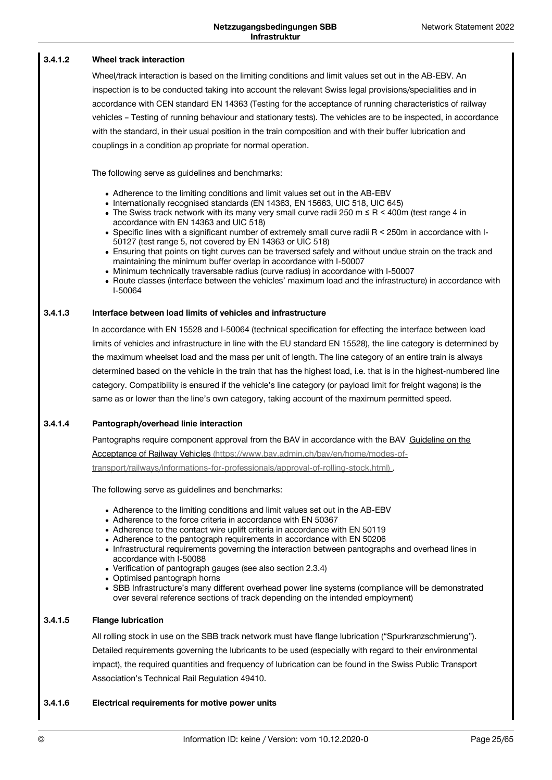#### **Wheel track interaction 3.4.1.2**

Wheel/track interaction is based on the limiting conditions and limit values set out in the AB-EBV. An inspection is to be conducted taking into account the relevant Swiss legal provisions/specialities and in accordance with CEN standard EN 14363 (Testing for the acceptance of running characteristics of railway vehicles – Testing of running behaviour and stationary tests). The vehicles are to be inspected, in accordance with the standard, in their usual position in the train composition and with their buffer lubrication and couplings in a condition ap propriate for normal operation.

The following serve as guidelines and benchmarks:

- Adherence to the limiting conditions and limit values set out in the AB-EBV
- Internationally recognised standards (EN 14363, EN 15663, UIC 518, UIC 645)
- The Swiss track network with its many very small curve radii 250 m  $\leq$  R  $\leq$  400m (test range 4 in accordance with EN 14363 and UIC 518)
- Specific lines with a significant number of extremely small curve radii R < 250m in accordance with I-50127 (test range 5, not covered by EN 14363 or UIC 518)
- Ensuring that points on tight curves can be traversed safely and without undue strain on the track and maintaining the minimum buffer overlap in accordance with I-50007
- Minimum technically traversable radius (curve radius) in accordance with I-50007
- Route classes (interface between the vehicles' maximum load and the infrastructure) in accordance with I-50064

#### **Interface between load limits of vehicles and infrastructure 3.4.1.3**

In accordance with EN 15528 and I-50064 (technical specification for effecting the interface between load limits of vehicles and infrastructure in line with the EU standard EN 15528), the line category is determined by the maximum wheelset load and the mass per unit of length. The line category of an entire train is always determined based on the vehicle in the train that has the highest load, i.e. that is in the highest-numbered line category. Compatibility is ensured if the vehicle's line category (or payload limit for freight wagons) is the same as or lower than the line's own category, taking account of the maximum permitted speed.

#### **Pantograph/overhead linie interaction 3.4.1.4**

Pantographs require component approval from the BAV in accordance with the BAV Guideline on the Acceptance of Railway Vehicles (https://www.bav.admin.ch/bav/en/home/modes-of[transport/railways/informations-for-professionals/approval-of-rolling-stock.html\)](https://www.bav.admin.ch/bav/en/home/modes-of-transport/railways/informations-for-professionals/approval-of-rolling-stock.html) .

The following serve as guidelines and benchmarks:

- Adherence to the limiting conditions and limit values set out in the AB-EBV
- Adherence to the force criteria in accordance with EN 50367
- Adherence to the contact wire uplift criteria in accordance with EN 50119
- Adherence to the pantograph requirements in accordance with EN 50206
- Infrastructural requirements governing the interaction between pantographs and overhead lines in accordance with I-50088
- Verification of pantograph gauges (see also section 2.3.4)
- Optimised pantograph horns
- SBB Infrastructure's many different overhead power line systems (compliance will be demonstrated over several reference sections of track depending on the intended employment)

#### **Flange lubrication 3.4.1.5**

All rolling stock in use on the SBB track network must have flange lubrication ("Spurkranzschmierung"). Detailed requirements governing the lubricants to be used (especially with regard to their environmental impact), the required quantities and frequency of lubrication can be found in the Swiss Public Transport Association's Technical Rail Regulation 49410.

#### **Electrical requirements for motive power units 3.4.1.6**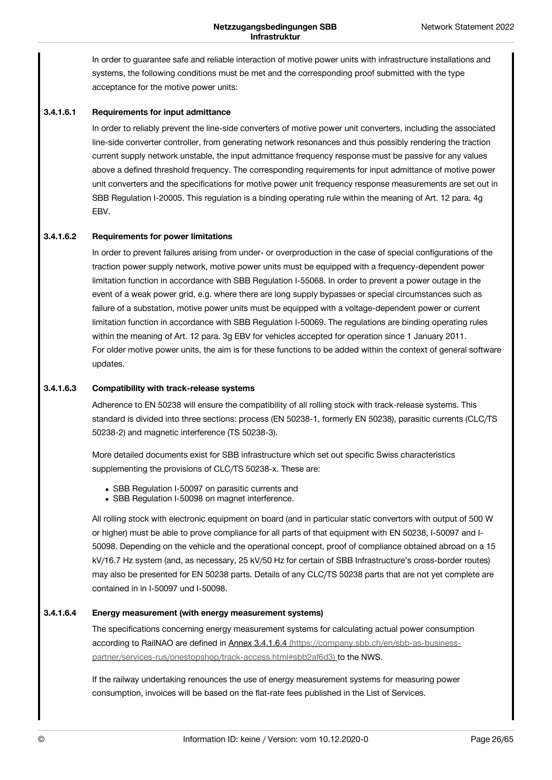In order to guarantee safe and reliable interaction of motive power units with infrastructure installations and systems, the following conditions must be met and the corresponding proof submitted with the type acceptance for the motive power units:

#### **Requirements for input admittance 3.4.1.6.1**

In order to reliably prevent the line-side converters of motive power unit converters, including the associated line-side converter controller, from generating network resonances and thus possibly rendering the traction current supply network unstable, the input admittance frequency response must be passive for any values above a defined threshold frequency. The corresponding requirements for input admittance of motive power unit converters and the specifications for motive power unit frequency response measurements are set out in SBB Regulation I-20005. This regulation is a binding operating rule within the meaning of Art. 12 para. 4g **FRV** 

#### **Requirements for power limitations 3.4.1.6.2**

In order to prevent failures arising from under- or overproduction in the case of special configurations of the traction power supply network, motive power units must be equipped with a frequency-dependent power limitation function in accordance with SBB Regulation I-55068. In order to prevent a power outage in the event of a weak power grid, e.g. where there are long supply bypasses or special circumstances such as failure of a substation, motive power units must be equipped with a voltage-dependent power or current limitation function in accordance with SBB Regulation I-50069. The regulations are binding operating rules within the meaning of Art. 12 para. 3g EBV for vehicles accepted for operation since 1 January 2011. For older motive power units, the aim is for these functions to be added within the context of general software updates.

#### **Compatibility with track-release systems 3.4.1.6.3**

Adherence to EN 50238 will ensure the compatibility of all rolling stock with track-release systems. This standard is divided into three sections: process (EN 50238-1, formerly EN 50238), parasitic currents (CLC/TS 50238-2) and magnetic interference (TS 50238-3).

More detailed documents exist for SBB infrastructure which set out specific Swiss characteristics supplementing the provisions of CLC/TS 50238-x. These are:

- SBB Regulation I-50097 on parasitic currents and
- SBB Regulation I-50098 on magnet interference.

All rolling stock with electronic equipment on board (and in particular static convertors with output of 500 W or higher) must be able to prove compliance for all parts of that equipment with EN 50238, I-50097 and I-50098. Depending on the vehicle and the operational concept, proof of compliance obtained abroad on a 15 kV/16.7 Hz system (and, as necessary, 25 kV/50 Hz for certain of SBB Infrastructure's cross-border routes) may also be presented for EN 50238 parts. Details of any CLC/TS 50238 parts that are not yet complete are contained in in I-50097 und I-50098.

#### **Energy measurement (with energy measurement systems) 3.4.1.6.4**

The specifications concerning energy measurement systems for calculating actual power consumption according to RailNAO are defined in Annex 3.4.1.6.4 (https://company.sbb.ch/en/sbb-as-business[partner/services-rus/onestopshop/track-access.html#sbb2af6d3\)](https://company.sbb.ch/en/sbb-as-business-partner/services-rus/onestopshop/track-access.html#sbb2af6d3) to the NWS.

If the railway undertaking renounces the use of energy measurement systems for measuring power consumption, invoices will be based on the flat-rate fees published in the List of Services.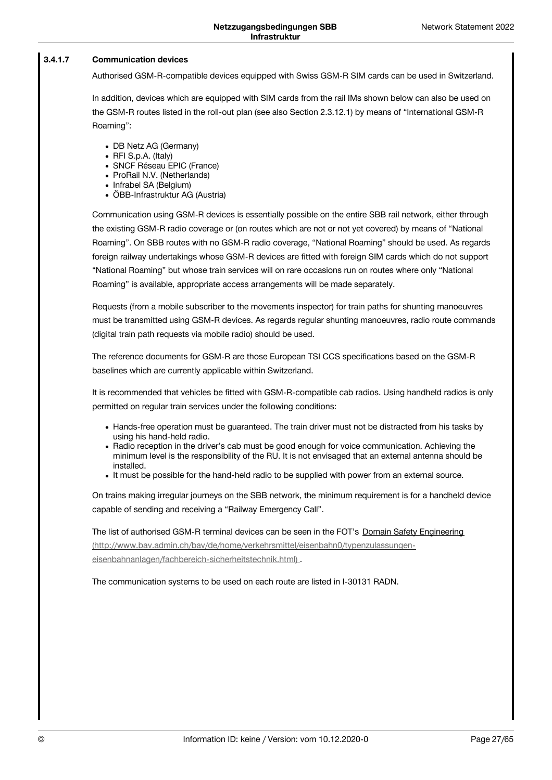#### **Communication devices 3.4.1.7**

Authorised GSM-R-compatible devices equipped with Swiss GSM-R SIM cards can be used in Switzerland.

In addition, devices which are equipped with SIM cards from the rail IMs shown below can also be used on the GSM-R routes listed in the roll-out plan (see also Section 2.3.12.1) by means of "International GSM-R Roaming":

- DB Netz AG (Germany)
- RFI S.p.A. (Italy)
- SNCF Réseau EPIC (France)
- ProRail N.V. (Netherlands)
- Infrabel SA (Belgium)
- ÖBB-Infrastruktur AG (Austria)

Communication using GSM-R devices is essentially possible on the entire SBB rail network, either through the existing GSM-R radio coverage or (on routes which are not or not yet covered) by means of "National Roaming". On SBB routes with no GSM-R radio coverage, "National Roaming" should be used. As regards foreign railway undertakings whose GSM-R devices are fitted with foreign SIM cards which do not support "National Roaming" but whose train services will on rare occasions run on routes where only "National Roaming" is available, appropriate access arrangements will be made separately.

Requests (from a mobile subscriber to the movements inspector) for train paths for shunting manoeuvres must be transmitted using GSM-R devices. As regards regular shunting manoeuvres, radio route commands (digital train path requests via mobile radio) should be used.

The reference documents for GSM-R are those European TSI CCS specifications based on the GSM-R baselines which are currently applicable within Switzerland.

It is recommended that vehicles be fitted with GSM-R-compatible cab radios. Using handheld radios is only permitted on regular train services under the following conditions:

- Hands-free operation must be guaranteed. The train driver must not be distracted from his tasks by using his hand-held radio.
- Radio reception in the driver's cab must be good enough for voice communication. Achieving the minimum level is the responsibility of the RU. It is not envisaged that an external antenna should be installed.
- It must be possible for the hand-held radio to be supplied with power from an external source.

On trains making irregular journeys on the SBB network, the minimum requirement is for a handheld device capable of sending and receiving a "Railway Emergency Call".

The list of authorised GSM-R terminal devices can be seen in the FOT's Domain Safety Engineering [\(http://www.bav.admin.ch/bav/de/home/verkehrsmittel/eisenbahn0/typenzulassungen](http://www.bav.admin.ch/bav/de/home/verkehrsmittel/eisenbahn0/typenzulassungen-eisenbahnanlagen/fachbereich-sicherheitstechnik.html)eisenbahnanlagen/fachbereich-sicherheitstechnik.html) .

The communication systems to be used on each route are listed in I-30131 RADN.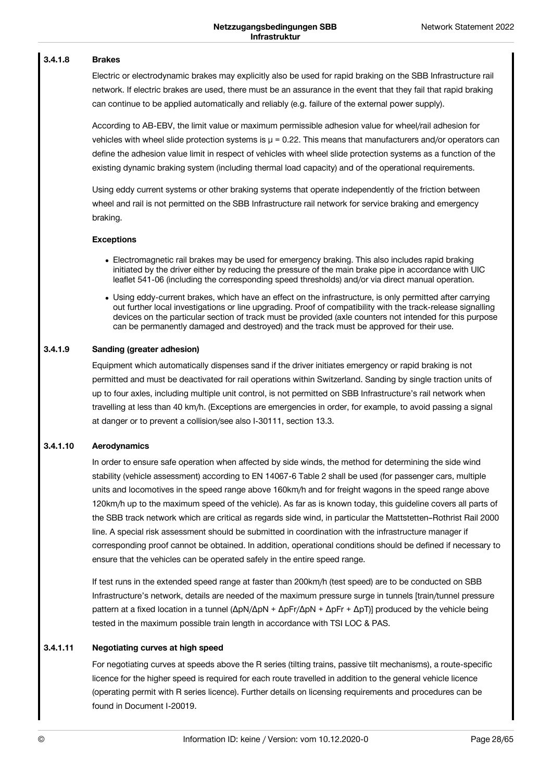#### **Brakes 3.4.1.8**

Electric or electrodynamic brakes may explicitly also be used for rapid braking on the SBB Infrastructure rail network. If electric brakes are used, there must be an assurance in the event that they fail that rapid braking can continue to be applied automatically and reliably (e.g. failure of the external power supply).

According to AB-EBV, the limit value or maximum permissible adhesion value for wheel/rail adhesion for vehicles with wheel slide protection systems is  $\mu$  = 0.22. This means that manufacturers and/or operators can define the adhesion value limit in respect of vehicles with wheel slide protection systems as a function of the existing dynamic braking system (including thermal load capacity) and of the operational requirements.

Using eddy current systems or other braking systems that operate independently of the friction between wheel and rail is not permitted on the SBB Infrastructure rail network for service braking and emergency braking.

### **Exceptions**

- Electromagnetic rail brakes may be used for emergency braking. This also includes rapid braking initiated by the driver either by reducing the pressure of the main brake pipe in accordance with UIC leaflet 541-06 (including the corresponding speed thresholds) and/or via direct manual operation.
- Using eddy-current brakes, which have an effect on the infrastructure, is only permitted after carrying out further local investigations or line upgrading. Proof of compatibility with the track-release signalling devices on the particular section of track must be provided (axle counters not intended for this purpose can be permanently damaged and destroyed) and the track must be approved for their use.

#### **Sanding (greater adhesion) 3.4.1.9**

Equipment which automatically dispenses sand if the driver initiates emergency or rapid braking is not permitted and must be deactivated for rail operations within Switzerland. Sanding by single traction units of up to four axles, including multiple unit control, is not permitted on SBB Infrastructure's rail network when travelling at less than 40 km/h. (Exceptions are emergencies in order, for example, to avoid passing a signal at danger or to prevent a collision/see also I-30111, section 13.3.

#### **Aerodynamics 3.4.1.10**

In order to ensure safe operation when affected by side winds, the method for determining the side wind stability (vehicle assessment) according to EN 14067-6 Table 2 shall be used (for passenger cars, multiple units and locomotives in the speed range above 160km/h and for freight wagons in the speed range above 120km/h up to the maximum speed of the vehicle). As far as is known today, this guideline covers all parts of the SBB track network which are critical as regards side wind, in particular the Mattstetten–Rothrist Rail 2000 line. A special risk assessment should be submitted in coordination with the infrastructure manager if corresponding proof cannot be obtained. In addition, operational conditions should be defined if necessary to ensure that the vehicles can be operated safely in the entire speed range.

If test runs in the extended speed range at faster than 200km/h (test speed) are to be conducted on SBB Infrastructure's network, details are needed of the maximum pressure surge in tunnels [train/tunnel pressure pattern at a fixed location in a tunnel (ΔpN/ΔpN + ΔpFr/ΔpN + ΔpFr + ΔpT)] produced by the vehicle being tested in the maximum possible train length in accordance with TSI LOC & PAS.

#### **Negotiating curves at high speed 3.4.1.11**

For negotiating curves at speeds above the R series (tilting trains, passive tilt mechanisms), a route-specific licence for the higher speed is required for each route travelled in addition to the general vehicle licence (operating permit with R series licence). Further details on licensing requirements and procedures can be found in Document I-20019.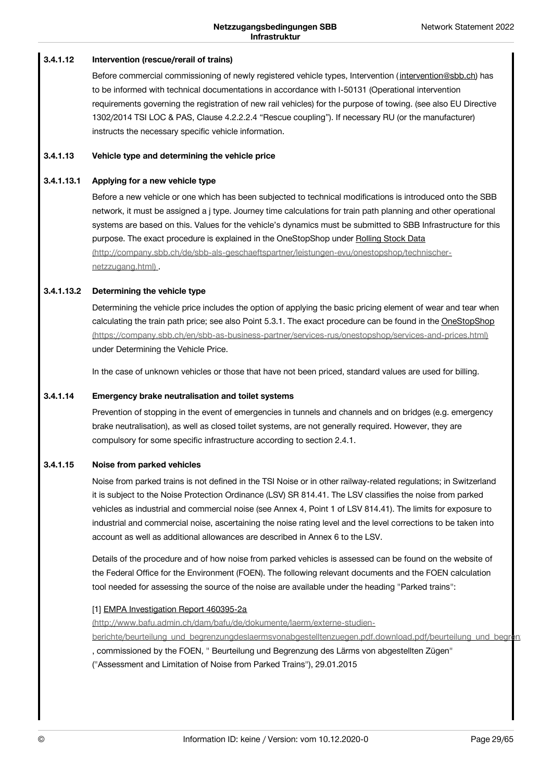#### **Intervention (rescue/rerail of trains) 3.4.1.12**

Before commercial commissioning of newly registered vehicle types, Intervention ([intervention@sbb.ch](javascript:linkDecryptEmail()) has to be informed with technical documentations in accordance with I-50131 (Operational intervention requirements governing the registration of new rail vehicles) for the purpose of towing. (see also EU Directive 1302/2014 TSI LOC & PAS, Clause 4.2.2.2.4 "Rescue coupling"). If necessary RU (or the manufacturer) instructs the necessary specific vehicle information.

#### **Vehicle type and determining the vehicle price 3.4.1.13**

#### **Applying for a new vehicle type 3.4.1.13.1**

Before a new vehicle or one which has been subjected to technical modifications is introduced onto the SBB network, it must be assigned a j type. Journey time calculations for train path planning and other operational systems are based on this. Values for the vehicle's dynamics must be submitted to SBB Infrastructure for this purpose. The exact procedure is explained in the OneStopShop under Rolling Stock Data [\(http://company.sbb.ch/de/sbb-als-geschaeftspartner/leistungen-evu/onestopshop/technischer](http://company.sbb.ch/de/sbb-als-geschaeftspartner/leistungen-evu/onestopshop/technischer-netzzugang.html)netzzugang.html) .

### **Determining the vehicle type 3.4.1.13.2**

Determining the vehicle price includes the option of applying the basic pricing element of wear and tear when calculating the train path price; see also Point 5.3.1. The exact procedure can be found in the OneStopShop [\(https://company.sbb.ch/en/sbb-as-business-partner/services-rus/onestopshop/services-and-prices.html\)](https://company.sbb.ch/en/sbb-as-business-partner/services-rus/onestopshop/services-and-prices.html) under Determining the Vehicle Price.

In the case of unknown vehicles or those that have not been priced, standard values are used for billing.

#### **Emergency brake neutralisation and toilet systems 3.4.1.14**

Prevention of stopping in the event of emergencies in tunnels and channels and on bridges (e.g. emergency brake neutralisation), as well as closed toilet systems, are not generally required. However, they are compulsory for some specific infrastructure according to section 2.4.1.

#### **Noise from parked vehicles 3.4.1.15**

Noise from parked trains is not defined in the TSI Noise or in other railway-related regulations; in Switzerland it is subject to the Noise Protection Ordinance (LSV) SR 814.41. The LSV classifies the noise from parked vehicles as industrial and commercial noise (see Annex 4, Point 1 of LSV 814.41). The limits for exposure to industrial and commercial noise, ascertaining the noise rating level and the level corrections to be taken into account as well as additional allowances are described in Annex 6 to the LSV.

Details of the procedure and of how noise from parked vehicles is assessed can be found on the website of the Federal Office for the Environment (FOEN). The following relevant documents and the FOEN calculation tool needed for assessing the source of the noise are available under the heading "Parked trains":

### [1] EMPA Investigation Report 460395-2a

(http://www.bafu.admin.ch/dam/bafu/de/dokumente/laerm/externe-studien-

berichte/beurteilung\_und\_begrenzungdeslaermsvonabgestelltenzuegen.pdf.download.pdf/beurteilung\_und\_begren. , commissioned by the FOEN, " Beurteilung und Begrenzung des Lärms von abgestellten Zügen" ("Assessment and Limitation of Noise from Parked Trains"), 29.01.2015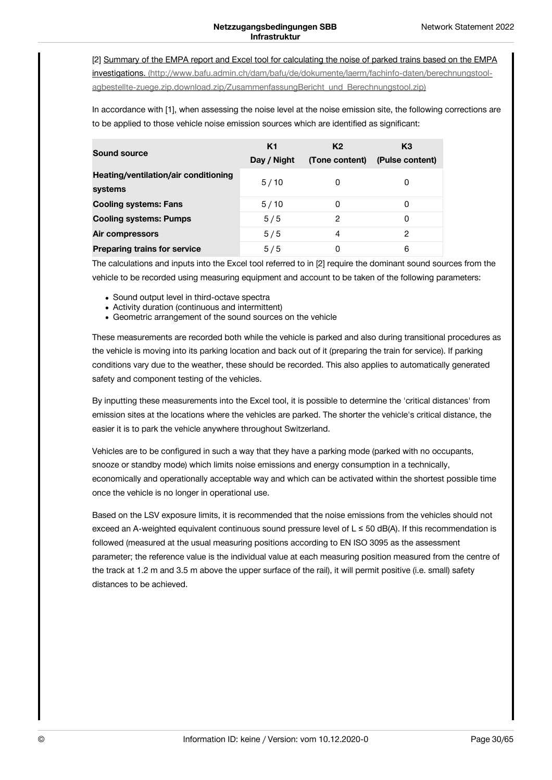[2] Summary of the EMPA report and Excel tool for calculating the noise of parked trains based on the EMPA investigations. [\(http://www.bafu.admin.ch/dam/bafu/de/dokumente/laerm/fachinfo-daten/berechnungstool](http://www.bafu.admin.ch/dam/bafu/de/dokumente/laerm/fachinfo-daten/berechnungstool-agbestellte-zuege.zip.download.zip/ZusammenfassungBericht_und_Berechnungstool.zip)agbestellte-zuege.zip.download.zip/ZusammenfassungBericht\_und\_Berechnungstool.zip)

In accordance with [1], when assessing the noise level at the noise emission site, the following corrections are to be applied to those vehicle noise emission sources which are identified as significant:

| <b>Sound source</b>                             | K <sub>1</sub><br>Day / Night | K <sub>2</sub><br>(Tone content) | K <sub>3</sub><br>(Pulse content) |
|-------------------------------------------------|-------------------------------|----------------------------------|-----------------------------------|
| Heating/ventilation/air conditioning<br>systems | 5/10                          | 0                                | 0                                 |
| <b>Cooling systems: Fans</b>                    | 5/10                          | 0                                | 0                                 |
| <b>Cooling systems: Pumps</b>                   | 5/5                           | 2                                | 0                                 |
| Air compressors                                 | 5/5                           | 4                                | 2                                 |
| <b>Preparing trains for service</b>             | 5/5                           | 0                                | 6                                 |

The calculations and inputs into the Excel tool referred to in [2] require the dominant sound sources from the vehicle to be recorded using measuring equipment and account to be taken of the following parameters:

- Sound output level in third-octave spectra
- Activity duration (continuous and intermittent)
- Geometric arrangement of the sound sources on the vehicle

These measurements are recorded both while the vehicle is parked and also during transitional procedures as the vehicle is moving into its parking location and back out of it (preparing the train for service). If parking conditions vary due to the weather, these should be recorded. This also applies to automatically generated safety and component testing of the vehicles.

By inputting these measurements into the Excel tool, it is possible to determine the 'critical distances' from emission sites at the locations where the vehicles are parked. The shorter the vehicle's critical distance, the easier it is to park the vehicle anywhere throughout Switzerland.

Vehicles are to be configured in such a way that they have a parking mode (parked with no occupants, snooze or standby mode) which limits noise emissions and energy consumption in a technically, economically and operationally acceptable way and which can be activated within the shortest possible time once the vehicle is no longer in operational use.

Based on the LSV exposure limits, it is recommended that the noise emissions from the vehicles should not exceed an A-weighted equivalent continuous sound pressure level of L ≤ 50 dB(A). If this recommendation is followed (measured at the usual measuring positions according to EN ISO 3095 as the assessment parameter; the reference value is the individual value at each measuring position measured from the centre of the track at 1.2 m and 3.5 m above the upper surface of the rail), it will permit positive (i.e. small) safety distances to be achieved.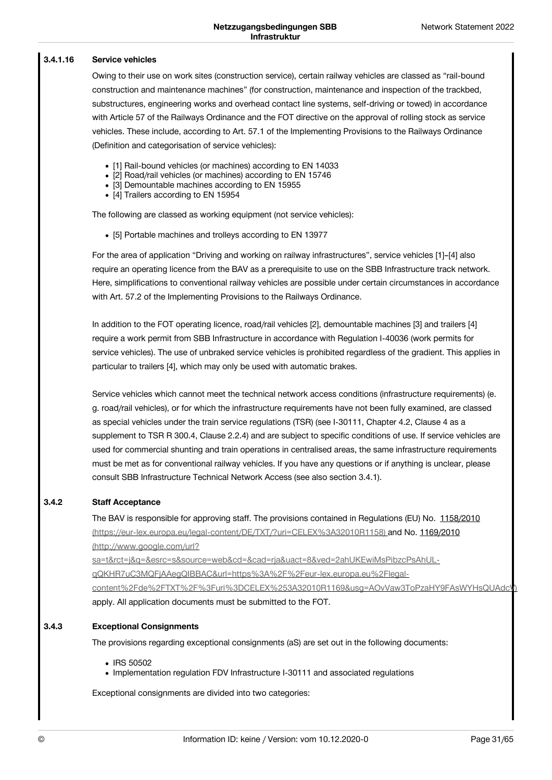#### **Service vehicles 3.4.1.16**

Owing to their use on work sites (construction service), certain railway vehicles are classed as "rail-bound construction and maintenance machines" (for construction, maintenance and inspection of the trackbed, substructures, engineering works and overhead contact line systems, self-driving or towed) in accordance with Article 57 of the Railways Ordinance and the FOT directive on the approval of rolling stock as service vehicles. These include, according to Art. 57.1 of the Implementing Provisions to the Railways Ordinance (Definition and categorisation of service vehicles):

- [1] Rail-bound vehicles (or machines) according to EN 14033
- [2] Road/rail vehicles (or machines) according to EN 15746
- [3] Demountable machines according to EN 15955
- [4] Trailers according to EN 15954

The following are classed as working equipment (not service vehicles):

[5] Portable machines and trolleys according to EN 13977

For the area of application "Driving and working on railway infrastructures", service vehicles [1]–[4] also require an operating licence from the BAV as a prerequisite to use on the SBB Infrastructure track network. Here, simplifications to conventional railway vehicles are possible under certain circumstances in accordance with Art. 57.2 of the Implementing Provisions to the Railways Ordinance.

In addition to the FOT operating licence, road/rail vehicles [2], demountable machines [3] and trailers [4] require a work permit from SBB Infrastructure in accordance with Regulation I-40036 (work permits for service vehicles). The use of unbraked service vehicles is prohibited regardless of the gradient. This applies in particular to trailers [4], which may only be used with automatic brakes.

Service vehicles which cannot meet the technical network access conditions (infrastructure requirements) (e. g. road/rail vehicles), or for which the infrastructure requirements have not been fully examined, are classed as special vehicles under the train service regulations (TSR) (see I-30111, Chapter 4.2, Clause 4 as a supplement to TSR R 300.4, Clause 2.2.4) and are subject to specific conditions of use. If service vehicles are used for commercial shunting and train operations in centralised areas, the same infrastructure requirements must be met as for conventional railway vehicles. If you have any questions or if anything is unclear, please consult SBB Infrastructure Technical Network Access (see also section 3.4.1).

#### **Staff Acceptance 3.4.2**

The BAV is responsible for approving staff. The provisions contained in Regulations (EU) No. 1158/2010 [\(https://eur-lex.europa.eu/legal-content/DE/TXT/?uri=CELEX%3A32010R1158\)](https://eur-lex.europa.eu/legal-content/DE/TXT/?uri=CELEX%253A32010R1158) and No. 1169/2010 (http://www.google.com/url?

sa=t&rct=j&q=&esrc=s&source=web&cd=&cad=rja&uact=8&ved=2ahUKEwiMsPibzcPsAhULqQKHR7uC3MQFjAAegQIBBAC&url=https%3A%2F%2Feur-lex.europa.eu%2Flegal[content%2Fde%2FTXT%2F%3Furi%3DCELEX%253A32010R1169&usg=AOvVaw3ToPzaHY9FAsWYHsQUAdcV\)](http://www.google.com/url?sa=t&rct=j&q=&esrc=s&source=web&cd=&cad=rja&uact=8&ved=2ahUKEwiMsPibzcPsAhUL-qQKHR7uC3MQFjAAegQIBBAC&url=https%253A%252F%252Feur-lex.europa.eu%252Flegal-content%252Fde%252FTXT%252F%253Furi%253DCELEX%25253A32010R1169&usg=AOvVaw3ToPzaHY9FAsWYHsQUAdcV) apply. All application documents must be submitted to the FOT.

#### **Exceptional Consignments 3.4.3**

The provisions regarding exceptional consignments (aS) are set out in the following documents:

- IRS 50502
- Implementation regulation FDV Infrastructure I-30111 and associated regulations

Exceptional consignments are divided into two categories: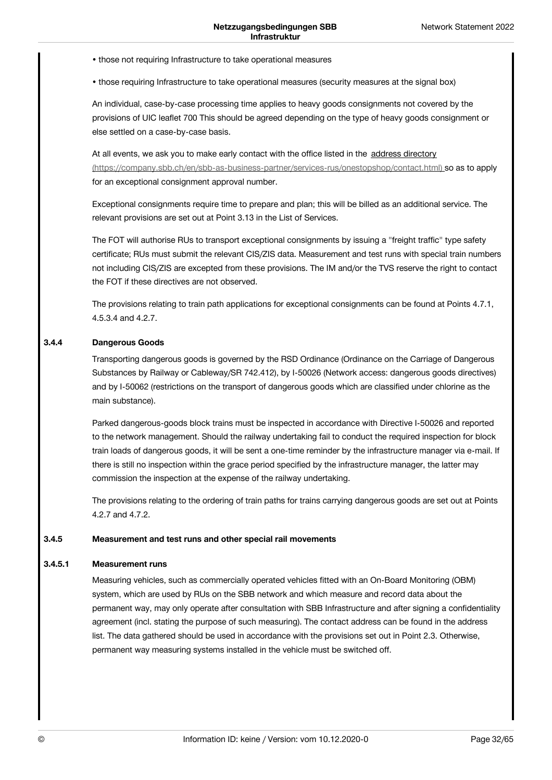- those not requiring Infrastructure to take operational measures
- those requiring Infrastructure to take operational measures (security measures at the signal box)

An individual, case-by-case processing time applies to heavy goods consignments not covered by the provisions of UIC leaflet 700 This should be agreed depending on the type of heavy goods consignment or else settled on a case-by-case basis.

At all events, we ask you to make early contact with the office listed in the address directory [\(https://company.sbb.ch/en/sbb-as-business-partner/services-rus/onestopshop/contact.html\)](https://company.sbb.ch/en/sbb-as-business-partner/services-rus/onestopshop/contact.html) so as to apply for an exceptional consignment approval number.

Exceptional consignments require time to prepare and plan; this will be billed as an additional service. The relevant provisions are set out at Point 3.13 in the List of Services.

The FOT will authorise RUs to transport exceptional consignments by issuing a "freight traffic" type safety certificate; RUs must submit the relevant CIS/ZIS data. Measurement and test runs with special train numbers not including CIS/ZIS are excepted from these provisions. The IM and/or the TVS reserve the right to contact the FOT if these directives are not observed.

The provisions relating to train path applications for exceptional consignments can be found at Points 4.7.1, 4.5.3.4 and 4.2.7.

#### **Dangerous Goods 3.4.4**

Transporting dangerous goods is governed by the RSD Ordinance (Ordinance on the Carriage of Dangerous Substances by Railway or Cableway/SR 742.412), by I-50026 (Network access: dangerous goods directives) and by I-50062 (restrictions on the transport of dangerous goods which are classified under chlorine as the main substance).

Parked dangerous-goods block trains must be inspected in accordance with Directive I-50026 and reported to the network management. Should the railway undertaking fail to conduct the required inspection for block train loads of dangerous goods, it will be sent a one-time reminder by the infrastructure manager via e-mail. If there is still no inspection within the grace period specified by the infrastructure manager, the latter may commission the inspection at the expense of the railway undertaking.

The provisions relating to the ordering of train paths for trains carrying dangerous goods are set out at Points 4.2.7 and 4.7.2.

#### **Measurement and test runs and other special rail movements 3.4.5**

#### **Measurement runs 3.4.5.1**

Measuring vehicles, such as commercially operated vehicles fitted with an On-Board Monitoring (OBM) system, which are used by RUs on the SBB network and which measure and record data about the permanent way, may only operate after consultation with SBB Infrastructure and after signing a confidentiality agreement (incl. stating the purpose of such measuring). The contact address can be found in the address list. The data gathered should be used in accordance with the provisions set out in Point 2.3. Otherwise, permanent way measuring systems installed in the vehicle must be switched off.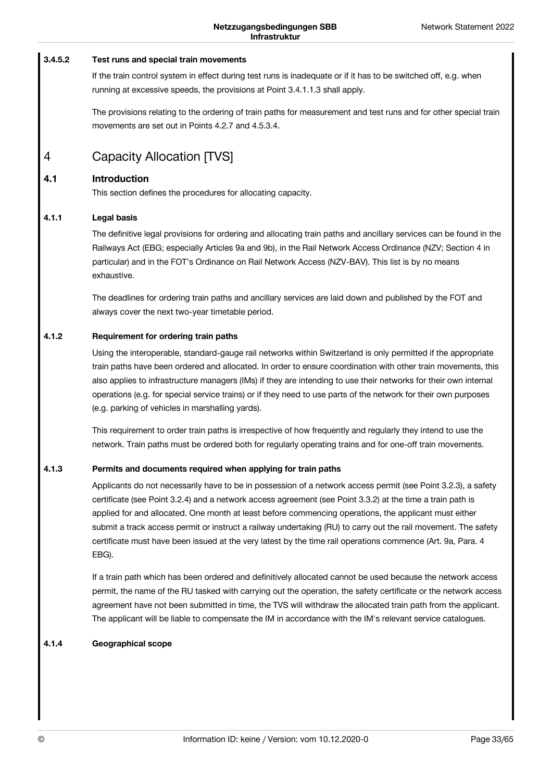#### **Test runs and special train movements 3.4.5.2**

If the train control system in effect during test runs is inadequate or if it has to be switched off, e.g. when running at excessive speeds, the provisions at Point 3.4.1.1.3 shall apply.

The provisions relating to the ordering of train paths for measurement and test runs and for other special train movements are set out in Points 4.2.7 and 4.5.3.4.

### <span id="page-32-0"></span>Capacity Allocation [TVS] 4

#### **Introduction 4.1**

This section defines the procedures for allocating capacity.

#### **Legal basis 4.1.1**

The definitive legal provisions for ordering and allocating train paths and ancillary services can be found in the Railways Act (EBG; especially Articles 9a and 9b), in the Rail Network Access Ordinance (NZV; Section 4 in particular) and in the FOT's Ordinance on Rail Network Access (NZV-BAV). This list is by no means exhaustive.

The deadlines for ordering train paths and ancillary services are laid down and published by the FOT and always cover the next two-year timetable period.

#### **Requirement for ordering train paths 4.1.2**

Using the interoperable, standard-gauge rail networks within Switzerland is only permitted if the appropriate train paths have been ordered and allocated. In order to ensure coordination with other train movements, this also applies to infrastructure managers (IMs) if they are intending to use their networks for their own internal operations (e.g. for special service trains) or if they need to use parts of the network for their own purposes (e.g. parking of vehicles in marshalling yards).

This requirement to order train paths is irrespective of how frequently and regularly they intend to use the network. Train paths must be ordered both for regularly operating trains and for one-off train movements.

#### **Permits and documents required when applying for train paths 4.1.3**

Applicants do not necessarily have to be in possession of a network access permit (see Point 3.2.3), a safety certificate (see Point 3.2.4) and a network access agreement (see Point 3.3.2) at the time a train path is applied for and allocated. One month at least before commencing operations, the applicant must either submit a track access permit or instruct a railway undertaking (RU) to carry out the rail movement. The safety certificate must have been issued at the very latest by the time rail operations commence (Art. 9a, Para. 4 EBG).

If a train path which has been ordered and definitively allocated cannot be used because the network access permit, the name of the RU tasked with carrying out the operation, the safety certificate or the network access agreement have not been submitted in time, the TVS will withdraw the allocated train path from the applicant. The applicant will be liable to compensate the IM in accordance with the IM's relevant service catalogues.

#### **Geographical scope 4.1.4**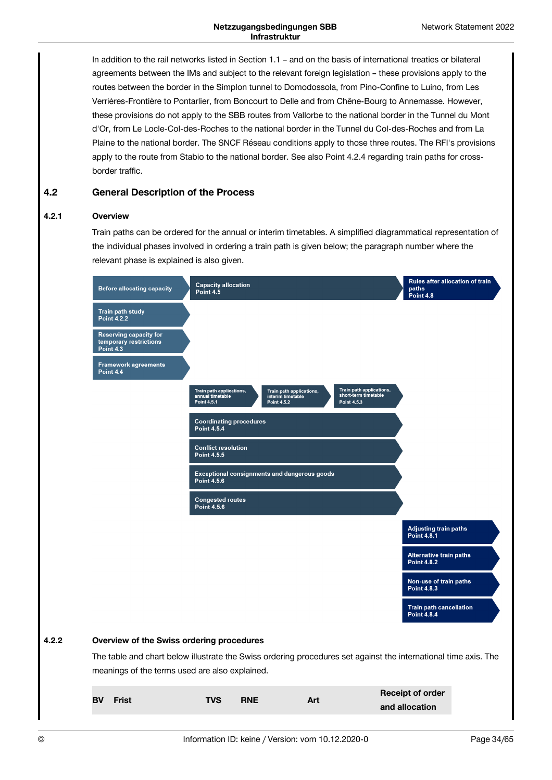In addition to the rail networks listed in Section 1.1 – and on the basis of international treaties or bilateral agreements between the IMs and subject to the relevant foreign legislation – these provisions apply to the routes between the border in the Simplon tunnel to Domodossola, from Pino-Confine to Luino, from Les Verrières-Frontière to Pontarlier, from Boncourt to Delle and from Chêne-Bourg to Annemasse. However, these provisions do not apply to the SBB routes from Vallorbe to the national border in the Tunnel du Mont d'Or, from Le Locle-Col-des-Roches to the national border in the Tunnel du Col-des-Roches and from La Plaine to the national border. The SNCF Réseau conditions apply to those three routes. The RFI's provisions apply to the route from Stabio to the national border. See also Point 4.2.4 regarding train paths for crossborder traffic.

#### **General Description of the Process 4.2**

#### **Overview 4.2.1**

Train paths can be ordered for the annual or interim timetables. A simplified diagrammatical representation of the individual phases involved in ordering a train path is given below; the paragraph number where the relevant phase is explained is also given.

| <b>Before allocating capacity</b>                                                                               | <b>Capacity allocation</b><br>Point 4.5                     |            |                                                              |                                                                 |                | Rules after allocation of train<br>paths<br>Point 4.8 |  |
|-----------------------------------------------------------------------------------------------------------------|-------------------------------------------------------------|------------|--------------------------------------------------------------|-----------------------------------------------------------------|----------------|-------------------------------------------------------|--|
| <b>Train path study</b><br><b>Point 4.2.2</b>                                                                   |                                                             |            |                                                              |                                                                 |                |                                                       |  |
| <b>Reserving capacity for</b><br>temporary restrictions<br><b>Point 4.3</b>                                     |                                                             |            |                                                              |                                                                 |                |                                                       |  |
| <b>Framework agreements</b><br>Point 4.4                                                                        |                                                             |            |                                                              |                                                                 |                |                                                       |  |
|                                                                                                                 | Train path applications,<br>annual timetable<br>Point 4.5.1 |            | Train path applications,<br>interim timetable<br>Point 4.5.2 | Train path applications,<br>short-term timetable<br>Point 4.5.3 |                |                                                       |  |
|                                                                                                                 | <b>Coordinating procedures</b><br><b>Point 4.5.4</b>        |            |                                                              |                                                                 |                |                                                       |  |
|                                                                                                                 | <b>Conflict resolution</b><br><b>Point 4.5.5</b>            |            |                                                              |                                                                 |                |                                                       |  |
|                                                                                                                 | <b>Point 4.5.6</b>                                          |            | <b>Exceptional consignments and dangerous goods</b>          |                                                                 |                |                                                       |  |
|                                                                                                                 | <b>Congested routes</b><br><b>Point 4.5.6</b>               |            |                                                              |                                                                 |                |                                                       |  |
|                                                                                                                 |                                                             |            |                                                              |                                                                 |                | <b>Adjusting train paths</b><br><b>Point 4.8.1</b>    |  |
|                                                                                                                 |                                                             |            |                                                              |                                                                 |                | <b>Alternative train paths</b><br><b>Point 4.8.2</b>  |  |
|                                                                                                                 |                                                             |            |                                                              |                                                                 |                | Non-use of train paths<br><b>Point 4.8.3</b>          |  |
|                                                                                                                 |                                                             |            |                                                              |                                                                 |                | <b>Train path cancellation</b><br><b>Point 4.8.4</b>  |  |
| Overview of the Swiss ordering procedures                                                                       |                                                             |            |                                                              |                                                                 |                |                                                       |  |
| The table and chart below illustrate the Swiss ordering procedures set against the international time axis. The |                                                             |            |                                                              |                                                                 |                |                                                       |  |
| meanings of the terms used are also explained.                                                                  |                                                             |            |                                                              |                                                                 |                |                                                       |  |
| <b>BV</b><br><b>Frist</b>                                                                                       | <b>TVS</b>                                                  | <b>RNE</b> | Art                                                          |                                                                 | and allocation | <b>Receipt of order</b>                               |  |

**4.2.2**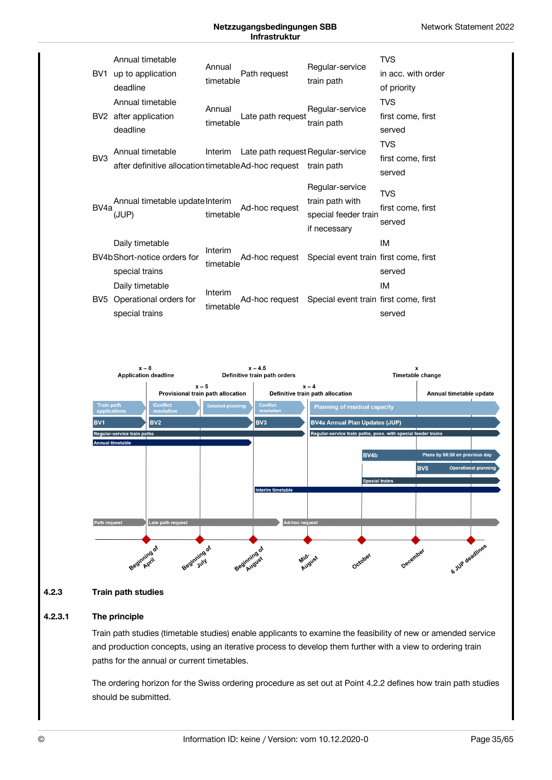



#### **Train path studies 4.2.3**

#### **The principle 4.2.3.1**

Train path studies (timetable studies) enable applicants to examine the feasibility of new or amended service and production concepts, using an iterative process to develop them further with a view to ordering train paths for the annual or current timetables.

The ordering horizon for the Swiss ordering procedure as set out at Point 4.2.2 defines how train path studies should be submitted.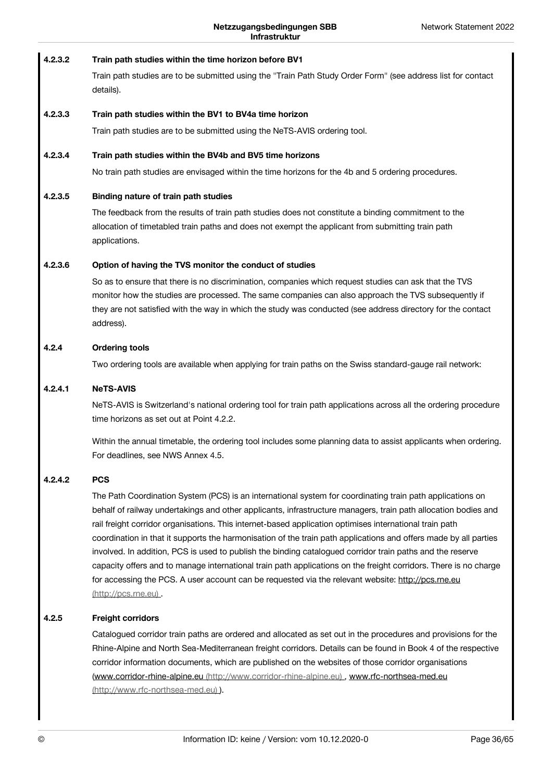#### **Train path studies within the time horizon before BV1 4.2.3.2**

Train path studies are to be submitted using the "Train Path Study Order Form" (see address list for contact details).

#### **Train path studies within the BV1 to BV4a time horizon 4.2.3.3**

Train path studies are to be submitted using the NeTS-AVIS ordering tool.

#### **Train path studies within the BV4b and BV5 time horizons 4.2.3.4**

No train path studies are envisaged within the time horizons for the 4b and 5 ordering procedures.

#### **Binding nature of train path studies 4.2.3.5**

The feedback from the results of train path studies does not constitute a binding commitment to the allocation of timetabled train paths and does not exempt the applicant from submitting train path applications.

#### **Option of having the TVS monitor the conduct of studies 4.2.3.6**

So as to ensure that there is no discrimination, companies which request studies can ask that the TVS monitor how the studies are processed. The same companies can also approach the TVS subsequently if they are not satisfied with the way in which the study was conducted (see address directory for the contact address).

#### **Ordering tools 4.2.4**

Two ordering tools are available when applying for train paths on the Swiss standard-gauge rail network:

#### **NeTS-AVIS 4.2.4.1**

NeTS-AVIS is Switzerland's national ordering tool for train path applications across all the ordering procedure time horizons as set out at Point 4.2.2.

Within the annual timetable, the ordering tool includes some planning data to assist applicants when ordering. For deadlines, see NWS Annex 4.5.

#### **PCS 4.2.4.2**

The Path Coordination System (PCS) is an international system for coordinating train path applications on behalf of railway undertakings and other applicants, infrastructure managers, train path allocation bodies and rail freight corridor organisations. This internet-based application optimises international train path coordination in that it supports the harmonisation of the train path applications and offers made by all parties involved. In addition, PCS is used to publish the binding catalogued corridor train paths and the reserve capacity offers and to manage international train path applications on the freight corridors. There is no charge for accessing the PCS. A user account can be requested via the relevant website: http://pcs.rne.eu [\(http://pcs.rne.eu\)](http://pcs.rne.eu) .

#### **Freight corridors 4.2.5**

Catalogued corridor train paths are ordered and allocated as set out in the procedures and provisions for the Rhine-Alpine and North Sea-Mediterranean freight corridors. Details can be found in Book 4 of the respective corridor information documents, which are published on the websites of those corridor organisations (www.corridor-rhine-alpine.eu [\(http://www.corridor-rhine-alpine.eu\)](http://www.corridor-rhine-alpine.eu) , www.rfc-northsea-med.eu (http://www.rfc-northsea-med.eu) ).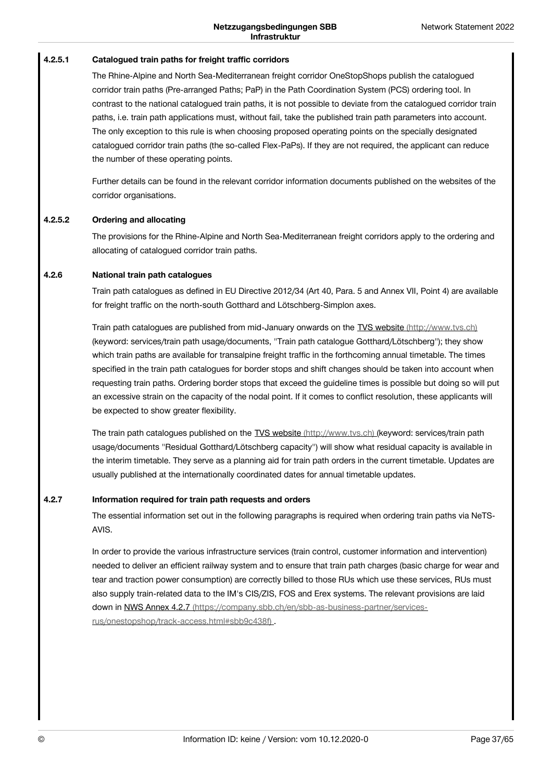#### **Catalogued train paths for freight traffic corridors 4.2.5.1**

The Rhine-Alpine and North Sea-Mediterranean freight corridor OneStopShops publish the catalogued corridor train paths (Pre-arranged Paths; PaP) in the Path Coordination System (PCS) ordering tool. In contrast to the national catalogued train paths, it is not possible to deviate from the catalogued corridor train paths, i.e. train path applications must, without fail, take the published train path parameters into account. The only exception to this rule is when choosing proposed operating points on the specially designated catalogued corridor train paths (the so-called Flex-PaPs). If they are not required, the applicant can reduce the number of these operating points.

Further details can be found in the relevant corridor information documents published on the websites of the corridor organisations.

#### **Ordering and allocating 4.2.5.2**

The provisions for the Rhine-Alpine and North Sea-Mediterranean freight corridors apply to the ordering and allocating of catalogued corridor train paths.

#### **National train path catalogues 4.2.6**

Train path catalogues as defined in EU Directive 2012/34 (Art 40, Para. 5 and Annex VII, Point 4) are available for freight traffic on the north-south Gotthard and Lötschberg-Simplon axes.

Train path catalogues are published from mid-January onwards on the TVS website [\(http://www.tvs.ch\)](http://www.tvs.ch) (keyword: services/train path usage/documents, "Train path catalogue Gotthard/Lötschberg"); they show which train paths are available for transalpine freight traffic in the forthcoming annual timetable. The times specified in the train path catalogues for border stops and shift changes should be taken into account when requesting train paths. Ordering border stops that exceed the guideline times is possible but doing so will put an excessive strain on the capacity of the nodal point. If it comes to conflict resolution, these applicants will be expected to show greater flexibility.

The train path catalogues published on the TVS website [\(http://www.tvs.ch\)](http://www.tvs.ch) (keyword: services/train path usage/documents "Residual Gotthard/Lötschberg capacity") will show what residual capacity is available in the interim timetable. They serve as a planning aid for train path orders in the current timetable. Updates are usually published at the internationally coordinated dates for annual timetable updates.

#### **Information required for train path requests and orders 4.2.7**

The essential information set out in the following paragraphs is required when ordering train paths via NeTS-AVIS.

In order to provide the various infrastructure services (train control, customer information and intervention) needed to deliver an efficient railway system and to ensure that train path charges (basic charge for wear and tear and traction power consumption) are correctly billed to those RUs which use these services, RUs must also supply train-related data to the IM's CIS/ZIS, FOS and Erex systems. The relevant provisions are laid down in NWS Annex 4.2.7 [\(https://company.sbb.ch/en/sbb-as-business-partner/services](https://company.sbb.ch/en/sbb-as-business-partner/services-rus/onestopshop/track-access.html#sbb9c438f)rus/onestopshop/track-access.html#sbb9c438f) .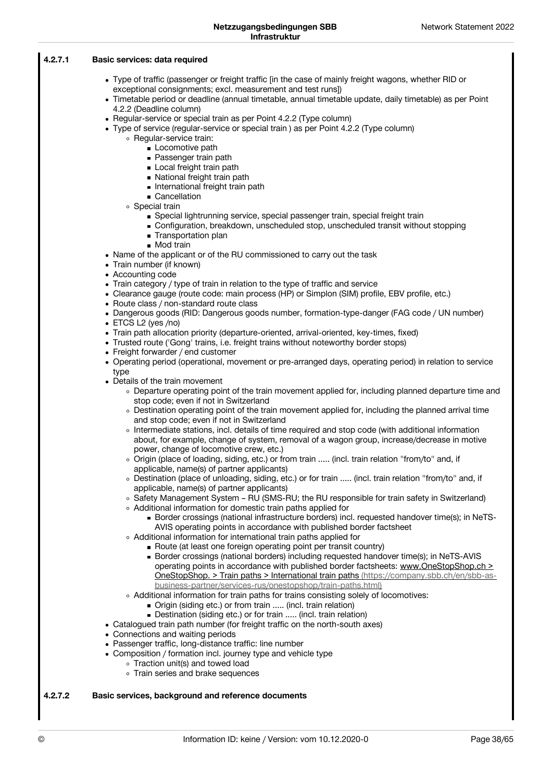#### **Basic services: data required 4.2.7.1**

- Type of traffic (passenger or freight traffic [in the case of mainly freight wagons, whether RID or exceptional consignments; excl. measurement and test runs])
- Timetable period or deadline (annual timetable, annual timetable update, daily timetable) as per Point 4.2.2 (Deadline column)
- Regular-service or special train as per Point 4.2.2 (Type column)
- Type of service (regular-service or special train) as per Point 4.2.2 (Type column)
	- Regular-service train:
		- **Locomotive path**
		- **Passenger train path**
		- **Local freight train path**
		- National freight train path
		- **International freight train path**
		- **Cancellation**
	- Special train
		- Special lightrunning service, special passenger train, special freight train
		- Configuration, breakdown, unscheduled stop, unscheduled transit without stopping
		- **Transportation plan**
		- Mod train
- Name of the applicant or of the RU commissioned to carry out the task
- Train number (if known)
- Accounting code
- Train category / type of train in relation to the type of traffic and service
- Clearance gauge (route code: main process (HP) or Simplon (SIM) profile, EBV profile, etc.)
- Route class / non-standard route class
- Dangerous goods (RID: Dangerous goods number, formation-type-danger (FAG code / UN number)
- ETCS L2 (yes /no)
- Train path allocation priority (departure-oriented, arrival-oriented, key-times, fixed)
- Trusted route ('Gong' trains, i.e. freight trains without noteworthy border stops)
- Freight forwarder / end customer
- Operating period (operational, movement or pre-arranged days, operating period) in relation to service type
- Details of the train movement
	- Departure operating point of the train movement applied for, including planned departure time and stop code; even if not in Switzerland
	- Destination operating point of the train movement applied for, including the planned arrival time and stop code; even if not in Switzerland
	- Intermediate stations, incl. details of time required and stop code (with additional information about, for example, change of system, removal of a wagon group, increase/decrease in motive power, change of locomotive crew, etc.)
	- o Origin (place of loading, siding, etc.) or from train ..... (incl. train relation "from/to" and, if applicable, name(s) of partner applicants)
	- Destination (place of unloading, siding, etc.) or for train ..... (incl. train relation "from/to" and, if applicable, name(s) of partner applicants)
	- Safety Management System RU (SMS-RU; the RU responsible for train safety in Switzerland)
	- Additional information for domestic train paths applied for
		- Border crossings (national infrastructure borders) incl. requested handover time(s); in NeTS- AVIS operating points in accordance with published border factsheet
	- Additional information for international train paths applied for
		- Route (at least one foreign operating point per transit country)
			- **Border crossings (national borders) including requested handover time(s); in NeTS-AVIS** operating points in accordance with published border factsheets: www.OneStopShop.ch > OneStopShop. > Train paths > International train paths (https://company.sbb.ch/en/sbb-as [business-partner/services-rus/onestopshop/train-paths.html\)](https://company.sbb.ch/en/sbb-as-business-partner/services-rus/onestopshop/train-paths.html)
	- Additional information for train paths for trains consisting solely of locomotives:
		- Origin (siding etc.) or from train ..... (incl. train relation)
		- Destination (siding etc.) or for train ..... (incl. train relation)
- Catalogued train path number (for freight traffic on the north-south axes)
- Connections and waiting periods
- Passenger traffic, long-distance traffic: line number
- Composition / formation incl. journey type and vehicle type
	- Traction unit(s) and towed load
	- Train series and brake sequences

#### **Basic services, background and reference documents 4.2.7.2**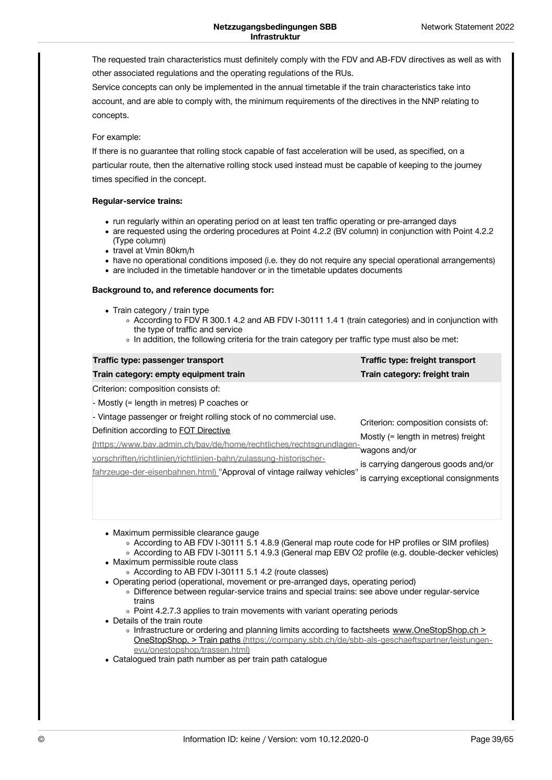The requested train characteristics must definitely comply with the FDV and AB-FDV directives as well as with other associated regulations and the operating regulations of the RUs.

Service concepts can only be implemented in the annual timetable if the train characteristics take into account, and are able to comply with, the minimum requirements of the directives in the NNP relating to concepts.

### For example:

If there is no guarantee that rolling stock capable of fast acceleration will be used, as specified, on a particular route, then the alternative rolling stock used instead must be capable of keeping to the journey times specified in the concept.

### **Regular-service trains:**

- run regularly within an operating period on at least ten traffic operating or pre-arranged days
- are requested using the ordering procedures at Point 4.2.2 (BV column) in conjunction with Point 4.2.2 (Type column)
- travel at Vmin 80km/h
- have no operational conditions imposed (i.e. they do not require any special operational arrangements)
- are included in the timetable handover or in the timetable updates documents

### **Background to, and reference documents for:**

- Train category / train type
	- According to FDV R 300.1 4.2 and AB FDV I-30111 1.4 1 (train categories) and in conjunction with the type of traffic and service
	- $\circ$  In addition, the following criteria for the train category per traffic type must also be met:

| Traffic type: passenger transport                                      | Traffic type: freight transport      |
|------------------------------------------------------------------------|--------------------------------------|
| Train category: empty equipment train                                  | Train category: freight train        |
| Criterion: composition consists of:                                    |                                      |
| - Mostly (= length in metres) P coaches or                             |                                      |
| - Vintage passenger or freight rolling stock of no commercial use.     | Criterion: composition consists of:  |
| Definition according to <b>FOT Directive</b>                           | Mostly (= length in metres) freight  |
| https://www.bav.admin.ch/bav/de/home/rechtliches/rechtsgrundlagen-     | wagons and/or                        |
| vorschriften/richtlinien/richtlinien-bahn/zulassung-historischer-      | is carrying dangerous goods and/or   |
| fahrzeuge-der-eisenbahnen.html) "Approval of vintage railway vehicles" | is carrying exceptional consignments |

- Maximum permissible clearance gauge
	- According to AB FDV I-30111 5.1 4.8.9 (General map route code for HP profiles or SIM profiles) According to AB FDV I-30111 5.1 4.9.3 (General map EBV O2 profile (e.g. double-decker vehicles)
- Maximum permissible route class
	- According to AB FDV I-30111 5.1 4.2 (route classes)
- Operating period (operational, movement or pre-arranged days, operating period)
	- Difference between regular-service trains and special trains: see above under regular-service trains
		- Point 4.2.7.3 applies to train movements with variant operating periods
- Details of the train route
	- Infrastructure or ordering and planning limits according to factsheets www.OneStopShop.ch > OneStopShop. > Train paths [\(https://company.sbb.ch/de/sbb-als-geschaeftspartner/leistungen](https://company.sbb.ch/de/sbb-als-geschaeftspartner/leistungen-evu/onestopshop/trassen.html)evu/onestopshop/trassen.html)
- Catalogued train path number as per train path catalogue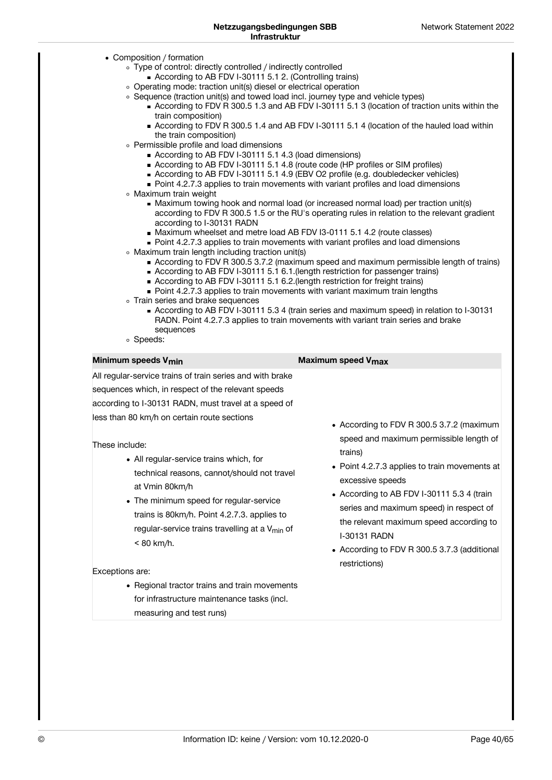- Composition / formation
	- Type of control: directly controlled / indirectly controlled
		- According to AB FDV I-30111 5.1 2. (Controlling trains)
	- Operating mode: traction unit(s) diesel or electrical operation
	- Sequence (traction unit(s) and towed load incl. journey type and vehicle types)
		- According to FDV R 300.5 1.3 and AB FDV I-30111 5.1 3 (location of traction units within the train composition)
		- According to FDV R 300.5 1.4 and AB FDV I-30111 5.1 4 (location of the hauled load within the train composition)
	- Permissible profile and load dimensions
		- According to AB FDV I-30111 5.1 4.3 (load dimensions)
		- According to AB FDV I-30111 5.1 4.8 (route code (HP profiles or SIM profiles)
		- According to AB FDV I-30111 5.1 4.9 (EBV O2 profile (e.g. doubledecker vehicles)
		- Point 4.2.7.3 applies to train movements with variant profiles and load dimensions
	- Maximum train weight
		- Maximum towing hook and normal load (or increased normal load) per traction unit(s) according to FDV R 300.5 1.5 or the RU's operating rules in relation to the relevant gradient according to I-30131 RADN
		- Maximum wheelset and metre load AB FDV I3-0111 5.1 4.2 (route classes)
		- Point 4.2.7.3 applies to train movements with variant profiles and load dimensions
	- Maximum train length including traction unit(s)
		- According to FDV R 300.5 3.7.2 (maximum speed and maximum permissible length of trains)
		- According to AB FDV I-30111 5.1 6.1.(length restriction for passenger trains)
		- According to AB FDV I-30111 5.1 6.2.(length restriction for freight trains)
		- Point 4.2.7.3 applies to train movements with variant maximum train lengths
	- Train series and brake sequences
		- According to AB FDV I-30111 5.3 4 (train series and maximum speed) in relation to I-30131 RADN. Point 4.2.7.3 applies to train movements with variant train series and brake sequences
	- Speeds:

| Minimum speeds V <sub>min</sub>                                                                                                                                                                                                                                                                                                                                                                                                                                                                                                                                                                                                                                             | Maximum speed V <sub>max</sub>                                                                                                                                                                                                                                                                                                                                                                   |
|-----------------------------------------------------------------------------------------------------------------------------------------------------------------------------------------------------------------------------------------------------------------------------------------------------------------------------------------------------------------------------------------------------------------------------------------------------------------------------------------------------------------------------------------------------------------------------------------------------------------------------------------------------------------------------|--------------------------------------------------------------------------------------------------------------------------------------------------------------------------------------------------------------------------------------------------------------------------------------------------------------------------------------------------------------------------------------------------|
| All regular-service trains of train series and with brake<br>sequences which, in respect of the relevant speeds<br>according to I-30131 RADN, must travel at a speed of<br>less than 80 km/h on certain route sections<br>These include:<br>• All regular-service trains which, for<br>technical reasons, cannot/should not travel<br>at Vmin 80km/h<br>• The minimum speed for regular-service<br>trains is 80km/h. Point 4.2.7.3. applies to<br>regular-service trains travelling at a $V_{\text{min}}$ of<br>$< 80$ km/h.<br>Exceptions are:<br>• Regional tractor trains and train movements<br>for infrastructure maintenance tasks (incl.<br>measuring and test runs) | • According to FDV R 300.5 3.7.2 (maximum<br>speed and maximum permissible length of<br>trains)<br>• Point 4.2.7.3 applies to train movements at<br>excessive speeds<br>• According to AB FDV I-30111 5.3 4 (train<br>series and maximum speed) in respect of<br>the relevant maximum speed according to<br><b>I-30131 RADN</b><br>• According to FDV R 300.5 3.7.3 (additional<br>restrictions) |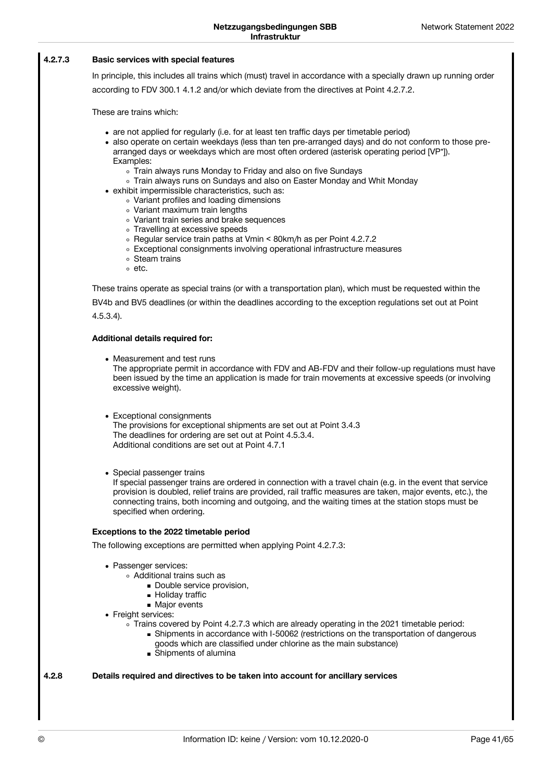#### **Basic services with special features 4.2.7.3**

In principle, this includes all trains which (must) travel in accordance with a specially drawn up running order according to FDV 300.1 4.1.2 and/or which deviate from the directives at Point 4.2.7.2.

These are trains which:

- are not applied for regularly (i.e. for at least ten traffic days per timetable period)
- also operate on certain weekdays (less than ten pre-arranged days) and do not conform to those prearranged days or weekdays which are most often ordered (asterisk operating period [VP\*]). Examples:
	- Train always runs Monday to Friday and also on five Sundays
	- Train always runs on Sundays and also on Easter Monday and Whit Monday
- exhibit impermissible characteristics, such as:
	- Variant profiles and loading dimensions
	- Variant maximum train lengths
	- Variant train series and brake sequences
	- o Travelling at excessive speeds
	- Regular service train paths at Vmin < 80km/h as per Point 4.2.7.2
	- Exceptional consignments involving operational infrastructure measures
	- Steam trains
	- $\circ$  etc.

These trains operate as special trains (or with a transportation plan), which must be requested within the BV4b and BV5 deadlines (or within the deadlines according to the exception regulations set out at Point 4.5.3.4).

### **Additional details required for:**

- Measurement and test runs The appropriate permit in accordance with FDV and AB-FDV and their follow-up regulations must have been issued by the time an application is made for train movements at excessive speeds (or involving excessive weight).
	- Exceptional consignments The provisions for exceptional shipments are set out at Point 3.4.3 The deadlines for ordering are set out at Point 4.5.3.4. Additional conditions are set out at Point 4.7.1
	- Special passenger trains

If special passenger trains are ordered in connection with a travel chain (e.g. in the event that service provision is doubled, relief trains are provided, rail traffic measures are taken, major events, etc.), the connecting trains, both incoming and outgoing, and the waiting times at the station stops must be specified when ordering.

### **Exceptions to the 2022 timetable period**

The following exceptions are permitted when applying Point 4.2.7.3:

- Passenger services:
	- Additional trains such as
		- Double service provision,
		- **Holiday traffic**
		- Major events
- Freight services:
	- $\circ$  Trains covered by Point 4.2.7.3 which are already operating in the 2021 timetable period:
		- Shipments in accordance with I-50062 (restrictions on the transportation of dangerous goods which are classified under chlorine as the main substance)
		- Shipments of alumina

**Details required and directives to be taken into account for ancillary services 4.2.8**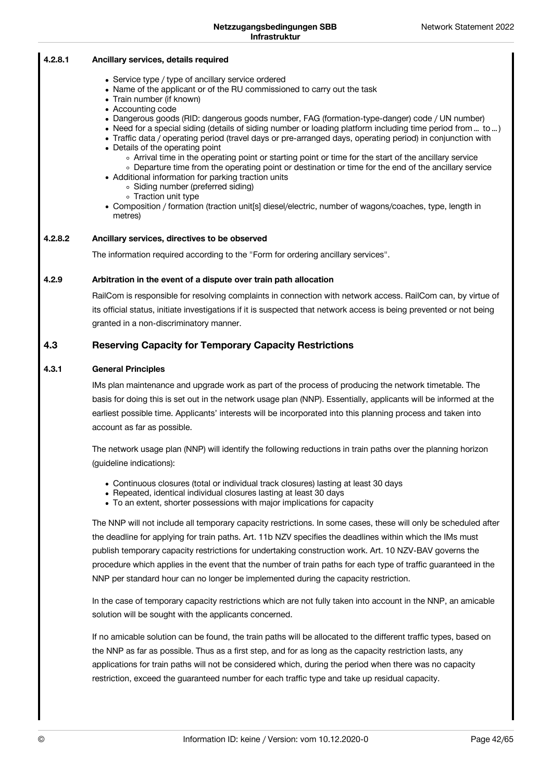|         | IIIII asu uruu                                                                                                                                                                                                                                                                                                                                                                                                                                                                                                                                                                                                                                                                                                                                                                                                                                                                           |
|---------|------------------------------------------------------------------------------------------------------------------------------------------------------------------------------------------------------------------------------------------------------------------------------------------------------------------------------------------------------------------------------------------------------------------------------------------------------------------------------------------------------------------------------------------------------------------------------------------------------------------------------------------------------------------------------------------------------------------------------------------------------------------------------------------------------------------------------------------------------------------------------------------|
| 4.2.8.1 | Ancillary services, details required                                                                                                                                                                                                                                                                                                                                                                                                                                                                                                                                                                                                                                                                                                                                                                                                                                                     |
|         | • Service type / type of ancillary service ordered<br>• Name of the applicant or of the RU commissioned to carry out the task<br>• Train number (if known)<br>• Accounting code<br>• Dangerous goods (RID: dangerous goods number, FAG (formation-type-danger) code / UN number)<br>• Need for a special siding (details of siding number or loading platform including time period from  to )<br>• Traffic data / operating period (travel days or pre-arranged days, operating period) in conjunction with<br>• Details of the operating point<br>• Arrival time in the operating point or starting point or time for the start of the ancillary service<br>• Departure time from the operating point or destination or time for the end of the ancillary service<br>• Additional information for parking traction units<br>• Siding number (preferred siding)<br>• Traction unit type |

Composition / formation (traction unit[s] diesel/electric, number of wagons/coaches, type, length in metres)

#### **Ancillary services, directives to be observed 4.2.8.2**

The information required according to the "Form for ordering ancillary services".

#### **Arbitration in the event of a dispute over train path allocation 4.2.9**

RailCom is responsible for resolving complaints in connection with network access. RailCom can, by virtue of its official status, initiate investigations if it is suspected that network access is being prevented or not being granted in a non-discriminatory manner.

### **Reserving Capacity for Temporary Capacity Restrictions 4.3**

#### **General Principles 4.3.1**

IMs plan maintenance and upgrade work as part of the process of producing the network timetable. The basis for doing this is set out in the network usage plan (NNP). Essentially, applicants will be informed at the earliest possible time. Applicants' interests will be incorporated into this planning process and taken into account as far as possible.

The network usage plan (NNP) will identify the following reductions in train paths over the planning horizon (guideline indications):

- Continuous closures (total or individual track closures) lasting at least 30 days
- Repeated, identical individual closures lasting at least 30 days
- To an extent, shorter possessions with major implications for capacity

The NNP will not include all temporary capacity restrictions. In some cases, these will only be scheduled after the deadline for applying for train paths. Art. 11b NZV specifies the deadlines within which the IMs must publish temporary capacity restrictions for undertaking construction work. Art. 10 NZV-BAV governs the procedure which applies in the event that the number of train paths for each type of traffic guaranteed in the NNP per standard hour can no longer be implemented during the capacity restriction.

In the case of temporary capacity restrictions which are not fully taken into account in the NNP, an amicable solution will be sought with the applicants concerned.

If no amicable solution can be found, the train paths will be allocated to the different traffic types, based on the NNP as far as possible. Thus as a first step, and for as long as the capacity restriction lasts, any applications for train paths will not be considered which, during the period when there was no capacity restriction, exceed the guaranteed number for each traffic type and take up residual capacity.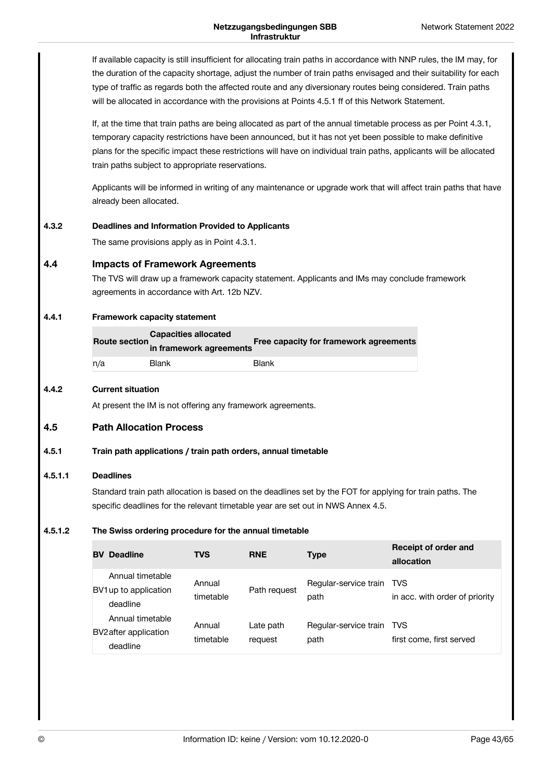If available capacity is still insufficient for allocating train paths in accordance with NNP rules, the IM may, for the duration of the capacity shortage, adjust the number of train paths envisaged and their suitability for each type of traffic as regards both the affected route and any diversionary routes being considered. Train paths will be allocated in accordance with the provisions at Points 4.5.1 ff of this Network Statement.

If, at the time that train paths are being allocated as part of the annual timetable process as per Point 4.3.1, temporary capacity restrictions have been announced, but it has not yet been possible to make definitive plans for the specific impact these restrictions will have on individual train paths, applicants will be allocated train paths subject to appropriate reservations.

Applicants will be informed in writing of any maintenance or upgrade work that will affect train paths that have already been allocated.

#### **Deadlines and Information Provided to Applicants 4.3.2**

The same provisions apply as in Point 4.3.1.

#### **Impacts of Framework Agreements 4.4**

The TVS will draw up a framework capacity statement. Applicants and IMs may conclude framework agreements in accordance with Art. 12b NZV.

#### **Framework capacity statement 4.4.1**

| <b>Capacities allocated</b><br><b>Route section</b><br>in framework agreements |       | Free capacity for framework agreements |
|--------------------------------------------------------------------------------|-------|----------------------------------------|
| n/a                                                                            | Blank | <b>Blank</b>                           |

#### **Current situation 4.4.2**

At present the IM is not offering any framework agreements.

#### **Path Allocation Process 4.5**

#### **Train path applications / train path orders, annual timetable 4.5.1**

#### **Deadlines 4.5.1.1**

Standard train path allocation is based on the deadlines set by the FOT for applying for train paths. The specific deadlines for the relevant timetable year are set out in NWS Annex 4.5.

#### **The Swiss ordering procedure for the annual timetable 4.5.1.2**

| <b>Deadline</b><br><b>BV</b>                          | <b>TVS</b>          | <b>RNE</b>           | <b>Type</b>                   | Receipt of order and<br>allocation    |
|-------------------------------------------------------|---------------------|----------------------|-------------------------------|---------------------------------------|
| Annual timetable<br>BV1 up to application<br>deadline | Annual<br>timetable | Path request         | Regular-service train<br>path | TVS<br>in acc. with order of priority |
| Annual timetable<br>BV2 after application<br>deadline | Annual<br>timetable | Late path<br>request | Regular-service train<br>path | TVS<br>first come, first served       |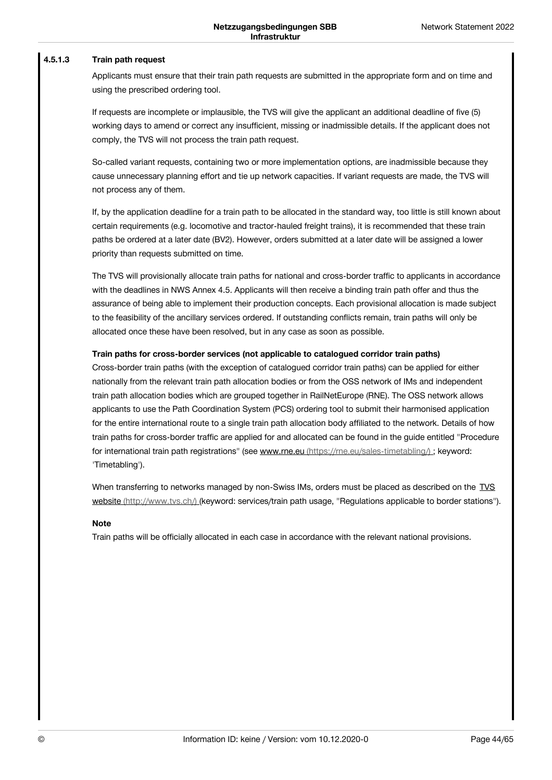#### **Train path request 4.5.1.3**

Applicants must ensure that their train path requests are submitted in the appropriate form and on time and using the prescribed ordering tool.

If requests are incomplete or implausible, the TVS will give the applicant an additional deadline of five (5) working days to amend or correct any insufficient, missing or inadmissible details. If the applicant does not comply, the TVS will not process the train path request.

So-called variant requests, containing two or more implementation options, are inadmissible because they cause unnecessary planning effort and tie up network capacities. If variant requests are made, the TVS will not process any of them.

If, by the application deadline for a train path to be allocated in the standard way, too little is still known about certain requirements (e.g. locomotive and tractor-hauled freight trains), it is recommended that these train paths be ordered at a later date (BV2). However, orders submitted at a later date will be assigned a lower priority than requests submitted on time.

The TVS will provisionally allocate train paths for national and cross-border traffic to applicants in accordance with the deadlines in NWS Annex 4.5. Applicants will then receive a binding train path offer and thus the assurance of being able to implement their production concepts. Each provisional allocation is made subject to the feasibility of the ancillary services ordered. If outstanding conflicts remain, train paths will only be allocated once these have been resolved, but in any case as soon as possible.

### **Train paths for cross-border services (not applicable to catalogued corridor train paths)**

Cross-border train paths (with the exception of catalogued corridor train paths) can be applied for either nationally from the relevant train path allocation bodies or from the OSS network of IMs and independent train path allocation bodies which are grouped together in RailNetEurope (RNE). The OSS network allows applicants to use the Path Coordination System (PCS) ordering tool to submit their harmonised application for the entire international route to a single train path allocation body affiliated to the network. Details of how train paths for cross-border traffic are applied for and allocated can be found in the guide entitled "Procedure for international train path registrations" (see www.rne.eu (https://me.eu/sales-timetabling/) ; keyword: 'Timetabling').

When transferring to networks managed by non-Swiss IMs, orders must be placed as described on the TVS website [\(http://www.tvs.ch/\)](http://www.tvs.ch/) (keyword: services/train path usage, "Regulations applicable to border stations").

### **Note**

Train paths will be officially allocated in each case in accordance with the relevant national provisions.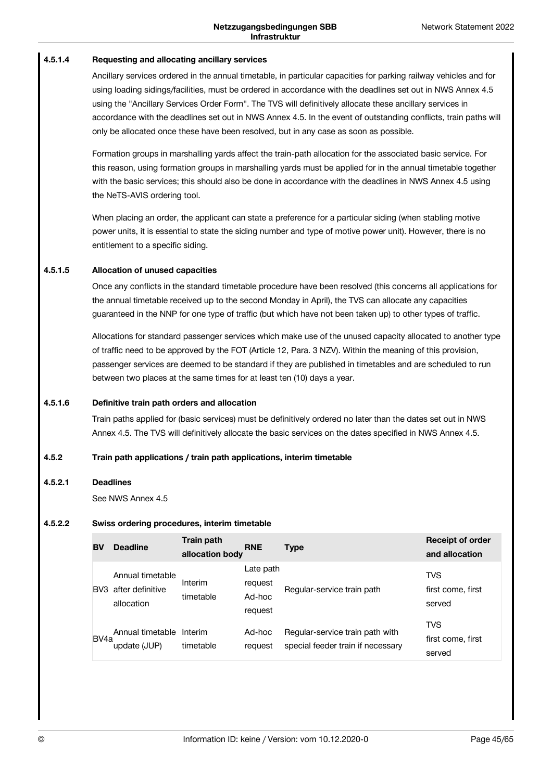#### **Requesting and allocating ancillary services 4.5.1.4**

Ancillary services ordered in the annual timetable, in particular capacities for parking railway vehicles and for using loading sidings/facilities, must be ordered in accordance with the deadlines set out in NWS Annex 4.5 using the "Ancillary Services Order Form". The TVS will definitively allocate these ancillary services in accordance with the deadlines set out in NWS Annex 4.5. In the event of outstanding conflicts, train paths will only be allocated once these have been resolved, but in any case as soon as possible.

Formation groups in marshalling yards affect the train-path allocation for the associated basic service. For this reason, using formation groups in marshalling yards must be applied for in the annual timetable together with the basic services; this should also be done in accordance with the deadlines in NWS Annex 4.5 using the NeTS-AVIS ordering tool.

When placing an order, the applicant can state a preference for a particular siding (when stabling motive power units, it is essential to state the siding number and type of motive power unit). However, there is no entitlement to a specific siding.

#### **Allocation of unused capacities 4.5.1.5**

Once any conflicts in the standard timetable procedure have been resolved (this concerns all applications for the annual timetable received up to the second Monday in April), the TVS can allocate any capacities guaranteed in the NNP for one type of traffic (but which have not been taken up) to other types of traffic.

Allocations for standard passenger services which make use of the unused capacity allocated to another type of traffic need to be approved by the FOT (Article 12, Para. 3 NZV). Within the meaning of this provision, passenger services are deemed to be standard if they are published in timetables and are scheduled to run between two places at the same times for at least ten (10) days a year.

#### **Definitive train path orders and allocation 4.5.1.6**

Train paths applied for (basic services) must be definitively ordered no later than the dates set out in NWS Annex 4.5. The TVS will definitively allocate the basic services on the dates specified in NWS Annex 4.5.

#### **Train path applications / train path applications, interim timetable 4.5.2**

#### **Deadlines 4.5.2.1**

See NWS Annex 4.5

#### **Swiss ordering procedures, interim timetable 4.5.2.2**

| BV                | <b>Deadline</b>                                    | Train path<br>allocation body | <b>RNE</b>                                | <b>Type</b>                                                          | <b>Receipt of order</b><br>and allocation |
|-------------------|----------------------------------------------------|-------------------------------|-------------------------------------------|----------------------------------------------------------------------|-------------------------------------------|
| BV3               | Annual timetable<br>after definitive<br>allocation | Interim<br>timetable          | Late path<br>request<br>Ad-hoc<br>request | Regular-service train path                                           | <b>TVS</b><br>first come, first<br>served |
| BV <sub>4</sub> a | Annual timetable<br>update (JUP)                   | Interim<br>timetable          | Ad-hoc<br>request                         | Regular-service train path with<br>special feeder train if necessary | <b>TVS</b><br>first come, first<br>served |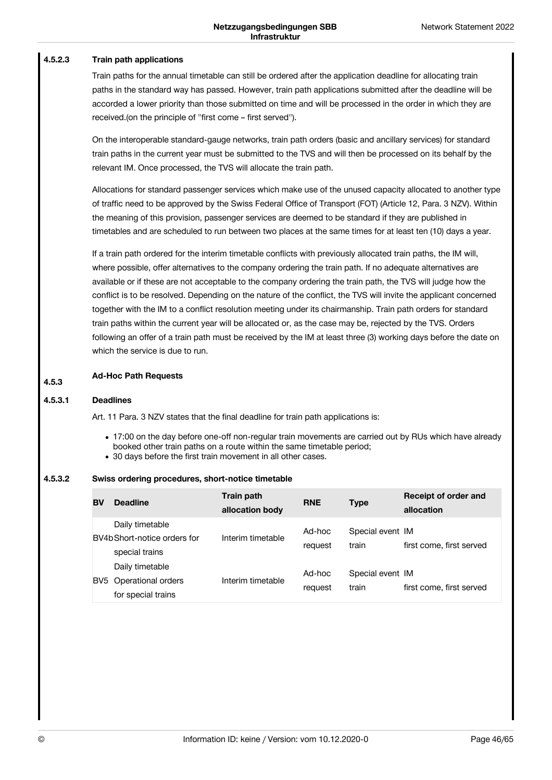#### **Train path applications 4.5.2.3**

Train paths for the annual timetable can still be ordered after the application deadline for allocating train paths in the standard way has passed. However, train path applications submitted after the deadline will be accorded a lower priority than those submitted on time and will be processed in the order in which they are received.(on the principle of "first come – first served").

On the interoperable standard-gauge networks, train path orders (basic and ancillary services) for standard train paths in the current year must be submitted to the TVS and will then be processed on its behalf by the relevant IM. Once processed, the TVS will allocate the train path.

Allocations for standard passenger services which make use of the unused capacity allocated to another type of traffic need to be approved by the Swiss Federal Office of Transport (FOT) (Article 12, Para. 3 NZV). Within the meaning of this provision, passenger services are deemed to be standard if they are published in timetables and are scheduled to run between two places at the same times for at least ten (10) days a year.

If a train path ordered for the interim timetable conflicts with previously allocated train paths, the IM will, where possible, offer alternatives to the company ordering the train path. If no adequate alternatives are available or if these are not acceptable to the company ordering the train path, the TVS will judge how the conflict is to be resolved. Depending on the nature of the conflict, the TVS will invite the applicant concerned together with the IM to a conflict resolution meeting under its chairmanship. Train path orders for standard train paths within the current year will be allocated or, as the case may be, rejected by the TVS. Orders following an offer of a train path must be received by the IM at least three (3) working days before the date on which the service is due to run.

### **Ad-Hoc Path Requests 4.5.3**

#### **Deadlines 4.5.3.1**

Art. 11 Para. 3 NZV states that the final deadline for train path applications is:

- 17:00 on the day before one-off non-regular train movements are carried out by RUs which have already booked other train paths on a route within the same timetable period;
- 30 days before the first train movement in all other cases.

#### **Swiss ordering procedures, short-notice timetable 4.5.3.2**

| BV              | <b>Deadline</b>                                                   | Train path<br>allocation body | <b>RNE</b>        | <b>Type</b>               | Receipt of order and<br>allocation |
|-----------------|-------------------------------------------------------------------|-------------------------------|-------------------|---------------------------|------------------------------------|
|                 | Daily timetable<br>BV4b Short-notice orders for<br>special trains | Interim timetable             | Ad-hoc<br>request | Special event IM<br>train | first come, first served           |
| BV <sub>5</sub> | Daily timetable<br>Operational orders<br>for special trains       | Interim timetable             | Ad-hoc<br>request | Special event IM<br>train | first come, first served           |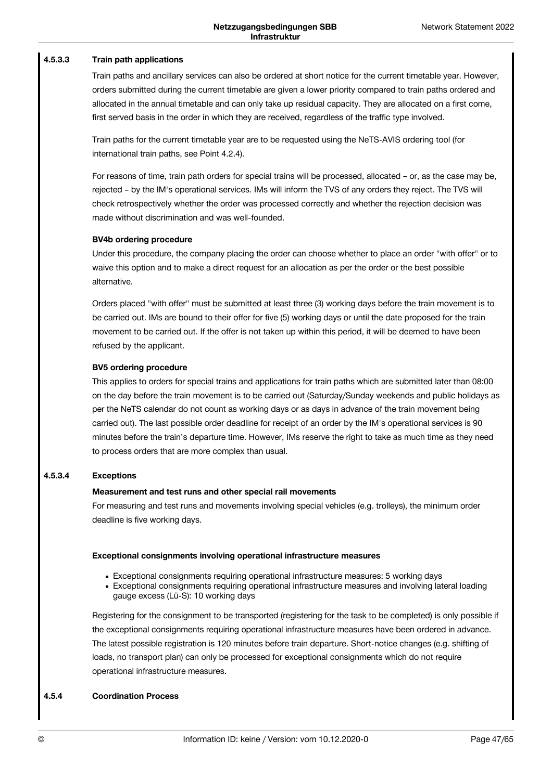#### **Train path applications 4.5.3.3**

Train paths and ancillary services can also be ordered at short notice for the current timetable year. However, orders submitted during the current timetable are given a lower priority compared to train paths ordered and allocated in the annual timetable and can only take up residual capacity. They are allocated on a first come, first served basis in the order in which they are received, regardless of the traffic type involved.

Train paths for the current timetable year are to be requested using the NeTS-AVIS ordering tool (for international train paths, see Point 4.2.4).

For reasons of time, train path orders for special trains will be processed, allocated – or, as the case may be, rejected – by the IM's operational services. IMs will inform the TVS of any orders they reject. The TVS will check retrospectively whether the order was processed correctly and whether the rejection decision was made without discrimination and was well-founded.

### **BV4b ordering procedure**

Under this procedure, the company placing the order can choose whether to place an order "with offer" or to waive this option and to make a direct request for an allocation as per the order or the best possible alternative.

Orders placed "with offer" must be submitted at least three (3) working days before the train movement is to be carried out. IMs are bound to their offer for five (5) working days or until the date proposed for the train movement to be carried out. If the offer is not taken up within this period, it will be deemed to have been refused by the applicant.

### **BV5 ordering procedure**

This applies to orders for special trains and applications for train paths which are submitted later than 08:00 on the day before the train movement is to be carried out (Saturday/Sunday weekends and public holidays as per the NeTS calendar do not count as working days or as days in advance of the train movement being carried out). The last possible order deadline for receipt of an order by the IM's operational services is 90 minutes before the train's departure time. However, IMs reserve the right to take as much time as they need to process orders that are more complex than usual.

#### **Exceptions 4.5.3.4**

### **Measurement and test runs and other special rail movements**

For measuring and test runs and movements involving special vehicles (e.g. trolleys), the minimum order deadline is five working days.

### **Exceptional consignments involving operational infrastructure measures**

- Exceptional consignments requiring operational infrastructure measures: 5 working days
- Exceptional consignments requiring operational infrastructure measures and involving lateral loading gauge excess (Lü-S): 10 working days

Registering for the consignment to be transported (registering for the task to be completed) is only possible if the exceptional consignments requiring operational infrastructure measures have been ordered in advance. The latest possible registration is 120 minutes before train departure. Short-notice changes (e.g. shifting of loads, no transport plan) can only be processed for exceptional consignments which do not require operational infrastructure measures.

#### **Coordination Process 4.5.4**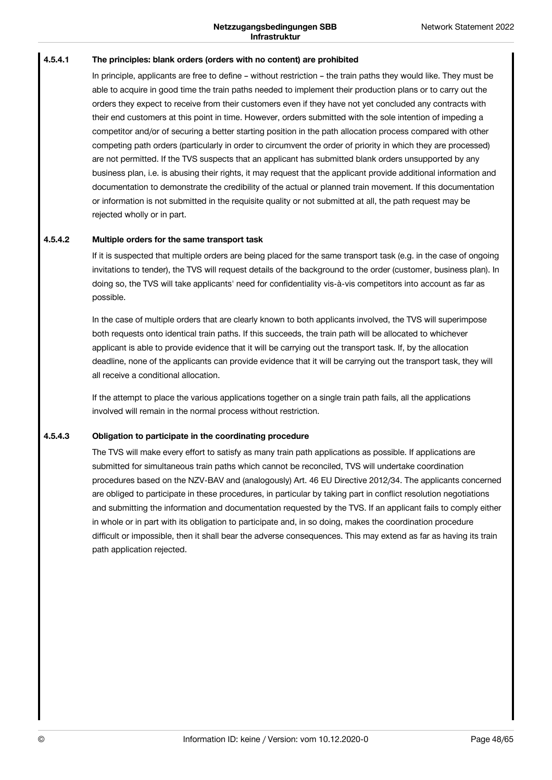#### **The principles: blank orders (orders with no content) are prohibited 4.5.4.1**

In principle, applicants are free to define – without restriction – the train paths they would like. They must be able to acquire in good time the train paths needed to implement their production plans or to carry out the orders they expect to receive from their customers even if they have not yet concluded any contracts with their end customers at this point in time. However, orders submitted with the sole intention of impeding a competitor and/or of securing a better starting position in the path allocation process compared with other competing path orders (particularly in order to circumvent the order of priority in which they are processed) are not permitted. If the TVS suspects that an applicant has submitted blank orders unsupported by any business plan, i.e. is abusing their rights, it may request that the applicant provide additional information and documentation to demonstrate the credibility of the actual or planned train movement. If this documentation or information is not submitted in the requisite quality or not submitted at all, the path request may be rejected wholly or in part.

#### **Multiple orders for the same transport task 4.5.4.2**

If it is suspected that multiple orders are being placed for the same transport task (e.g. in the case of ongoing invitations to tender), the TVS will request details of the background to the order (customer, business plan). In doing so, the TVS will take applicants' need for confidentiality vis-à-vis competitors into account as far as possible.

In the case of multiple orders that are clearly known to both applicants involved, the TVS will superimpose both requests onto identical train paths. If this succeeds, the train path will be allocated to whichever applicant is able to provide evidence that it will be carrying out the transport task. If, by the allocation deadline, none of the applicants can provide evidence that it will be carrying out the transport task, they will all receive a conditional allocation.

If the attempt to place the various applications together on a single train path fails, all the applications involved will remain in the normal process without restriction.

#### **Obligation to participate in the coordinating procedure 4.5.4.3**

The TVS will make every effort to satisfy as many train path applications as possible. If applications are submitted for simultaneous train paths which cannot be reconciled, TVS will undertake coordination procedures based on the NZV-BAV and (analogously) Art. 46 EU Directive 2012/34. The applicants concerned are obliged to participate in these procedures, in particular by taking part in conflict resolution negotiations and submitting the information and documentation requested by the TVS. If an applicant fails to comply either in whole or in part with its obligation to participate and, in so doing, makes the coordination procedure difficult or impossible, then it shall bear the adverse consequences. This may extend as far as having its train path application rejected.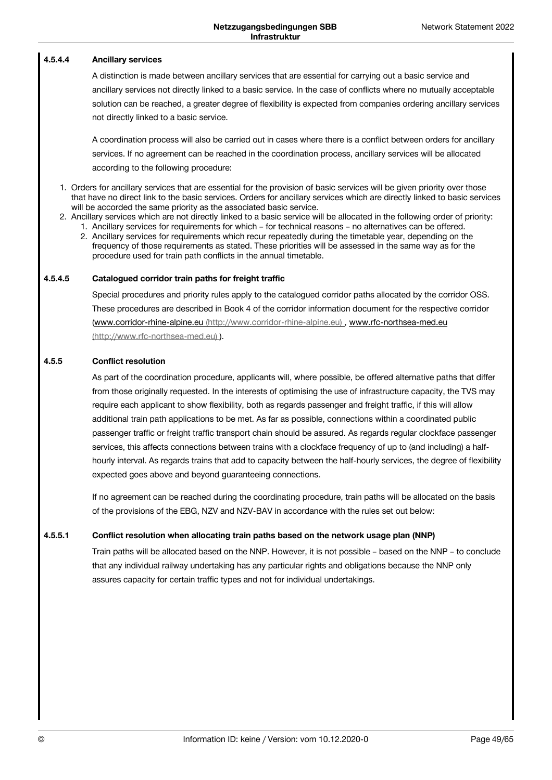#### **Ancillary services 4.5.4.4**

A distinction is made between ancillary services that are essential for carrying out a basic service and ancillary services not directly linked to a basic service. In the case of conflicts where no mutually acceptable solution can be reached, a greater degree of flexibility is expected from companies ordering ancillary services not directly linked to a basic service.

A coordination process will also be carried out in cases where there is a conflict between orders for ancillary services. If no agreement can be reached in the coordination process, ancillary services will be allocated according to the following procedure:

- 1. Orders for ancillary services that are essential for the provision of basic services will be given priority over those that have no direct link to the basic services. Orders for ancillary services which are directly linked to basic services will be accorded the same priority as the associated basic service.
- 2. Ancillary services which are not directly linked to a basic service will be allocated in the following order of priority:
	- 1. Ancillary services for requirements for which for technical reasons no alternatives can be offered.
	- 2. Ancillary services for requirements which recur repeatedly during the timetable year, depending on the frequency of those requirements as stated. These priorities will be assessed in the same way as for the procedure used for train path conflicts in the annual timetable.

#### **Catalogued corridor train paths for freight traffic 4.5.4.5**

Special procedures and priority rules apply to the catalogued corridor paths allocated by the corridor OSS. These procedures are described in Book 4 of the corridor information document for the respective corridor (www.corridor-rhine-alpine.eu [\(http://www.corridor-rhine-alpine.eu\)](http://www.rfc-northsea-med.eu) , www.rfc-northsea-med.eu (http://www.rfc-northsea-med.eu) ).

#### **Conflict resolution 4.5.5**

As part of the coordination procedure, applicants will, where possible, be offered alternative paths that differ from those originally requested. In the interests of optimising the use of infrastructure capacity, the TVS may require each applicant to show flexibility, both as regards passenger and freight traffic, if this will allow additional train path applications to be met. As far as possible, connections within a coordinated public passenger traffic or freight traffic transport chain should be assured. As regards regular clockface passenger services, this affects connections between trains with a clockface frequency of up to (and including) a halfhourly interval. As regards trains that add to capacity between the half-hourly services, the degree of flexibility expected goes above and beyond guaranteeing connections.

If no agreement can be reached during the coordinating procedure, train paths will be allocated on the basis of the provisions of the EBG, NZV and NZV-BAV in accordance with the rules set out below:

#### **Conflict resolution when allocating train paths based on the network usage plan (NNP) 4.5.5.1**

Train paths will be allocated based on the NNP. However, it is not possible – based on the NNP – to conclude that any individual railway undertaking has any particular rights and obligations because the NNP only assures capacity for certain traffic types and not for individual undertakings.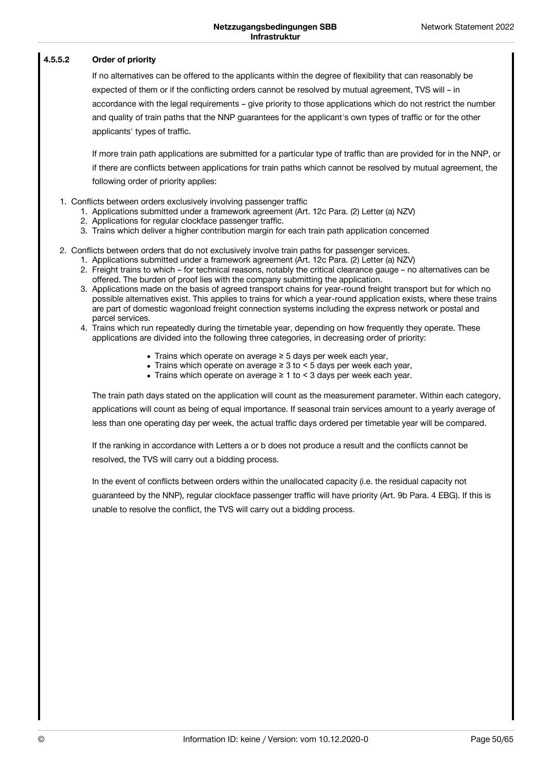#### **Order of priority 4.5.5.2**

If no alternatives can be offered to the applicants within the degree of flexibility that can reasonably be expected of them or if the conflicting orders cannot be resolved by mutual agreement, TVS will – in accordance with the legal requirements – give priority to those applications which do not restrict the number and quality of train paths that the NNP guarantees for the applicant's own types of traffic or for the other applicants' types of traffic.

If more train path applications are submitted for a particular type of traffic than are provided for in the NNP, or if there are conflicts between applications for train paths which cannot be resolved by mutual agreement, the following order of priority applies:

- 1. Conflicts between orders exclusively involving passenger traffic
	- 1. Applications submitted under a framework agreement (Art. 12c Para. (2) Letter (a) NZV)
	- 2. Applications for regular clockface passenger traffic.
	- 3. Trains which deliver a higher contribution margin for each train path application concerned
- 2. Conflicts between orders that do not exclusively involve train paths for passenger services.
	- 1. Applications submitted under a framework agreement (Art. 12c Para. (2) Letter (a) NZV)
	- 2. Freight trains to which for technical reasons, notably the critical clearance gauge no alternatives can be offered. The burden of proof lies with the company submitting the application.
	- 3. Applications made on the basis of agreed transport chains for year-round freight transport but for which no possible alternatives exist. This applies to trains for which a year-round application exists, where these trains are part of domestic wagonload freight connection systems including the express network or postal and parcel services.
	- 4. Trains which run repeatedly during the timetable year, depending on how frequently they operate. These applications are divided into the following three categories, in decreasing order of priority:
		- Trains which operate on average ≥ 5 days per week each year,
		- Trains which operate on average ≥ 3 to < 5 days per week each year,
		- Trains which operate on average ≥ 1 to < 3 days per week each year.

The train path days stated on the application will count as the measurement parameter. Within each category, applications will count as being of equal importance. If seasonal train services amount to a yearly average of less than one operating day per week, the actual traffic days ordered per timetable year will be compared.

If the ranking in accordance with Letters a or b does not produce a result and the conflicts cannot be resolved, the TVS will carry out a bidding process.

In the event of conflicts between orders within the unallocated capacity (i.e. the residual capacity not guaranteed by the NNP), regular clockface passenger traffic will have priority (Art. 9b Para. 4 EBG). If this is unable to resolve the conflict, the TVS will carry out a bidding process.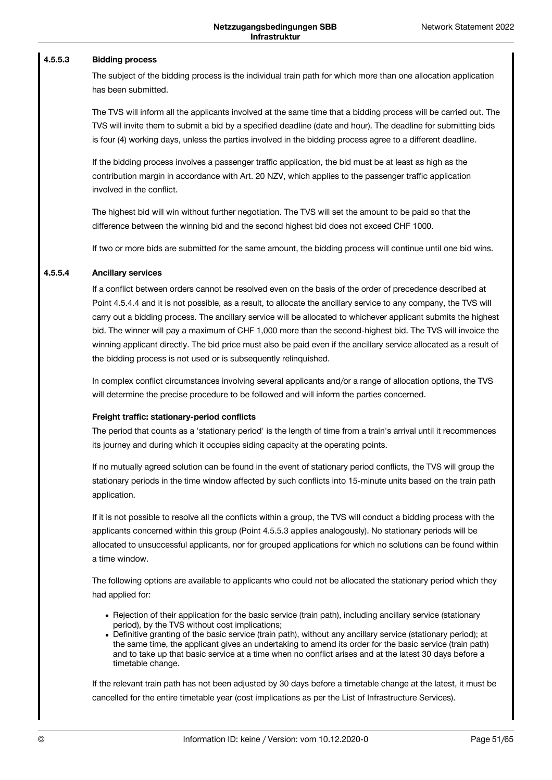#### **Bidding process 4.5.5.3**

The subject of the bidding process is the individual train path for which more than one allocation application has been submitted.

The TVS will inform all the applicants involved at the same time that a bidding process will be carried out. The TVS will invite them to submit a bid by a specified deadline (date and hour). The deadline for submitting bids is four (4) working days, unless the parties involved in the bidding process agree to a different deadline.

If the bidding process involves a passenger traffic application, the bid must be at least as high as the contribution margin in accordance with Art. 20 NZV, which applies to the passenger traffic application involved in the conflict.

The highest bid will win without further negotiation. The TVS will set the amount to be paid so that the difference between the winning bid and the second highest bid does not exceed CHF 1000.

If two or more bids are submitted for the same amount, the bidding process will continue until one bid wins.

#### **Ancillary services 4.5.5.4**

If a conflict between orders cannot be resolved even on the basis of the order of precedence described at Point 4.5.4.4 and it is not possible, as a result, to allocate the ancillary service to any company, the TVS will carry out a bidding process. The ancillary service will be allocated to whichever applicant submits the highest bid. The winner will pay a maximum of CHF 1,000 more than the second-highest bid. The TVS will invoice the winning applicant directly. The bid price must also be paid even if the ancillary service allocated as a result of the bidding process is not used or is subsequently relinquished.

In complex conflict circumstances involving several applicants and/or a range of allocation options, the TVS will determine the precise procedure to be followed and will inform the parties concerned.

### **Freight traffic: stationary-period conflicts**

The period that counts as a 'stationary period' is the length of time from a train's arrival until it recommences its journey and during which it occupies siding capacity at the operating points.

If no mutually agreed solution can be found in the event of stationary period conflicts, the TVS will group the stationary periods in the time window affected by such conflicts into 15-minute units based on the train path application.

If it is not possible to resolve all the conflicts within a group, the TVS will conduct a bidding process with the applicants concerned within this group (Point 4.5.5.3 applies analogously). No stationary periods will be allocated to unsuccessful applicants, nor for grouped applications for which no solutions can be found within a time window.

The following options are available to applicants who could not be allocated the stationary period which they had applied for:

- Rejection of their application for the basic service (train path), including ancillary service (stationary period), by the TVS without cost implications;
- Definitive granting of the basic service (train path), without any ancillary service (stationary period); at the same time, the applicant gives an undertaking to amend its order for the basic service (train path) and to take up that basic service at a time when no conflict arises and at the latest 30 days before a timetable change.

If the relevant train path has not been adjusted by 30 days before a timetable change at the latest, it must be cancelled for the entire timetable year (cost implications as per the List of Infrastructure Services).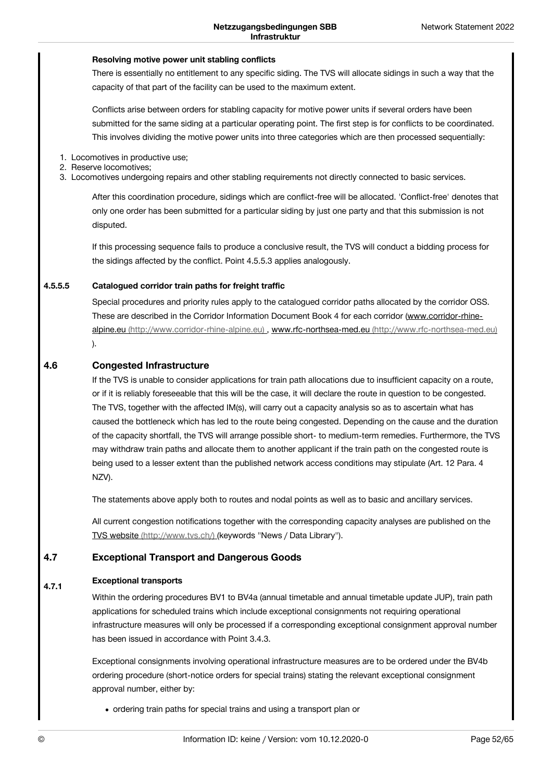### **Resolving motive power unit stabling conflicts**

There is essentially no entitlement to any specific siding. The TVS will allocate sidings in such a way that the capacity of that part of the facility can be used to the maximum extent.

Conflicts arise between orders for stabling capacity for motive power units if several orders have been submitted for the same siding at a particular operating point. The first step is for conflicts to be coordinated. This involves dividing the motive power units into three categories which are then processed sequentially:

- 1. Locomotives in productive use;
- 2. Reserve locomotives;
- 3. Locomotives undergoing repairs and other stabling requirements not directly connected to basic services.

After this coordination procedure, sidings which are conflict-free will be allocated. 'Conflict-free' denotes that only one order has been submitted for a particular siding by just one party and that this submission is not disputed.

If this processing sequence fails to produce a conclusive result, the TVS will conduct a bidding process for the sidings affected by the conflict. Point 4.5.5.3 applies analogously.

#### **Catalogued corridor train paths for freight traffic 4.5.5.5**

Special procedures and priority rules apply to the catalogued corridor paths allocated by the corridor OSS. These are described in the Corridor Information Document Book 4 for each corridor (www.corridor-rhinealpine.eu [\(http://www.corridor-rhine-alpine.eu\)](http://www.corridor-rhine-alpine.eu) , www.rfc-northsea-med.eu [\(http://www.rfc-northsea-med.eu\)](http://www.rfc-northsea-med.eu) ).

#### **Congested Infrastructure 4.6**

If the TVS is unable to consider applications for train path allocations due to insufficient capacity on a route, or if it is reliably foreseeable that this will be the case, it will declare the route in question to be congested. The TVS, together with the affected IM(s), will carry out a capacity analysis so as to ascertain what has caused the bottleneck which has led to the route being congested. Depending on the cause and the duration of the capacity shortfall, the TVS will arrange possible short- to medium-term remedies. Furthermore, the TVS may withdraw train paths and allocate them to another applicant if the train path on the congested route is being used to a lesser extent than the published network access conditions may stipulate (Art. 12 Para. 4 NZV).

The statements above apply both to routes and nodal points as well as to basic and ancillary services.

All current congestion notifications together with the corresponding capacity analyses are published on the TVS website [\(http://www.tvs.ch/\)](http://www.tvs.ch/) (keywords "News / Data Library").

#### **Exceptional Transport and Dangerous Goods 4.7**

#### **Exceptional transports 4.7.1**

Within the ordering procedures BV1 to BV4a (annual timetable and annual timetable update JUP), train path applications for scheduled trains which include exceptional consignments not requiring operational infrastructure measures will only be processed if a corresponding exceptional consignment approval number has been issued in accordance with Point 3.4.3.

Exceptional consignments involving operational infrastructure measures are to be ordered under the BV4b ordering procedure (short-notice orders for special trains) stating the relevant exceptional consignment approval number, either by:

ordering train paths for special trains and using a transport plan or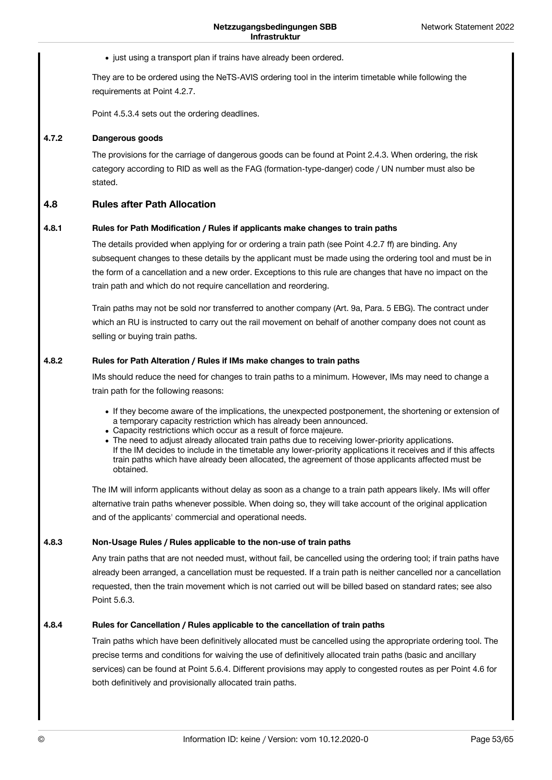• just using a transport plan if trains have already been ordered.

They are to be ordered using the NeTS-AVIS ordering tool in the interim timetable while following the requirements at Point 4.2.7.

Point 4.5.3.4 sets out the ordering deadlines.

#### **Dangerous goods 4.7.2**

The provisions for the carriage of dangerous goods can be found at Point 2.4.3. When ordering, the risk category according to RID as well as the FAG (formation-type-danger) code / UN number must also be stated.

#### **Rules after Path Allocation 4.8**

#### **Rules for Path Modification / Rules if applicants make changes to train paths 4.8.1**

The details provided when applying for or ordering a train path (see Point 4.2.7 ff) are binding. Any subsequent changes to these details by the applicant must be made using the ordering tool and must be in the form of a cancellation and a new order. Exceptions to this rule are changes that have no impact on the train path and which do not require cancellation and reordering.

Train paths may not be sold nor transferred to another company (Art. 9a, Para. 5 EBG). The contract under which an RU is instructed to carry out the rail movement on behalf of another company does not count as selling or buying train paths.

#### **Rules for Path Alteration / Rules if IMs make changes to train paths 4.8.2**

IMs should reduce the need for changes to train paths to a minimum. However, IMs may need to change a train path for the following reasons:

- If they become aware of the implications, the unexpected postponement, the shortening or extension of a temporary capacity restriction which has already been announced.
- Capacity restrictions which occur as a result of force majeure.
- The need to adjust already allocated train paths due to receiving lower-priority applications. If the IM decides to include in the timetable any lower-priority applications it receives and if this affects train paths which have already been allocated, the agreement of those applicants affected must be obtained.

The IM will inform applicants without delay as soon as a change to a train path appears likely. IMs will offer alternative train paths whenever possible. When doing so, they will take account of the original application and of the applicants' commercial and operational needs.

#### **Non-Usage Rules / Rules applicable to the non-use of train paths 4.8.3**

Any train paths that are not needed must, without fail, be cancelled using the ordering tool; if train paths have already been arranged, a cancellation must be requested. If a train path is neither cancelled nor a cancellation requested, then the train movement which is not carried out will be billed based on standard rates; see also Point 5.6.3.

#### **Rules for Cancellation / Rules applicable to the cancellation of train paths 4.8.4**

Train paths which have been definitively allocated must be cancelled using the appropriate ordering tool. The precise terms and conditions for waiving the use of definitively allocated train paths (basic and ancillary services) can be found at Point 5.6.4. Different provisions may apply to congested routes as per Point 4.6 for both definitively and provisionally allocated train paths.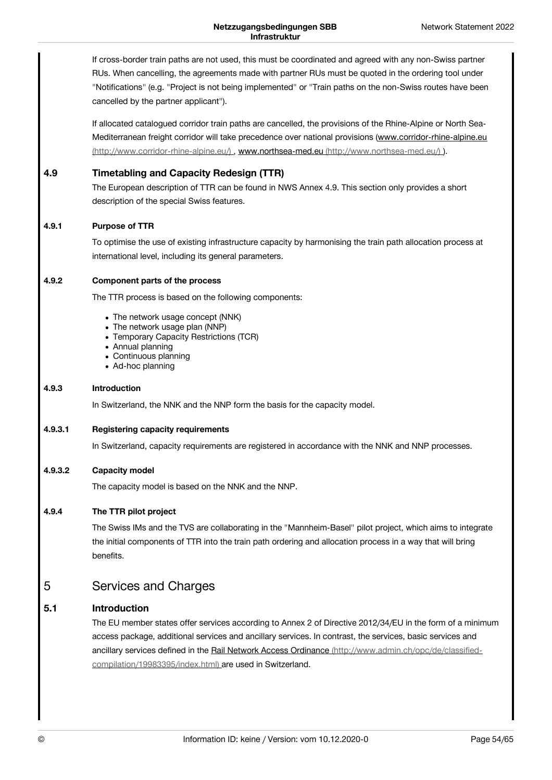If cross-border train paths are not used, this must be coordinated and agreed with any non-Swiss partner RUs. When cancelling, the agreements made with partner RUs must be quoted in the ordering tool under "Notifications" (e.g. "Project is not being implemented" or "Train paths on the non-Swiss routes have been cancelled by the partner applicant").

If allocated catalogued corridor train paths are cancelled, the provisions of the Rhine-Alpine or North Sea- Mediterranean freight corridor will take precedence over national provisions (www.corridor-rhine-alpine.eu [\(http://www.corridor-rhine-alpine.eu/\)](http://www.corridor-rhine-alpine.eu/) , www.northsea-med.eu [\(http://www.northsea-med.eu/\)](http://www.northsea-med.eu/) ).

#### **Timetabling and Capacity Redesign (TTR) 4.9**

The European description of TTR can be found in NWS Annex 4.9. This section only provides a short description of the special Swiss features.

#### **Purpose of TTR 4.9.1**

To optimise the use of existing infrastructure capacity by harmonising the train path allocation process at international level, including its general parameters.

#### **Component parts of the process 4.9.2**

The TTR process is based on the following components:

- The network usage concept (NNK)
- The network usage plan (NNP)
- Temporary Capacity Restrictions (TCR)
- Annual planning
- Continuous planning
- Ad-hoc planning

#### **Introduction 4.9.3**

In Switzerland, the NNK and the NNP form the basis for the capacity model.

#### **Registering capacity requirements 4.9.3.1**

In Switzerland, capacity requirements are registered in accordance with the NNK and NNP processes.

#### **Capacity model 4.9.3.2**

The capacity model is based on the NNK and the NNP.

#### **The TTR pilot project 4.9.4**

The Swiss IMs and the TVS are collaborating in the "Mannheim-Basel" pilot project, which aims to integrate the initial components of TTR into the train path ordering and allocation process in a way that will bring benefits.

### <span id="page-53-0"></span>Services and Charges 5

#### **Introduction 5.1**

The EU member states offer services according to Annex 2 of Directive 2012/34/EU in the form of a minimum access package, additional services and ancillary services. In contrast, the services, basic services and ancillary services defined in the Rail Network Access Ordinance [\(http://www.admin.ch/opc/de/classified](http://www.admin.ch/opc/de/classified-compilation/19983395/index.html)compilation/19983395/index.html) are used in Switzerland.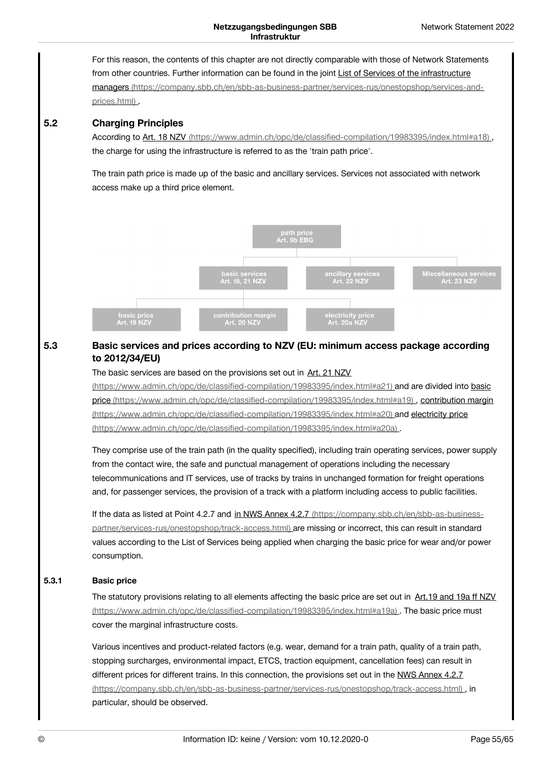For this reason, the contents of this chapter are not directly comparable with those of Network Statements from other countries. Further information can be found in the joint List of Services of the infrastructure managers [\(https://company.sbb.ch/en/sbb-as-business-partner/services-rus/onestopshop/services-and](https://company.sbb.ch/en/sbb-as-business-partner/services-rus/onestopshop/services-and-prices.html)prices.html) .

#### **Charging Principles 5.2**

According to Art. 18 NZV [\(https://www.admin.ch/opc/de/classified-compilation/19983395/index.html#a18\)](https://www.admin.ch/opc/de/classified-compilation/19983395/index.html#a18), the charge for using the infrastructure is referred to as the 'train path price'.

The train path price is made up of the basic and ancillary services. Services not associated with network access make up a third price element.



### **Basic services and prices according to NZV (EU: minimum access package according to 2012/34/EU) 5.3**

### The basic services are based on the provisions set out in Art. 21 NZV

[\(https://www.admin.ch/opc/de/classified-compilation/19983395/index.html#a21\)](https://www.admin.ch/opc/de/classified-compilation/19983395/index.html#a19) and are divided into basic price [\(https://www.admin.ch/opc/de/classified-compilation/19983395/index.html#a19\)](https://www.admin.ch/opc/de/classified-compilation/19983395/index.html#a20) , contribution margin (https://www.admin.ch/opc/de/classified-compilation/19983395/index.html#a20) and electricity price [\(https://www.admin.ch/opc/de/classified-compilation/19983395/index.html#a20a\)](https://www.admin.ch/opc/de/classified-compilation/19983395/index.html#a20a) .

They comprise use of the train path (in the quality specified), including train operating services, power supply from the contact wire, the safe and punctual management of operations including the necessary telecommunications and IT services, use of tracks by trains in unchanged formation for freight operations and, for passenger services, the provision of a track with a platform including access to public facilities.

If the data as listed at Point 4.2.7 and in NWS Annex 4.2.7 (https://company.sbb.ch/en/sbb-as-business[partner/services-rus/onestopshop/track-access.html\)](https://company.sbb.ch/en/sbb-as-business-partner/services-rus/onestopshop/track-access.html) are missing or incorrect, this can result in standard values according to the List of Services being applied when charging the basic price for wear and/or power consumption.

#### **Basic price 5.3.1**

The statutory provisions relating to all elements affecting the basic price are set out in Art.19 and 19a ff NZV [\(https://www.admin.ch/opc/de/classified-compilation/19983395/index.html#a19a\)](https://www.admin.ch/opc/de/classified-compilation/19983395/index.html#a19a) . The basic price must cover the marginal infrastructure costs.

Various incentives and product-related factors (e.g. wear, demand for a train path, quality of a train path, stopping surcharges, environmental impact, ETCS, traction equipment, cancellation fees) can result in different prices for different trains. In this connection, the provisions set out in the NWS Annex 4.2.7 [\(https://company.sbb.ch/en/sbb-as-business-partner/services-rus/onestopshop/track-access.html\)](https://company.sbb.ch/en/sbb-as-business-partner/services-rus/onestopshop/track-access.html) , in particular, should be observed.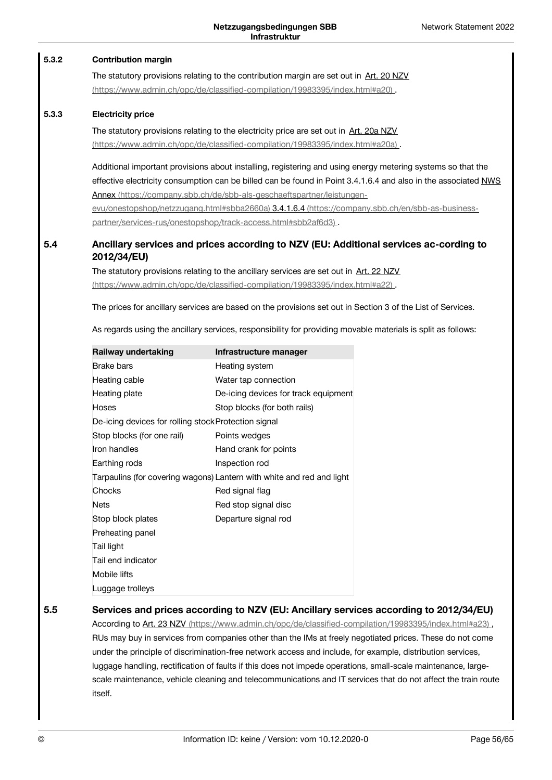#### **Contribution margin 5.3.2**

The statutory provisions relating to the contribution margin are set out in Art. 20 NZV [\(https://www.admin.ch/opc/de/classified-compilation/19983395/index.html#a20\)](https://www.admin.ch/opc/de/classified-compilation/19983395/index.html#a20) .

#### **Electricity price 5.3.3**

The statutory provisions relating to the electricity price are set out in Art. 20a NZV [\(https://www.admin.ch/opc/de/classified-compilation/19983395/index.html#a20a\)](https://www.admin.ch/opc/de/classified-compilation/19983395/index.html#a20a) .

Additional important provisions about installing, registering and using energy metering systems so that the effective electricity consumption can be billed can be found in Point 3.4.1.6.4 and also in the associated NWS Annex [\(https://company.sbb.ch/de/sbb-als-geschaeftspartner/leistungen-](https://company.sbb.ch/de/sbb-als-geschaeftspartner/leistungen-evu/onestopshop/netzzugang.html#sbba2660a)

evu/onestopshop/netzzugang.html#sbba2660a) 3.4.1.6.4 (https://company.sbb.ch/en/sbb-as-business[partner/services-rus/onestopshop/track-access.html#sbb2af6d3\)](https://company.sbb.ch/en/sbb-as-business-partner/services-rus/onestopshop/track-access.html#sbb2af6d3) .

### **Ancillary services and prices according to NZV (EU: Additional services ac-cording to 2012/34/EU) 5.4**

The statutory provisions relating to the ancillary services are set out in Art. 22 NZV [\(https://www.admin.ch/opc/de/classified-compilation/19983395/index.html#a22\)](https://www.admin.ch/opc/de/classified-compilation/19983395/index.html#a22) .

The prices for ancillary services are based on the provisions set out in Section 3 of the List of Services.

As regards using the ancillary services, responsibility for providing movable materials is split as follows:

| Railway undertaking                                  | Infrastructure manager                                                |
|------------------------------------------------------|-----------------------------------------------------------------------|
| <b>Brake bars</b>                                    | Heating system                                                        |
| Heating cable                                        | Water tap connection                                                  |
| Heating plate                                        | De-icing devices for track equipment                                  |
| <b>Hoses</b>                                         | Stop blocks (for both rails)                                          |
| De-icing devices for rolling stock Protection signal |                                                                       |
| Stop blocks (for one rail)                           | Points wedges                                                         |
| Iron handles                                         | Hand crank for points                                                 |
| Earthing rods                                        | Inspection rod                                                        |
|                                                      | Tarpaulins (for covering wagons) Lantern with white and red and light |
| Chocks                                               | Red signal flag                                                       |
| <b>Nets</b>                                          | Red stop signal disc                                                  |
| Stop block plates                                    | Departure signal rod                                                  |
| Preheating panel                                     |                                                                       |
| Tail light                                           |                                                                       |
| Tail end indicator                                   |                                                                       |
| Mobile lifts                                         |                                                                       |
| Luggage trolleys                                     |                                                                       |

**5.5**

### **Services and prices according to NZV (EU: Ancillary services according to 2012/34/EU)**

According to Art. 23 NZV [\(https://www.admin.ch/opc/de/classified-compilation/19983395/index.html#a23\)](https://www.admin.ch/opc/de/classified-compilation/19983395/index.html#a23). RUs may buy in services from companies other than the IMs at freely negotiated prices. These do not come under the principle of discrimination-free network access and include, for example, distribution services, luggage handling, rectification of faults if this does not impede operations, small-scale maintenance, largescale maintenance, vehicle cleaning and telecommunications and IT services that do not affect the train route itself.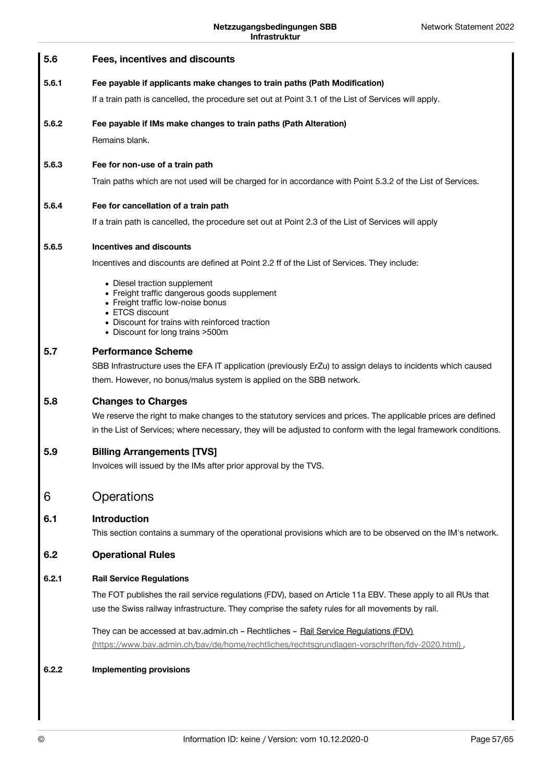<span id="page-56-0"></span>

| 5.6   | Fees, incentives and discounts                                                                                                                                                                                                  |
|-------|---------------------------------------------------------------------------------------------------------------------------------------------------------------------------------------------------------------------------------|
| 5.6.1 | Fee payable if applicants make changes to train paths (Path Modification)                                                                                                                                                       |
|       | If a train path is cancelled, the procedure set out at Point 3.1 of the List of Services will apply.                                                                                                                            |
| 5.6.2 | Fee payable if IMs make changes to train paths (Path Alteration)                                                                                                                                                                |
|       | Remains blank.                                                                                                                                                                                                                  |
| 5.6.3 | Fee for non-use of a train path                                                                                                                                                                                                 |
|       | Train paths which are not used will be charged for in accordance with Point 5.3.2 of the List of Services.                                                                                                                      |
| 5.6.4 | Fee for cancellation of a train path                                                                                                                                                                                            |
|       | If a train path is cancelled, the procedure set out at Point 2.3 of the List of Services will apply                                                                                                                             |
| 5.6.5 | <b>Incentives and discounts</b>                                                                                                                                                                                                 |
|       | Incentives and discounts are defined at Point 2.2 ff of the List of Services. They include:                                                                                                                                     |
|       | • Diesel traction supplement<br>• Freight traffic dangerous goods supplement                                                                                                                                                    |
|       | • Freight traffic low-noise bonus<br>• ETCS discount                                                                                                                                                                            |
|       | • Discount for trains with reinforced traction<br>• Discount for long trains >500m                                                                                                                                              |
| 5.7   | <b>Performance Scheme</b>                                                                                                                                                                                                       |
|       | SBB Infrastructure uses the EFA IT application (previously ErZu) to assign delays to incidents which caused                                                                                                                     |
|       | them. However, no bonus/malus system is applied on the SBB network.                                                                                                                                                             |
| 5.8   | <b>Changes to Charges</b>                                                                                                                                                                                                       |
|       | We reserve the right to make changes to the statutory services and prices. The applicable prices are defined<br>in the List of Services; where necessary, they will be adjusted to conform with the legal framework conditions. |
| 5.9   | <b>Billing Arrangements [TVS]</b>                                                                                                                                                                                               |
|       | Invoices will issued by the IMs after prior approval by the TVS.                                                                                                                                                                |
| 6     | Operations                                                                                                                                                                                                                      |
| 6.1   | <b>Introduction</b>                                                                                                                                                                                                             |
|       | This section contains a summary of the operational provisions which are to be observed on the IM's network.                                                                                                                     |
| 6.2   | <b>Operational Rules</b>                                                                                                                                                                                                        |
| 6.2.1 | <b>Rail Service Regulations</b>                                                                                                                                                                                                 |
|       | The FOT publishes the rail service regulations (FDV), based on Article 11a EBV. These apply to all RUs that                                                                                                                     |
|       | use the Swiss railway infrastructure. They comprise the safety rules for all movements by rail.                                                                                                                                 |
|       | They can be accessed at bav.admin.ch - Rechtliches - Rail Service Regulations (FDV).<br>(https://www.bav.admin.ch/bav/de/home/rechtliches/rechtsgrundlagen-vorschriften/fdv-2020.html)                                          |
| 6.2.2 | <b>Implementing provisions</b>                                                                                                                                                                                                  |
|       |                                                                                                                                                                                                                                 |
|       |                                                                                                                                                                                                                                 |
|       |                                                                                                                                                                                                                                 |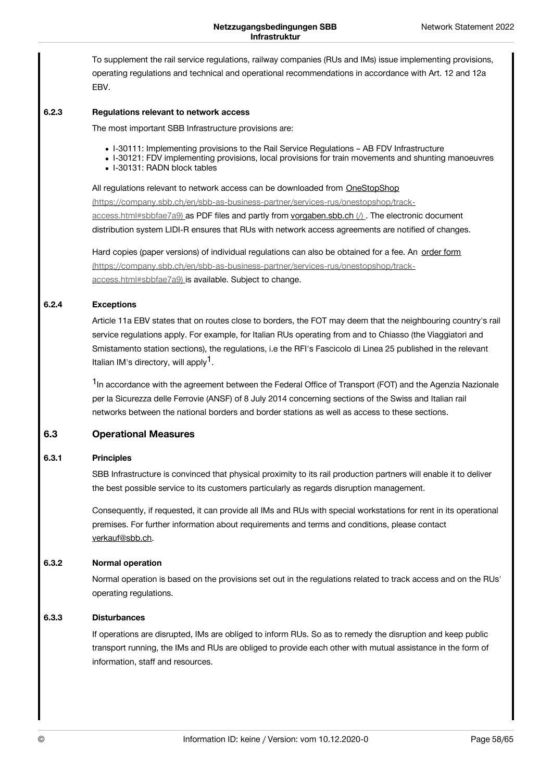To supplement the rail service regulations, railway companies (RUs and IMs) issue implementing provisions, operating regulations and technical and operational recommendations in accordance with Art. 12 and 12a EBV.

#### **Regulations relevant to network access 6.2.3**

The most important SBB Infrastructure provisions are:

- I-30111: Implementing provisions to the Rail Service Regulations AB FDV Infrastructure
- I-30121: FDV implementing provisions, local provisions for train movements and shunting manoeuvres
- I-30131: RADN block tables

All regulations relevant to network access can be downloaded from OneStopShop

[\(https://company.sbb.ch/en/sbb-as-business-partner/services-rus/onestopshop/track](https://company.sbb.ch/en/sbb-as-business-partner/services-rus/onestopshop/track-access.html#sbbfae7a9)access.html#sbbfae7a9) as PDF files and partly from [vorgaben.sbb.ch](https://vorgaben.sbb.ch/)  $\Lambda$ . The electronic document distribution system LIDI-R ensures that RUs with network access agreements are notified of changes.

Hard copies (paper versions) of individual regulations can also be obtained for a fee. An order form [\(https://company.sbb.ch/en/sbb-as-business-partner/services-rus/onestopshop/track](https://company.sbb.ch/en/sbb-as-business-partner/services-rus/onestopshop/track-access.html#sbbfae7a9)access.html#sbbfae7a9) is available. Subject to change.

#### **Exceptions 6.2.4**

Article 11a EBV states that on routes close to borders, the FOT may deem that the neighbouring country's rail service regulations apply. For example, for Italian RUs operating from and to Chiasso (the Viaggiatori and Smistamento station sections), the regulations, i.e the RFI's Fascicolo di Linea 25 published in the relevant Italian IM's directory, will apply<sup>1</sup>.

<sup>1</sup>In accordance with the agreement between the Federal Office of Transport (FOT) and the Agenzia Nazionale per la Sicurezza delle Ferrovie (ANSF) of 8 July 2014 concerning sections of the Swiss and Italian rail networks between the national borders and border stations as well as access to these sections.

#### **Operational Measures 6.3**

#### **Principles 6.3.1**

SBB Infrastructure is convinced that physical proximity to its rail production partners will enable it to deliver the best possible service to its customers particularly as regards disruption management.

Consequently, if requested, it can provide all IMs and RUs with special workstations for rent in its operational premises. For further information about requirements and terms and conditions, please contact [verkauf@sbb.ch](javascript:linkDecryptEmail().

#### **Normal operation 6.3.2**

Normal operation is based on the provisions set out in the regulations related to track access and on the RUs' operating regulations.

#### **Disturbances 6.3.3**

If operations are disrupted, IMs are obliged to inform RUs. So as to remedy the disruption and keep public transport running, the IMs and RUs are obliged to provide each other with mutual assistance in the form of information, staff and resources.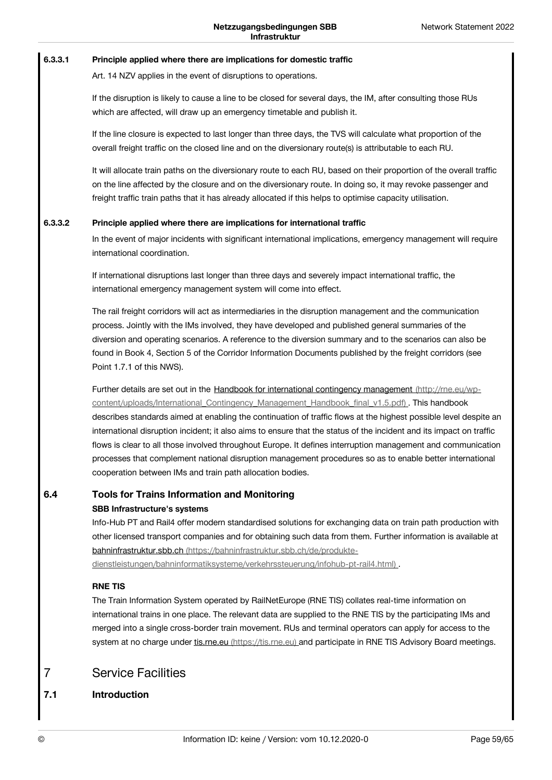#### **Principle applied where there are implications for domestic traffic 6.3.3.1**

Art. 14 NZV applies in the event of disruptions to operations.

If the disruption is likely to cause a line to be closed for several days, the IM, after consulting those RUs which are affected, will draw up an emergency timetable and publish it.

If the line closure is expected to last longer than three days, the TVS will calculate what proportion of the overall freight traffic on the closed line and on the diversionary route(s) is attributable to each RU.

It will allocate train paths on the diversionary route to each RU, based on their proportion of the overall traffic on the line affected by the closure and on the diversionary route. In doing so, it may revoke passenger and freight traffic train paths that it has already allocated if this helps to optimise capacity utilisation.

#### **Principle applied where there are implications for international traffic 6.3.3.2**

In the event of major incidents with significant international implications, emergency management will require international coordination.

If international disruptions last longer than three days and severely impact international traffic, the international emergency management system will come into effect.

The rail freight corridors will act as intermediaries in the disruption management and the communication process. Jointly with the IMs involved, they have developed and published general summaries of the diversion and operating scenarios. A reference to the diversion summary and to the scenarios can also be found in Book 4, Section 5 of the Corridor Information Documents published by the freight corridors (see Point 1.7.1 of this NWS).

Further details are set out in the Handbook for international contingency management (http://rne.eu/wp[content/uploads/International\\_Contingency\\_Management\\_Handbook\\_final\\_v1.5.pdf\)](http://rne.eu/wp-content/uploads/International_Contingency_Management_Handbook_final_v1.5.pdf) . This handbook describes standards aimed at enabling the continuation of traffic flows at the highest possible level despite an international disruption incident; it also aims to ensure that the status of the incident and its impact on traffic flows is clear to all those involved throughout Europe. It defines interruption management and communication processes that complement national disruption management procedures so as to enable better international cooperation between IMs and train path allocation bodies.

### **Tools for Trains Information and Monitoring 6.4**

**SBB Infrastructure's systems**

Info-Hub PT and Rail4 offer modern standardised solutions for exchanging data on train path production with other licensed transport companies and for obtaining such data from them. Further information is available at bahninfrastruktur.sbb.ch (https://bahninfrastruktur.sbb.ch/de/produkte-

[dienstleistungen/bahninformatiksysteme/verkehrssteuerung/infohub-pt-rail4.html\)](https://bahninfrastruktur.sbb.ch/de/produkte-dienstleistungen/bahninformatiksysteme/verkehrssteuerung/infohub-pt-rail4.html) .

# **RNE TIS**

The Train Information System operated by RailNetEurope (RNE TIS) collates real-time information on international trains in one place. The relevant data are supplied to the RNE TIS by the participating IMs and merged into a single cross-border train movement. RUs and terminal operators can apply for access to the system at no charge under tis.rne.eu [\(https://tis.rne.eu\)](https://tis.rne.eu) and participate in RNE TIS Advisory Board meetings.

### <span id="page-58-0"></span>Service Facilities 7

#### **Introduction 7.1**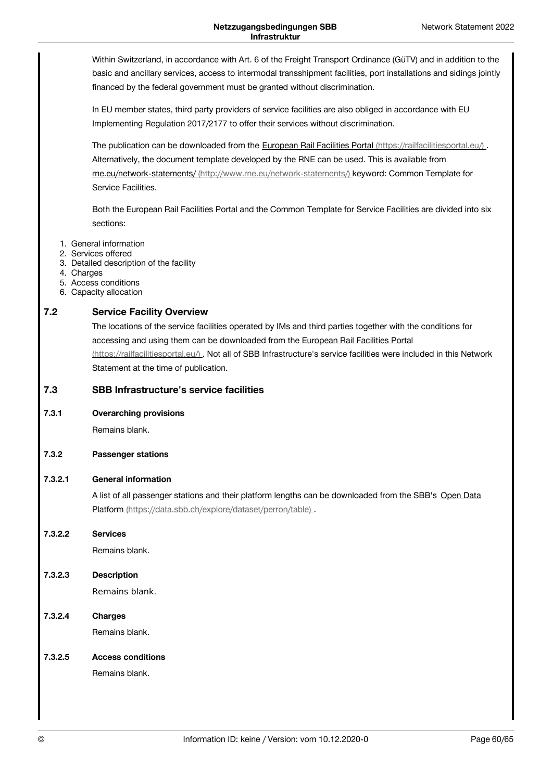Within Switzerland, in accordance with Art. 6 of the Freight Transport Ordinance (GüTV) and in addition to the basic and ancillary services, access to intermodal transshipment facilities, port installations and sidings jointly financed by the federal government must be granted without discrimination.

In EU member states, third party providers of service facilities are also obliged in accordance with EU Implementing Regulation 2017/2177 to offer their services without discrimination.

The publication can be downloaded from the European Rail Facilities Portal [\(https://railfacilitiesportal.eu/\)](https://railfacilitiesportal.eu/). Alternatively, the document template developed by the RNE can be used. This is available from rne.eu/network-statements/ [\(http://www.rne.eu/network-statements/\)](http://www.rne.eu/network-statements/) keyword: Common Template for Service Facilities.

Both the European Rail Facilities Portal and the Common Template for Service Facilities are divided into six sections:

- 1. General information
- 2. Services offered
- 3. Detailed description of the facility
- 4. Charges
- 5. Access conditions
- 6. Capacity allocation

#### **Service Facility Overview 7.2**

The locations of the service facilities operated by IMs and third parties together with the conditions for accessing and using them can be downloaded from the European Rail Facilities Portal [\(https://railfacilitiesportal.eu/\)](https://railfacilitiesportal.eu/) . Not all of SBB Infrastructure's service facilities were included in this Network Statement at the time of publication.

#### **SBB Infrastructure's service facilities 7.3**

**Overarching provisions 7.3.1**

Remains blank.

#### **Passenger stations 7.3.2**

#### **General information 7.3.2.1**

A list of all passenger stations and their platform lengths can be downloaded from the SBB's Open Data Platform [\(https://data.sbb.ch/explore/dataset/perron/table\)](https://data.sbb.ch/explore/dataset/perron/table) .

**Services 7.3.2.2**

Remains blank.

**Description** Remains blank. **7.3.2.3**

**Charges** Remains blank. **7.3.2.4**

#### **Access conditions 7.3.2.5**

Remains blank.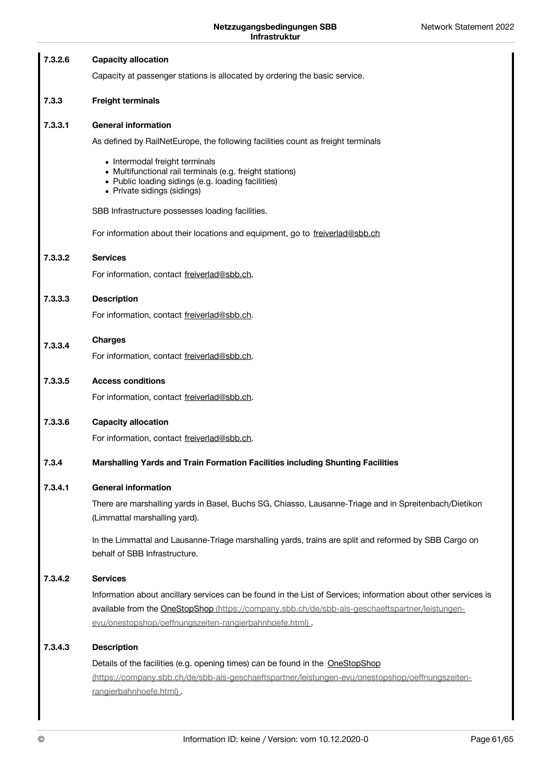| 7.3.2.6 | <b>Capacity allocation</b>                                                                                                                                                                                                                                                  |
|---------|-----------------------------------------------------------------------------------------------------------------------------------------------------------------------------------------------------------------------------------------------------------------------------|
|         | Capacity at passenger stations is allocated by ordering the basic service.                                                                                                                                                                                                  |
| 7.3.3   | <b>Freight terminals</b>                                                                                                                                                                                                                                                    |
| 7.3.3.1 | <b>General information</b>                                                                                                                                                                                                                                                  |
|         | As defined by RailNetEurope, the following facilities count as freight terminals                                                                                                                                                                                            |
|         | • Intermodal freight terminals<br>• Multifunctional rail terminals (e.g. freight stations)<br>• Public loading sidings (e.g. loading facilities)<br>• Private sidings (sidings)                                                                                             |
|         | SBB Infrastructure possesses loading facilities.                                                                                                                                                                                                                            |
|         | For information about their locations and equipment, go to freiverlad@sbb.ch                                                                                                                                                                                                |
| 7.3.3.2 | <b>Services</b>                                                                                                                                                                                                                                                             |
|         | For information, contact freiverlad@sbb.ch.                                                                                                                                                                                                                                 |
| 7.3.3.3 | <b>Description</b>                                                                                                                                                                                                                                                          |
|         | For information, contact freiverlad@sbb.ch.                                                                                                                                                                                                                                 |
| 7.3.3.4 | <b>Charges</b>                                                                                                                                                                                                                                                              |
|         | For information, contact freiverlad@sbb.ch.                                                                                                                                                                                                                                 |
| 7.3.3.5 | <b>Access conditions</b>                                                                                                                                                                                                                                                    |
|         | For information, contact freiverlad@sbb.ch.                                                                                                                                                                                                                                 |
| 7.3.3.6 | <b>Capacity allocation</b>                                                                                                                                                                                                                                                  |
|         | For information, contact freiverlad@sbb.ch.                                                                                                                                                                                                                                 |
| 7.3.4   | Marshalling Yards and Train Formation Facilities including Shunting Facilities                                                                                                                                                                                              |
| 7.3.4.1 | <b>General information</b>                                                                                                                                                                                                                                                  |
|         | There are marshalling yards in Basel, Buchs SG, Chiasso, Lausanne-Triage and in Spreitenbach/Dietikon<br>(Limmattal marshalling yard).                                                                                                                                      |
|         | In the Limmattal and Lausanne-Triage marshalling yards, trains are split and reformed by SBB Cargo on<br>behalf of SBB Infrastructure.                                                                                                                                      |
| 7.3.4.2 | <b>Services</b>                                                                                                                                                                                                                                                             |
|         | Information about ancillary services can be found in the List of Services; information about other services is<br>available from the OneStopShop (https://company.sbb.ch/de/sbb-als-geschaeftspartner/leistungen-<br>evu/onestopshop/oeffnungszeiten-rangierbahnhoefe.html) |
| 7.3.4.3 | <b>Description</b>                                                                                                                                                                                                                                                          |
|         | Details of the facilities (e.g. opening times) can be found in the OneStopShop                                                                                                                                                                                              |
|         | (https://company.sbb.ch/de/sbb-als-geschaeftspartner/leistungen-evu/onestopshop/oeffnungszeiten-<br>rangierbahnhoefe.html).                                                                                                                                                 |
|         |                                                                                                                                                                                                                                                                             |
|         |                                                                                                                                                                                                                                                                             |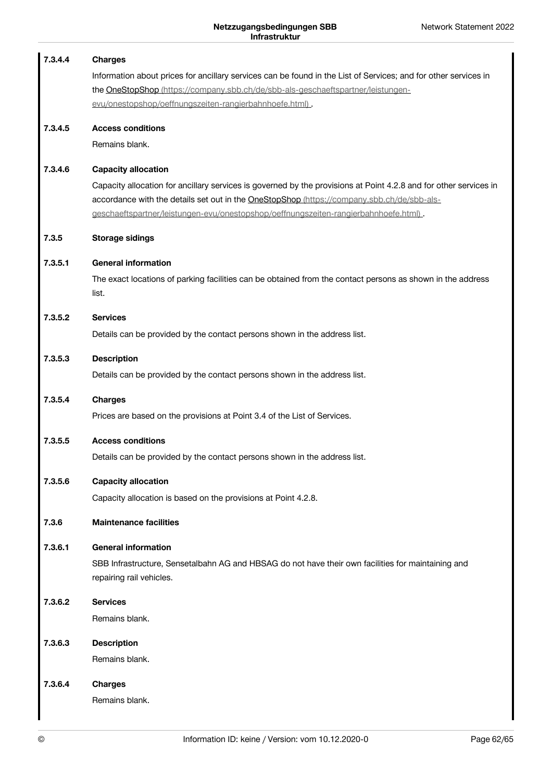| 7.3.4.4 | <b>Charges</b>                                                                                                    |
|---------|-------------------------------------------------------------------------------------------------------------------|
|         | Information about prices for ancillary services can be found in the List of Services; and for other services in   |
|         | the OneStopShop (https://company.sbb.ch/de/sbb-als-geschaeftspartner/leistungen-                                  |
|         | evu/onestopshop/oeffnungszeiten-rangierbahnhoefe.html).                                                           |
| 7.3.4.5 | <b>Access conditions</b>                                                                                          |
|         | Remains blank.                                                                                                    |
| 7.3.4.6 | <b>Capacity allocation</b>                                                                                        |
|         | Capacity allocation for ancillary services is governed by the provisions at Point 4.2.8 and for other services in |
|         | accordance with the details set out in the OneStopShop (https://company.sbb.ch/de/sbb-als-                        |
|         | geschaeftspartner/leistungen-evu/onestopshop/oeffnungszeiten-rangierbahnhoefe.html)                               |
| 7.3.5   | <b>Storage sidings</b>                                                                                            |
| 7.3.5.1 | <b>General information</b>                                                                                        |
|         | The exact locations of parking facilities can be obtained from the contact persons as shown in the address        |
|         | list.                                                                                                             |
| 7.3.5.2 | <b>Services</b>                                                                                                   |
|         | Details can be provided by the contact persons shown in the address list.                                         |
| 7.3.5.3 | <b>Description</b>                                                                                                |
|         | Details can be provided by the contact persons shown in the address list.                                         |
| 7.3.5.4 | <b>Charges</b>                                                                                                    |
|         | Prices are based on the provisions at Point 3.4 of the List of Services.                                          |
| 7.3.5.5 | <b>Access conditions</b>                                                                                          |
|         | Details can be provided by the contact persons shown in the address list.                                         |
| 7.3.5.6 | <b>Capacity allocation</b>                                                                                        |
|         | Capacity allocation is based on the provisions at Point 4.2.8.                                                    |
| 7.3.6   | <b>Maintenance facilities</b>                                                                                     |
| 7.3.6.1 | <b>General information</b>                                                                                        |
|         | SBB Infrastructure, Sensetalbahn AG and HBSAG do not have their own facilities for maintaining and                |
|         | repairing rail vehicles.                                                                                          |
| 7.3.6.2 | <b>Services</b>                                                                                                   |
|         | Remains blank.                                                                                                    |
| 7.3.6.3 | <b>Description</b>                                                                                                |
|         | Remains blank.                                                                                                    |
| 7.3.6.4 | <b>Charges</b>                                                                                                    |
|         | Remains blank.                                                                                                    |
|         |                                                                                                                   |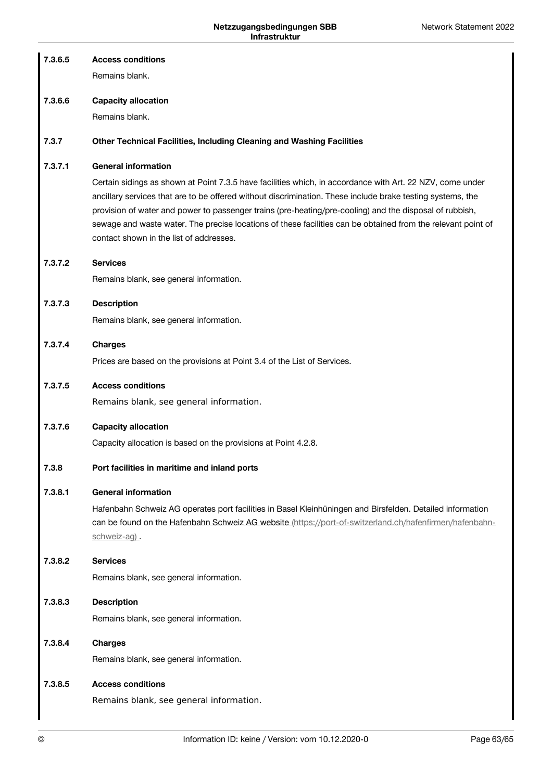| 7.3.6.5 | <b>Access conditions</b>                                                                                                                                                                                                                                                                                                                                                                                                                                                                      |
|---------|-----------------------------------------------------------------------------------------------------------------------------------------------------------------------------------------------------------------------------------------------------------------------------------------------------------------------------------------------------------------------------------------------------------------------------------------------------------------------------------------------|
|         | Remains blank.                                                                                                                                                                                                                                                                                                                                                                                                                                                                                |
| 7.3.6.6 | <b>Capacity allocation</b>                                                                                                                                                                                                                                                                                                                                                                                                                                                                    |
|         | Remains blank.                                                                                                                                                                                                                                                                                                                                                                                                                                                                                |
| 7.3.7   | Other Technical Facilities, Including Cleaning and Washing Facilities                                                                                                                                                                                                                                                                                                                                                                                                                         |
| 7.3.7.1 | <b>General information</b>                                                                                                                                                                                                                                                                                                                                                                                                                                                                    |
|         | Certain sidings as shown at Point 7.3.5 have facilities which, in accordance with Art. 22 NZV, come under<br>ancillary services that are to be offered without discrimination. These include brake testing systems, the<br>provision of water and power to passenger trains (pre-heating/pre-cooling) and the disposal of rubbish,<br>sewage and waste water. The precise locations of these facilities can be obtained from the relevant point of<br>contact shown in the list of addresses. |
| 7.3.7.2 | <b>Services</b>                                                                                                                                                                                                                                                                                                                                                                                                                                                                               |
|         | Remains blank, see general information.                                                                                                                                                                                                                                                                                                                                                                                                                                                       |
| 7.3.7.3 | <b>Description</b>                                                                                                                                                                                                                                                                                                                                                                                                                                                                            |
|         | Remains blank, see general information.                                                                                                                                                                                                                                                                                                                                                                                                                                                       |
| 7.3.7.4 | <b>Charges</b>                                                                                                                                                                                                                                                                                                                                                                                                                                                                                |
|         | Prices are based on the provisions at Point 3.4 of the List of Services.                                                                                                                                                                                                                                                                                                                                                                                                                      |
| 7.3.7.5 | <b>Access conditions</b>                                                                                                                                                                                                                                                                                                                                                                                                                                                                      |
|         | Remains blank, see general information.                                                                                                                                                                                                                                                                                                                                                                                                                                                       |
| 7.3.7.6 | <b>Capacity allocation</b>                                                                                                                                                                                                                                                                                                                                                                                                                                                                    |
|         | Capacity allocation is based on the provisions at Point 4.2.8.                                                                                                                                                                                                                                                                                                                                                                                                                                |
| 7.3.8   | Port facilities in maritime and inland ports                                                                                                                                                                                                                                                                                                                                                                                                                                                  |
| 7.3.8.1 | <b>General information</b>                                                                                                                                                                                                                                                                                                                                                                                                                                                                    |
|         | Hafenbahn Schweiz AG operates port facilities in Basel Kleinhüningen and Birsfelden. Detailed information<br>can be found on the Hafenbahn Schweiz AG website (https://port-of-switzerland.ch/hafenfirmen/hafenbahn-<br>schweiz-ag).                                                                                                                                                                                                                                                          |
| 7.3.8.2 | <b>Services</b>                                                                                                                                                                                                                                                                                                                                                                                                                                                                               |
|         | Remains blank, see general information.                                                                                                                                                                                                                                                                                                                                                                                                                                                       |
| 7.3.8.3 | <b>Description</b>                                                                                                                                                                                                                                                                                                                                                                                                                                                                            |
|         | Remains blank, see general information.                                                                                                                                                                                                                                                                                                                                                                                                                                                       |
| 7.3.8.4 | <b>Charges</b>                                                                                                                                                                                                                                                                                                                                                                                                                                                                                |
|         | Remains blank, see general information.                                                                                                                                                                                                                                                                                                                                                                                                                                                       |
| 7.3.8.5 | <b>Access conditions</b>                                                                                                                                                                                                                                                                                                                                                                                                                                                                      |
|         | Remains blank, see general information.                                                                                                                                                                                                                                                                                                                                                                                                                                                       |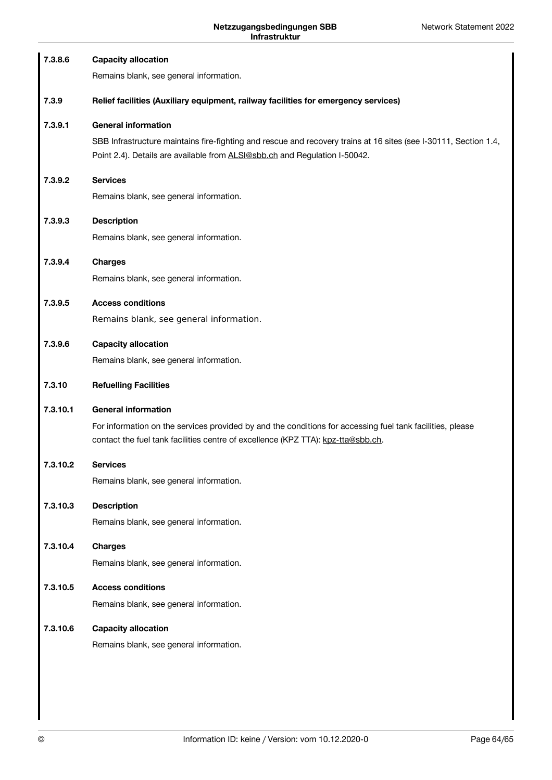| 7.3.8.6  | <b>Capacity allocation</b><br>Remains blank, see general information.                                                                                                                                                        |
|----------|------------------------------------------------------------------------------------------------------------------------------------------------------------------------------------------------------------------------------|
| 7.3.9    | Relief facilities (Auxiliary equipment, railway facilities for emergency services)                                                                                                                                           |
| 7.3.9.1  | <b>General information</b><br>SBB Infrastructure maintains fire-fighting and rescue and recovery trains at 16 sites (see I-30111, Section 1.4,<br>Point 2.4). Details are available from ALSI@sbb.ch and Regulation I-50042. |
| 7.3.9.2  | <b>Services</b><br>Remains blank, see general information.                                                                                                                                                                   |
| 7.3.9.3  | <b>Description</b><br>Remains blank, see general information.                                                                                                                                                                |
| 7.3.9.4  | <b>Charges</b><br>Remains blank, see general information.                                                                                                                                                                    |
| 7.3.9.5  | <b>Access conditions</b><br>Remains blank, see general information.                                                                                                                                                          |
| 7.3.9.6  | <b>Capacity allocation</b><br>Remains blank, see general information.                                                                                                                                                        |
| 7.3.10   | <b>Refuelling Facilities</b>                                                                                                                                                                                                 |
| 7.3.10.1 | <b>General information</b><br>For information on the services provided by and the conditions for accessing fuel tank facilities, please<br>contact the fuel tank facilities centre of excellence (KPZ TTA): kpz-tta@sbb.ch.  |
| 7.3.10.2 | <b>Services</b><br>Remains blank, see general information.                                                                                                                                                                   |
| 7.3.10.3 | <b>Description</b><br>Remains blank, see general information.                                                                                                                                                                |
| 7.3.10.4 | <b>Charges</b><br>Remains blank, see general information.                                                                                                                                                                    |
| 7.3.10.5 | <b>Access conditions</b><br>Remains blank, see general information.                                                                                                                                                          |
| 7.3.10.6 | <b>Capacity allocation</b><br>Remains blank, see general information.                                                                                                                                                        |